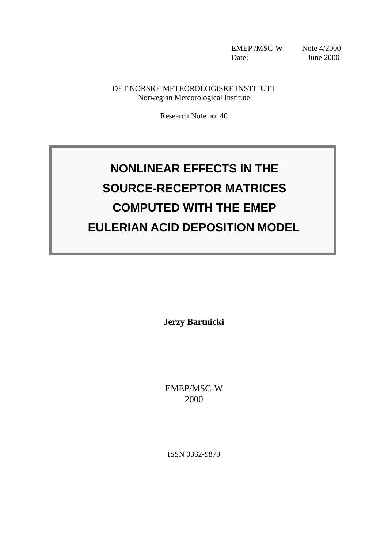EMEP /MSC-W Note 4/2000 Date: June 2000

DET NORSKE METEOROLOGISKE INSTITUTT Norwegian Meteorological Institute

Research Note no. 40

# **NONLINEAR EFFECTS IN THE SOURCE-RECEPTOR MATRICES COMPUTED WITH THE EMEP EULERIAN ACID DEPOSITION MODEL**

**Jerzy Bartnicki**

EMEP/MSC-W 2000

ISSN 0332-9879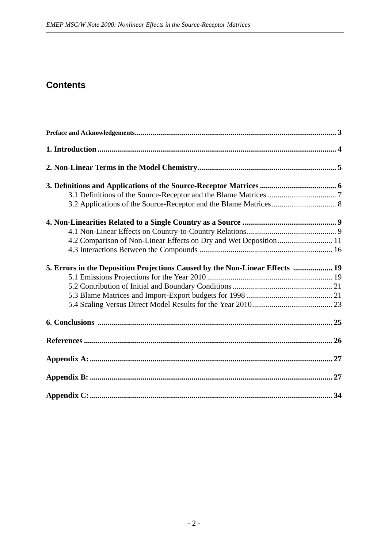# **Contents**

| 4.2 Comparison of Non-Linear Effects on Dry and Wet Deposition 11            |  |
|------------------------------------------------------------------------------|--|
|                                                                              |  |
| 5. Errors in the Deposition Projections Caused by the Non-Linear Effects  19 |  |
|                                                                              |  |
|                                                                              |  |
|                                                                              |  |
|                                                                              |  |
|                                                                              |  |
|                                                                              |  |
|                                                                              |  |
|                                                                              |  |
|                                                                              |  |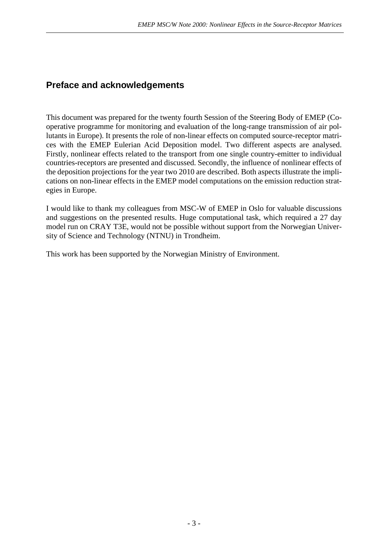# **Preface and acknowledgements**

This document was prepared for the twenty fourth Session of the Steering Body of EMEP (Cooperative programme for monitoring and evaluation of the long-range transmission of air pollutants in Europe). It presents the role of non-linear effects on computed source-receptor matrices with the EMEP Eulerian Acid Deposition model. Two different aspects are analysed. Firstly, nonlinear effects related to the transport from one single country-emitter to individual countries-receptors are presented and discussed. Secondly, the influence of nonlinear effects of the deposition projections for the year two 2010 are described. Both aspects illustrate the implications on non-linear effects in the EMEP model computations on the emission reduction strategies in Europe.

I would like to thank my colleagues from MSC-W of EMEP in Oslo for valuable discussions and suggestions on the presented results. Huge computational task, which required a 27 day model run on CRAY T3E, would not be possible without support from the Norwegian University of Science and Technology (NTNU) in Trondheim.

This work has been supported by the Norwegian Ministry of Environment.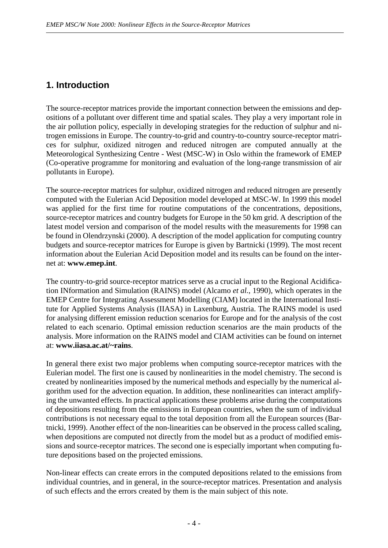# **1. Introduction**

The source-receptor matrices provide the important connection between the emissions and depositions of a pollutant over different time and spatial scales. They play a very important role in the air pollution policy, especially in developing strategies for the reduction of sulphur and nitrogen emissions in Europe. The country-to-grid and country-to-country source-receptor matrices for sulphur, oxidized nitrogen and reduced nitrogen are computed annually at the Meteorological Synthesizing Centre - West (MSC-W) in Oslo within the framework of EMEP (Co-operative programme for monitoring and evaluation of the long-range transmission of air pollutants in Europe).

The source-receptor matrices for sulphur, oxidized nitrogen and reduced nitrogen are presently computed with the Eulerian Acid Deposition model developed at MSC-W. In 1999 this model was applied for the first time for routine computations of the concentrations, depositions, source-receptor matrices and country budgets for Europe in the 50 km grid. A description of the latest model version and comparison of the model results with the measurements for 1998 can be found in Olendrzynski (2000). A description of the model application for computing country budgets and source-receptor matrices for Europe is given by Bartnicki (1999). The most recent information about the Eulerian Acid Deposition model and its results can be found on the internet at: **www.emep.int**.

The country-to-grid source-receptor matrices serve as a crucial input to the Regional Acidification INformation and Simulation (RAINS) model (Alcamo *et al.*, 1990), which operates in the EMEP Centre for Integrating Assessment Modelling (CIAM) located in the International Institute for Applied Systems Analysis (IIASA) in Laxenburg, Austria. The RAINS model is used for analysing different emission reduction scenarios for Europe and for the analysis of the cost related to each scenario. Optimal emission reduction scenarios are the main products of the analysis. More information on the RAINS model and CIAM activities can be found on internet at: **www.iiasa.ac.at/~rains**.

In general there exist two major problems when computing source-receptor matrices with the Eulerian model. The first one is caused by nonlinearities in the model chemistry. The second is created by nonlinearities imposed by the numerical methods and especially by the numerical algorithm used for the advection equation. In addition, these nonlinearities can interact amplifying the unwanted effects. In practical applications these problems arise during the computations of depositions resulting from the emissions in European countries, when the sum of individual contributions is not necessary equal to the total deposition from all the European sources (Bartnicki, 1999). Another effect of the non-linearities can be observed in the process called scaling, when depositions are computed not directly from the model but as a product of modified emissions and source-receptor matrices. The second one is especially important when computing future depositions based on the projected emissions.

Non-linear effects can create errors in the computed depositions related to the emissions from individual countries, and in general, in the source-receptor matrices. Presentation and analysis of such effects and the errors created by them is the main subject of this note.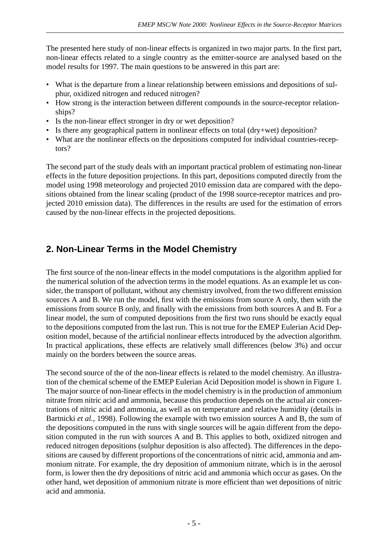The presented here study of non-linear effects is organized in two major parts. In the first part, non-linear effects related to a single country as the emitter-source are analysed based on the model results for 1997. The main questions to be answered in this part are:

- What is the departure from a linear relationship between emissions and depositions of sulphur, oxidized nitrogen and reduced nitrogen?
- How strong is the interaction between different compounds in the source-receptor relationships?
- Is the non-linear effect stronger in dry or wet deposition?
- Is there any geographical pattern in nonlinear effects on total (dry+wet) deposition?
- What are the nonlinear effects on the depositions computed for individual countries-receptors?

The second part of the study deals with an important practical problem of estimating non-linear effects in the future deposition projections. In this part, depositions computed directly from the model using 1998 meteorology and projected 2010 emission data are compared with the depositions obtained from the linear scaling (product of the 1998 source-receptor matrices and projected 2010 emission data). The differences in the results are used for the estimation of errors caused by the non-linear effects in the projected depositions.

# **2. Non-Linear Terms in the Model Chemistry**

The first source of the non-linear effects in the model computations is the algorithm applied for the numerical solution of the advection terms in the model equations. As an example let us consider, the transport of pollutant, without any chemistry involved, from the two different emission sources A and B. We run the model, first with the emissions from source A only, then with the emissions from source B only, and finally with the emissions from both sources A and B. For a linear model, the sum of computed depositions from the first two runs should be exactly equal to the depositions computed from the last run. This is not true for the EMEP Eulerian Acid Deposition model, because of the artificial nonlinear effects introduced by the advection algorithm. In practical applications, these effects are relatively small differences (below 3%) and occur mainly on the borders between the source areas.

The second source of the of the non-linear effects is related to the model chemistry. An illustration of the chemical scheme of the EMEP Eulerian Acid Deposition model is shown in Figure 1. The major source of non-linear effects in the model chemistry is in the production of ammonium nitrate from nitric acid and ammonia, because this production depends on the actual air concentrations of nitric acid and ammonia, as well as on temperature and relative humidity (details in Bartnicki *et al.*, 1998). Following the example with two emission sources A and B, the sum of the depositions computed in the runs with single sources will be again different from the deposition computed in the run with sources A and B. This applies to both, oxidized nitrogen and reduced nitrogen depositions (sulphur deposition is also affected). The differences in the depositions are caused by different proportions of the concentrations of nitric acid, ammonia and ammonium nitrate. For example, the dry deposition of ammonium nitrate, which is in the aerosol form, is lower then the dry depositions of nitric acid and ammonia which occur as gases. On the other hand, wet deposition of ammonium nitrate is more efficient than wet depositions of nitric acid and ammonia.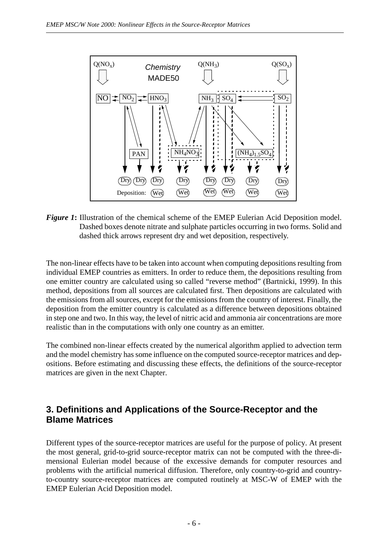

*Figure 1*: Illustration of the chemical scheme of the EMEP Eulerian Acid Deposition model. Dashed boxes denote nitrate and sulphate particles occurring in two forms. Solid and dashed thick arrows represent dry and wet deposition, respectively.

The non-linear effects have to be taken into account when computing depositions resulting from individual EMEP countries as emitters. In order to reduce them, the depositions resulting from one emitter country are calculated using so called "reverse method" (Bartnicki, 1999). In this method, depositions from all sources are calculated first. Then depositions are calculated with the emissions from all sources, except for the emissions from the country of interest. Finally, the deposition from the emitter country is calculated as a difference between depositions obtained in step one and two. In this way, the level of nitric acid and ammonia air concentrations are more realistic than in the computations with only one country as an emitter.

The combined non-linear effects created by the numerical algorithm applied to advection term and the model chemistry has some influence on the computed source-receptor matrices and depositions. Before estimating and discussing these effects, the definitions of the source-receptor matrices are given in the next Chapter.

### **3. Definitions and Applications of the Source-Receptor and the Blame Matrices**

Different types of the source-receptor matrices are useful for the purpose of policy. At present the most general, grid-to-grid source-receptor matrix can not be computed with the three-dimensional Eulerian model because of the excessive demands for computer resources and problems with the artificial numerical diffusion. Therefore, only country-to-grid and countryto-country source-receptor matrices are computed routinely at MSC-W of EMEP with the EMEP Eulerian Acid Deposition model.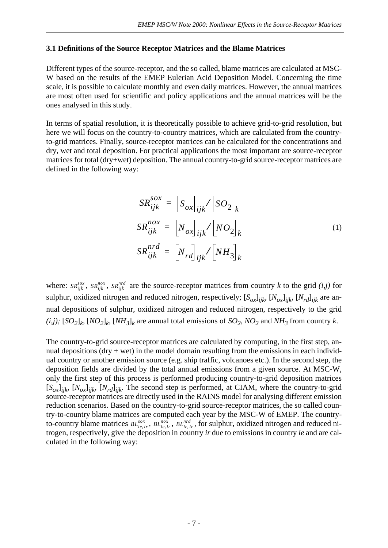#### **3.1 Definitions of the Source Receptor Matrices and the Blame Matrices**

Different types of the source-receptor, and the so called, blame matrices are calculated at MSC-W based on the results of the EMEP Eulerian Acid Deposition Model. Concerning the time scale, it is possible to calculate monthly and even daily matrices. However, the annual matrices are most often used for scientific and policy applications and the annual matrices will be the ones analysed in this study.

In terms of spatial resolution, it is theoretically possible to achieve grid-to-grid resolution, but here we will focus on the country-to-country matrices, which are calculated from the countryto-grid matrices. Finally, source-receptor matrices can be calculated for the concentrations and dry, wet and total deposition. For practical applications the most important are source-receptor matrices for total (dry+wet) deposition. The annual country-to-grid source-receptor matrices are defined in the following way:

$$
SR_{ijk}^{SOX} = \left[S_{ox}\right]_{ijk} / \left[SO_2\right]_k
$$
  
\n
$$
SR_{ijk}^{nox} = \left[N_{ox}\right]_{ijk} / \left[NO_2\right]_k
$$
  
\n
$$
SR_{ijk}^{nrd} = \left[N_{rd}\right]_{ijk} / \left[NH_3\right]_k
$$
 (1)

where:  $SR_{ijk}^{s\alpha}$ ,  $SR_{ijk}^{n\alpha}$ ,  $SR_{ijk}^{n\alpha}$  are the source-receptor matrices from country *k* to the grid *(i,j)* for sulphur, oxidized nitrogen and reduced nitrogen, respectively; [*Sox*] *ijk*, [*Nox*] *ijk*, [*Nrd*] *ijk* are annual depositions of sulphur, oxidized nitrogen and reduced nitrogen, respectively to the grid (*i,j*);  $[SO_2]_k$   $[NO_2]_k$   $[NH_3]_k$  are annual total emissions of  $SO_2$ ,  $NO_2$  and  $NH_3$  from country k.

The country-to-grid source-receptor matrices are calculated by computing, in the first step, annual depositions (dry  $+$  wet) in the model domain resulting from the emissions in each individual country or another emission source (e.g. ship traffic, volcanoes etc.). In the second step, the deposition fields are divided by the total annual emissions from a given source. At MSC-W, only the first step of this process is performed producing country-to-grid deposition matrices  $[S_{ox}]_{ijk}$ ,  $[N_{ox}]_{ijk}$ ,  $[N_{rd}]_{ijk}$ . The second step is performed, at CIAM, where the country-to-grid source-receptor matrices are directly used in the RAINS model for analysing different emission reduction scenarios. Based on the country-to-grid source-receptor matrices, the so called country-to-country blame matrices are computed each year by the MSC-W of EMEP. The countryto-country blame matrices  $BL_{ie,ir}^{s\alpha}$ ,  $BL_{ie,ir}^{n\alpha}$ ,  $BL_{ie,ir}^{nrd}$ , for sulphur, oxidized nitrogen and reduced nitrogen, respectively, give the deposition in country *ir* due to emissions in country *ie* and are calculated in the following way: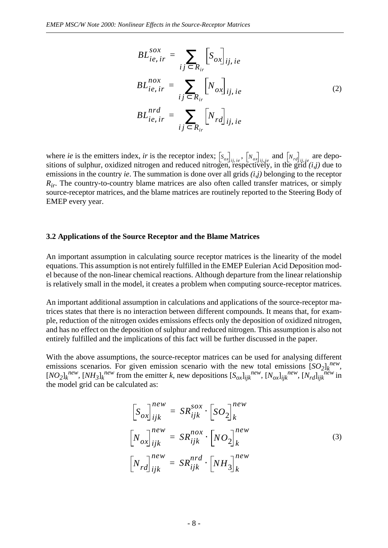$$
BL_{ie,ir}^{sox} = \sum_{ij \subset R_{ir}} \left[ S_{ox} \right]_{ij,ie}
$$
  
\n
$$
BL_{ie,ir}^{nox} = \sum_{ij \subset R_{ir}} \left[ N_{ox} \right]_{ij,ie}
$$
  
\n
$$
BL_{ie,ir}^{nrd} = \sum_{ij \subset R_{ir}} \left[ N_{rd} \right]_{ij,ie}
$$
  
\n(2)

where *ie* is the emitters index, *ir* is the receptor index;  $\left[s_{\alpha_1}, \ldots, \left[s_{\alpha_r}\right], \ldots, \left[s_{\alpha_r}\right], \ldots\right]$  are depositions of sulphur, oxidized nitrogen and reduced nitrogen, respectively, in the grid  $(i,j)$  due to emissions in the country *ie*. The summation is done over all grids *(i,j)* belonging to the receptor *R<sub>ir</sub>*. The country-to-country blame matrices are also often called transfer matrices, or simply source-receptor matrices, and the blame matrices are routinely reported to the Steering Body of EMEP every year.  $\sum_{i,j,i,e}$ ,  $\left[N_{ox}\right]_{ij,ie}$  and  $\left[N_{rd}\right]_{ij,ie}$ 

#### **3.2 Applications of the Source Receptor and the Blame Matrices**

An important assumption in calculating source receptor matrices is the linearity of the model equations. This assumption is not entirely fulfilled in the EMEP Eulerian Acid Deposition model because of the non-linear chemical reactions. Although departure from the linear relationship is relatively small in the model, it creates a problem when computing source-receptor matrices.

An important additional assumption in calculations and applications of the source-receptor matrices states that there is no interaction between different compounds. It means that, for example, reduction of the nitrogen oxides emissions effects only the deposition of oxidized nitrogen, and has no effect on the deposition of sulphur and reduced nitrogen. This assumption is also not entirely fulfilled and the implications of this fact will be further discussed in the paper.

With the above assumptions, the source-receptor matrices can be used for analysing different emissions scenarios. For given emission scenario with the new total emissions  $[SO_2]_k^{new}$ ,  $[NO_2]_k^{new}$ ,  $[NH_3]_k^{new}$  from the emitter k, new depositions  $[S_{ox}]_{ijk}^{new}$ ,  $[N_{ox}]_{ijk}^{new}$ ,  $[N_{rd}]_{ijk}^{new}$  in the model grid can be calculated as:

$$
\begin{aligned}\n\left[S_{ox}\right]_{ijk}^{new} &= SR_{ijk}^{sox} \cdot \left[ SO_2 \right]_k^{new} \\
\left[N_{ox}\right]_{ijk}^{new} &= SR_{ijk}^{nox} \cdot \left[ NO_2 \right]_k^{new} \\
\left[N_{rd}\right]_{ijk}^{new} &= SR_{ijk}^{nrd} \cdot \left[ NH_3 \right]_k^{new}\n\end{aligned} \tag{3}
$$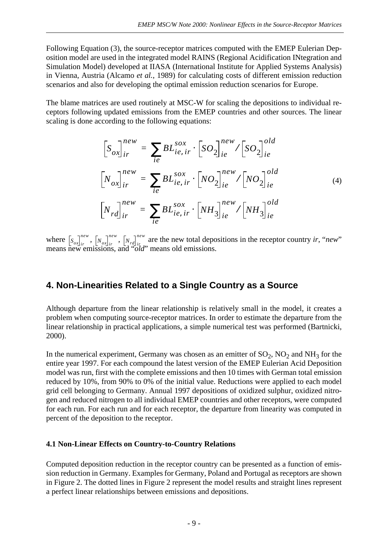Following Equation (3), the source-receptor matrices computed with the EMEP Eulerian Deposition model are used in the integrated model RAINS (Regional Acidification INtegration and Simulation Model) developed at IIASA (International Institute for Applied Systems Analysis) in Vienna, Austria (Alcamo *et al.*, 1989) for calculating costs of different emission reduction scenarios and also for developing the optimal emission reduction scenarios for Europe.

The blame matrices are used routinely at MSC-W for scaling the depositions to individual receptors following updated emissions from the EMEP countries and other sources. The linear scaling is done according to the following equations:

$$
\begin{aligned}\n\left[S_{ox}\right]_{ir}^{new} &= \sum_{ie} BL_{ie, ir}^{sox} \cdot \left[ SO_2 \right]_{ie}^{new} / \left[ SO_2 \right]_{ie}^{old} \\
\left[N_{ox}\right]_{ir}^{new} &= \sum_{ie} BL_{ie, ir}^{sox} \cdot \left[ NO_2 \right]_{ie}^{new} / \left[ NO_2 \right]_{ie}^{old} \\
\left[N_{rd}\right]_{ir}^{new} &= \sum_{ie} BL_{ie, ir}^{sox} \cdot \left[ NH_3 \right]_{ie}^{new} / \left[ NH_3 \right]_{ie}^{old}\n\end{aligned} \tag{4}
$$

where  $\left[ s_{\alpha} \right]^{new}$ ,  $\left[ N_{\alpha} \right]^{new}$ ,  $\left[ N_{\alpha} \right]^{new}$  are the new total depositions in the receptor country *ir*, "*new*" means new emissions, and "*old*" means old emissions.  $S_{ox}$   $\begin{bmatrix} n e^{i\omega} \\ i r \end{bmatrix}$   $\begin{bmatrix} N_{ox} \end{bmatrix}^{new}_{ir}$ ,  $\begin{bmatrix} N_{rd} \\ i r_{dr} \end{bmatrix}^{new}_{ir}$ 

### **4. Non-Linearities Related to a Single Country as a Source**

Although departure from the linear relationship is relatively small in the model, it creates a problem when computing source-receptor matrices. In order to estimate the departure from the linear relationship in practical applications, a simple numerical test was performed (Bartnicki, 2000).

In the numerical experiment, Germany was chosen as an emitter of  $SO_2$ ,  $NO_2$  and  $NH_3$  for the entire year 1997. For each compound the latest version of the EMEP Eulerian Acid Deposition model was run, first with the complete emissions and then 10 times with German total emission reduced by 10%, from 90% to 0% of the initial value. Reductions were applied to each model grid cell belonging to Germany. Annual 1997 depositions of oxidized sulphur, oxidized nitrogen and reduced nitrogen to all individual EMEP countries and other receptors, were computed for each run. For each run and for each receptor, the departure from linearity was computed in percent of the deposition to the receptor.

#### **4.1 Non-Linear Effects on Country-to-Country Relations**

Computed deposition reduction in the receptor country can be presented as a function of emission reduction in Germany. Examples for Germany, Poland and Portugal as receptors are shown in Figure 2. The dotted lines in Figure 2 represent the model results and straight lines represent a perfect linear relationships between emissions and depositions.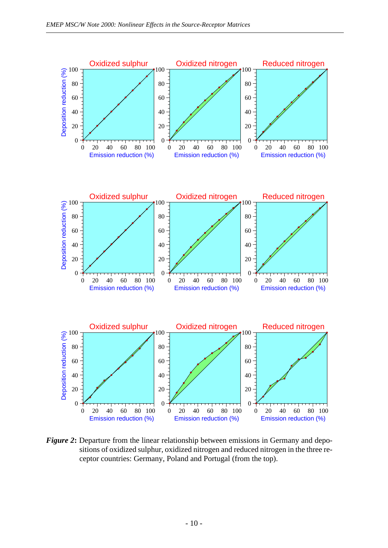

*Figure 2*: Departure from the linear relationship between emissions in Germany and depositions of oxidized sulphur, oxidized nitrogen and reduced nitrogen in the three receptor countries: Germany, Poland and Portugal (from the top).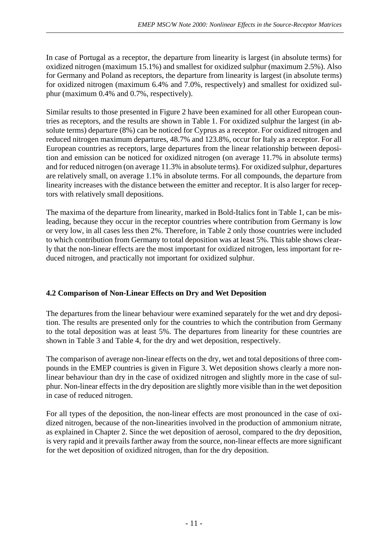In case of Portugal as a receptor, the departure from linearity is largest (in absolute terms) for oxidized nitrogen (maximum 15.1%) and smallest for oxidized sulphur (maximum 2.5%). Also for Germany and Poland as receptors, the departure from linearity is largest (in absolute terms) for oxidized nitrogen (maximum 6.4% and 7.0%, respectively) and smallest for oxidized sulphur (maximum 0.4% and 0.7%, respectively).

Similar results to those presented in Figure 2 have been examined for all other European countries as receptors, and the results are shown in Table 1. For oxidized sulphur the largest (in absolute terms) departure (8%) can be noticed for Cyprus as a receptor. For oxidized nitrogen and reduced nitrogen maximum departures, 48.7% and 123.8%, occur for Italy as a receptor. For all European countries as receptors, large departures from the linear relationship between deposition and emission can be noticed for oxidized nitrogen (on average 11.7% in absolute terms) and for reduced nitrogen (on average 11.3% in absolute terms). For oxidized sulphur, departures are relatively small, on average 1.1% in absolute terms. For all compounds, the departure from linearity increases with the distance between the emitter and receptor. It is also larger for receptors with relatively small depositions.

The maxima of the departure from linearity, marked in Bold-Italics font in Table 1, can be misleading, because they occur in the receptor countries where contribution from Germany is low or very low, in all cases less then 2%. Therefore, in Table 2 only those countries were included to which contribution from Germany to total deposition was at least 5%. This table shows clearly that the non-linear effects are the most important for oxidized nitrogen, less important for reduced nitrogen, and practically not important for oxidized sulphur.

### **4.2 Comparison of Non-Linear Effects on Dry and Wet Deposition**

The departures from the linear behaviour were examined separately for the wet and dry deposition. The results are presented only for the countries to which the contribution from Germany to the total deposition was at least 5%. The departures from linearity for these countries are shown in Table 3 and Table 4, for the dry and wet deposition, respectively.

The comparison of average non-linear effects on the dry, wet and total depositions of three compounds in the EMEP countries is given in Figure 3. Wet deposition shows clearly a more nonlinear behaviour than dry in the case of oxidized nitrogen and slightly more in the case of sulphur. Non-linear effects in the dry deposition are slightly more visible than in the wet deposition in case of reduced nitrogen.

For all types of the deposition, the non-linear effects are most pronounced in the case of oxidized nitrogen, because of the non-linearities involved in the production of ammonium nitrate, as explained in Chapter 2. Since the wet deposition of aerosol, compared to the dry deposition, is very rapid and it prevails farther away from the source, non-linear effects are more significant for the wet deposition of oxidized nitrogen, than for the dry deposition.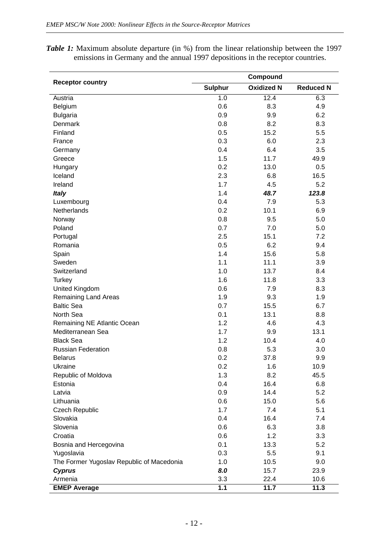| <b>Receptor country</b><br><b>Oxidized N</b><br><b>Sulphur</b><br><b>Reduced N</b><br>$\overline{1.0}$<br>12.4<br>6.3<br>Austria<br>0.6<br>8.3<br>4.9<br>Belgium<br>0.9<br>9.9<br>6.2<br><b>Bulgaria</b><br>Denmark<br>0.8<br>8.2<br>8.3<br>Finland<br>0.5<br>15.2<br>5.5<br>0.3<br>6.0<br>2.3<br>France<br>0.4<br>6.4<br>3.5<br>Germany<br>1.5<br>11.7<br>49.9<br>Greece<br>0.2<br>13.0<br>0.5<br>Hungary<br>Iceland<br>2.3<br>6.8<br>16.5<br>1.7<br>5.2<br>Ireland<br>4.5<br>123.8<br>1.4<br>48.7<br><b>Italy</b><br>0.4<br>7.9<br>5.3<br>Luxembourg<br><b>Netherlands</b><br>0.2<br>6.9<br>10.1<br>0.8<br>9.5<br>5.0<br>Norway<br>0.7<br>7.0<br>5.0<br>Poland<br>2.5<br>7.2<br>Portugal<br>15.1<br>Romania<br>0.5<br>6.2<br>9.4<br>1.4<br>15.6<br>5.8<br>Spain<br>Sweden<br>1.1<br>11.1<br>3.9<br>Switzerland<br>13.7<br>8.4<br>1.0<br>1.6<br>3.3<br>Turkey<br>11.8<br>United Kingdom<br>0.6<br>7.9<br>8.3<br><b>Remaining Land Areas</b><br>1.9<br>9.3<br>1.9<br><b>Baltic Sea</b><br>0.7<br>15.5<br>6.7<br>North Sea<br>0.1<br>13.1<br>8.8<br>1.2<br>4.6<br>4.3<br>Remaining NE Atlantic Ocean<br>Mediterranean Sea<br>1.7<br>9.9<br>13.1<br><b>Black Sea</b><br>1.2<br>10.4<br>4.0<br><b>Russian Federation</b><br>5.3<br>3.0<br>0.8<br>0.2<br><b>Belarus</b><br>37.8<br>9.9<br>Ukraine<br>0.2<br>1.6<br>10.9 |
|---------------------------------------------------------------------------------------------------------------------------------------------------------------------------------------------------------------------------------------------------------------------------------------------------------------------------------------------------------------------------------------------------------------------------------------------------------------------------------------------------------------------------------------------------------------------------------------------------------------------------------------------------------------------------------------------------------------------------------------------------------------------------------------------------------------------------------------------------------------------------------------------------------------------------------------------------------------------------------------------------------------------------------------------------------------------------------------------------------------------------------------------------------------------------------------------------------------------------------------------------------------------------------------------------------------------|
|                                                                                                                                                                                                                                                                                                                                                                                                                                                                                                                                                                                                                                                                                                                                                                                                                                                                                                                                                                                                                                                                                                                                                                                                                                                                                                                     |
|                                                                                                                                                                                                                                                                                                                                                                                                                                                                                                                                                                                                                                                                                                                                                                                                                                                                                                                                                                                                                                                                                                                                                                                                                                                                                                                     |
|                                                                                                                                                                                                                                                                                                                                                                                                                                                                                                                                                                                                                                                                                                                                                                                                                                                                                                                                                                                                                                                                                                                                                                                                                                                                                                                     |
|                                                                                                                                                                                                                                                                                                                                                                                                                                                                                                                                                                                                                                                                                                                                                                                                                                                                                                                                                                                                                                                                                                                                                                                                                                                                                                                     |
|                                                                                                                                                                                                                                                                                                                                                                                                                                                                                                                                                                                                                                                                                                                                                                                                                                                                                                                                                                                                                                                                                                                                                                                                                                                                                                                     |
|                                                                                                                                                                                                                                                                                                                                                                                                                                                                                                                                                                                                                                                                                                                                                                                                                                                                                                                                                                                                                                                                                                                                                                                                                                                                                                                     |
|                                                                                                                                                                                                                                                                                                                                                                                                                                                                                                                                                                                                                                                                                                                                                                                                                                                                                                                                                                                                                                                                                                                                                                                                                                                                                                                     |
|                                                                                                                                                                                                                                                                                                                                                                                                                                                                                                                                                                                                                                                                                                                                                                                                                                                                                                                                                                                                                                                                                                                                                                                                                                                                                                                     |
|                                                                                                                                                                                                                                                                                                                                                                                                                                                                                                                                                                                                                                                                                                                                                                                                                                                                                                                                                                                                                                                                                                                                                                                                                                                                                                                     |
|                                                                                                                                                                                                                                                                                                                                                                                                                                                                                                                                                                                                                                                                                                                                                                                                                                                                                                                                                                                                                                                                                                                                                                                                                                                                                                                     |
|                                                                                                                                                                                                                                                                                                                                                                                                                                                                                                                                                                                                                                                                                                                                                                                                                                                                                                                                                                                                                                                                                                                                                                                                                                                                                                                     |
|                                                                                                                                                                                                                                                                                                                                                                                                                                                                                                                                                                                                                                                                                                                                                                                                                                                                                                                                                                                                                                                                                                                                                                                                                                                                                                                     |
|                                                                                                                                                                                                                                                                                                                                                                                                                                                                                                                                                                                                                                                                                                                                                                                                                                                                                                                                                                                                                                                                                                                                                                                                                                                                                                                     |
|                                                                                                                                                                                                                                                                                                                                                                                                                                                                                                                                                                                                                                                                                                                                                                                                                                                                                                                                                                                                                                                                                                                                                                                                                                                                                                                     |
|                                                                                                                                                                                                                                                                                                                                                                                                                                                                                                                                                                                                                                                                                                                                                                                                                                                                                                                                                                                                                                                                                                                                                                                                                                                                                                                     |
|                                                                                                                                                                                                                                                                                                                                                                                                                                                                                                                                                                                                                                                                                                                                                                                                                                                                                                                                                                                                                                                                                                                                                                                                                                                                                                                     |
|                                                                                                                                                                                                                                                                                                                                                                                                                                                                                                                                                                                                                                                                                                                                                                                                                                                                                                                                                                                                                                                                                                                                                                                                                                                                                                                     |
|                                                                                                                                                                                                                                                                                                                                                                                                                                                                                                                                                                                                                                                                                                                                                                                                                                                                                                                                                                                                                                                                                                                                                                                                                                                                                                                     |
|                                                                                                                                                                                                                                                                                                                                                                                                                                                                                                                                                                                                                                                                                                                                                                                                                                                                                                                                                                                                                                                                                                                                                                                                                                                                                                                     |
|                                                                                                                                                                                                                                                                                                                                                                                                                                                                                                                                                                                                                                                                                                                                                                                                                                                                                                                                                                                                                                                                                                                                                                                                                                                                                                                     |
|                                                                                                                                                                                                                                                                                                                                                                                                                                                                                                                                                                                                                                                                                                                                                                                                                                                                                                                                                                                                                                                                                                                                                                                                                                                                                                                     |
|                                                                                                                                                                                                                                                                                                                                                                                                                                                                                                                                                                                                                                                                                                                                                                                                                                                                                                                                                                                                                                                                                                                                                                                                                                                                                                                     |
|                                                                                                                                                                                                                                                                                                                                                                                                                                                                                                                                                                                                                                                                                                                                                                                                                                                                                                                                                                                                                                                                                                                                                                                                                                                                                                                     |
|                                                                                                                                                                                                                                                                                                                                                                                                                                                                                                                                                                                                                                                                                                                                                                                                                                                                                                                                                                                                                                                                                                                                                                                                                                                                                                                     |
|                                                                                                                                                                                                                                                                                                                                                                                                                                                                                                                                                                                                                                                                                                                                                                                                                                                                                                                                                                                                                                                                                                                                                                                                                                                                                                                     |
|                                                                                                                                                                                                                                                                                                                                                                                                                                                                                                                                                                                                                                                                                                                                                                                                                                                                                                                                                                                                                                                                                                                                                                                                                                                                                                                     |
|                                                                                                                                                                                                                                                                                                                                                                                                                                                                                                                                                                                                                                                                                                                                                                                                                                                                                                                                                                                                                                                                                                                                                                                                                                                                                                                     |
|                                                                                                                                                                                                                                                                                                                                                                                                                                                                                                                                                                                                                                                                                                                                                                                                                                                                                                                                                                                                                                                                                                                                                                                                                                                                                                                     |
|                                                                                                                                                                                                                                                                                                                                                                                                                                                                                                                                                                                                                                                                                                                                                                                                                                                                                                                                                                                                                                                                                                                                                                                                                                                                                                                     |
|                                                                                                                                                                                                                                                                                                                                                                                                                                                                                                                                                                                                                                                                                                                                                                                                                                                                                                                                                                                                                                                                                                                                                                                                                                                                                                                     |
|                                                                                                                                                                                                                                                                                                                                                                                                                                                                                                                                                                                                                                                                                                                                                                                                                                                                                                                                                                                                                                                                                                                                                                                                                                                                                                                     |
|                                                                                                                                                                                                                                                                                                                                                                                                                                                                                                                                                                                                                                                                                                                                                                                                                                                                                                                                                                                                                                                                                                                                                                                                                                                                                                                     |
|                                                                                                                                                                                                                                                                                                                                                                                                                                                                                                                                                                                                                                                                                                                                                                                                                                                                                                                                                                                                                                                                                                                                                                                                                                                                                                                     |
| 1.3<br>45.5<br>Republic of Moldova<br>8.2                                                                                                                                                                                                                                                                                                                                                                                                                                                                                                                                                                                                                                                                                                                                                                                                                                                                                                                                                                                                                                                                                                                                                                                                                                                                           |
| Estonia<br>0.4<br>16.4<br>6.8                                                                                                                                                                                                                                                                                                                                                                                                                                                                                                                                                                                                                                                                                                                                                                                                                                                                                                                                                                                                                                                                                                                                                                                                                                                                                       |
| 5.2<br>Latvia<br>0.9<br>14.4                                                                                                                                                                                                                                                                                                                                                                                                                                                                                                                                                                                                                                                                                                                                                                                                                                                                                                                                                                                                                                                                                                                                                                                                                                                                                        |
| Lithuania<br>15.0<br>5.6<br>0.6                                                                                                                                                                                                                                                                                                                                                                                                                                                                                                                                                                                                                                                                                                                                                                                                                                                                                                                                                                                                                                                                                                                                                                                                                                                                                     |
| 1.7<br>7.4<br>5.1<br><b>Czech Republic</b>                                                                                                                                                                                                                                                                                                                                                                                                                                                                                                                                                                                                                                                                                                                                                                                                                                                                                                                                                                                                                                                                                                                                                                                                                                                                          |
| 0.4<br>16.4<br>7.4<br>Slovakia                                                                                                                                                                                                                                                                                                                                                                                                                                                                                                                                                                                                                                                                                                                                                                                                                                                                                                                                                                                                                                                                                                                                                                                                                                                                                      |
| Slovenia<br>0.6<br>6.3<br>3.8                                                                                                                                                                                                                                                                                                                                                                                                                                                                                                                                                                                                                                                                                                                                                                                                                                                                                                                                                                                                                                                                                                                                                                                                                                                                                       |
| 0.6<br>1.2<br>3.3<br>Croatia                                                                                                                                                                                                                                                                                                                                                                                                                                                                                                                                                                                                                                                                                                                                                                                                                                                                                                                                                                                                                                                                                                                                                                                                                                                                                        |
| 0.1<br>5.2<br>Bosnia and Hercegovina<br>13.3                                                                                                                                                                                                                                                                                                                                                                                                                                                                                                                                                                                                                                                                                                                                                                                                                                                                                                                                                                                                                                                                                                                                                                                                                                                                        |
| 0.3<br>9.1<br>5.5                                                                                                                                                                                                                                                                                                                                                                                                                                                                                                                                                                                                                                                                                                                                                                                                                                                                                                                                                                                                                                                                                                                                                                                                                                                                                                   |
| Yugoslavia                                                                                                                                                                                                                                                                                                                                                                                                                                                                                                                                                                                                                                                                                                                                                                                                                                                                                                                                                                                                                                                                                                                                                                                                                                                                                                          |
| The Former Yugoslav Republic of Macedonia<br>10.5<br>9.0<br>1.0                                                                                                                                                                                                                                                                                                                                                                                                                                                                                                                                                                                                                                                                                                                                                                                                                                                                                                                                                                                                                                                                                                                                                                                                                                                     |
| 23.9<br>8.0<br>15.7<br><b>Cyprus</b>                                                                                                                                                                                                                                                                                                                                                                                                                                                                                                                                                                                                                                                                                                                                                                                                                                                                                                                                                                                                                                                                                                                                                                                                                                                                                |
| 22.4<br>Armenia<br>3.3<br>10.6<br><b>EMEP Average</b><br>$1.1$<br>11.7<br>11.3                                                                                                                                                                                                                                                                                                                                                                                                                                                                                                                                                                                                                                                                                                                                                                                                                                                                                                                                                                                                                                                                                                                                                                                                                                      |

*Table 1:* Maximum absolute departure (in %) from the linear relationship between the 1997 emissions in Germany and the annual 1997 depositions in the receptor countries.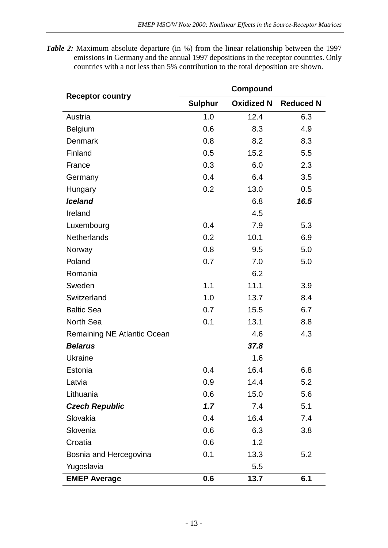*Table 2:* Maximum absolute departure (in %) from the linear relationship between the 1997 emissions in Germany and the annual 1997 depositions in the receptor countries. Only countries with a not less than 5% contribution to the total deposition are shown.

|                             | Compound       |                   |                  |  |  |  |  |  |  |  |  |
|-----------------------------|----------------|-------------------|------------------|--|--|--|--|--|--|--|--|
| <b>Receptor country</b>     | <b>Sulphur</b> | <b>Oxidized N</b> | <b>Reduced N</b> |  |  |  |  |  |  |  |  |
| Austria                     | 1.0            | 12.4              | 6.3              |  |  |  |  |  |  |  |  |
| <b>Belgium</b>              | 0.6            | 8.3               | 4.9              |  |  |  |  |  |  |  |  |
| Denmark                     | 0.8            | 8.2               | 8.3              |  |  |  |  |  |  |  |  |
| Finland                     | 0.5            | 15.2              | 5.5              |  |  |  |  |  |  |  |  |
| France                      | 0.3            | 6.0               | 2.3              |  |  |  |  |  |  |  |  |
| Germany                     | 0.4            | 6.4               | 3.5              |  |  |  |  |  |  |  |  |
| Hungary                     | 0.2            | 13.0              | 0.5              |  |  |  |  |  |  |  |  |
| <b>Iceland</b>              |                | 6.8               | 16.5             |  |  |  |  |  |  |  |  |
| Ireland                     |                | 4.5               |                  |  |  |  |  |  |  |  |  |
| Luxembourg                  | 0.4            | 7.9               | 5.3              |  |  |  |  |  |  |  |  |
| <b>Netherlands</b>          | 0.2            | 10.1              | 6.9              |  |  |  |  |  |  |  |  |
| Norway                      | 0.8            | 9.5               | 5.0              |  |  |  |  |  |  |  |  |
| Poland                      | 0.7            | 7.0               | 5.0              |  |  |  |  |  |  |  |  |
| Romania                     |                | 6.2               |                  |  |  |  |  |  |  |  |  |
| Sweden                      | 1.1            | 11.1              | 3.9              |  |  |  |  |  |  |  |  |
| Switzerland                 | 1.0            | 13.7              | 8.4              |  |  |  |  |  |  |  |  |
| <b>Baltic Sea</b>           | 0.7            | 15.5              | 6.7              |  |  |  |  |  |  |  |  |
| <b>North Sea</b>            | 0.1            | 13.1              | 8.8              |  |  |  |  |  |  |  |  |
| Remaining NE Atlantic Ocean |                | 4.6               | 4.3              |  |  |  |  |  |  |  |  |
| <b>Belarus</b>              |                | 37.8              |                  |  |  |  |  |  |  |  |  |
| <b>Ukraine</b>              |                | 1.6               |                  |  |  |  |  |  |  |  |  |
| Estonia                     | 0.4            | 16.4              | 6.8              |  |  |  |  |  |  |  |  |
| Latvia                      | 0.9            | 14.4              | 5.2              |  |  |  |  |  |  |  |  |
| Lithuania                   | 0.6            | 15.0              | 5.6              |  |  |  |  |  |  |  |  |
| <b>Czech Republic</b>       | 1.7            | 7.4               | 5.1              |  |  |  |  |  |  |  |  |
| Slovakia                    | 0.4            | 16.4              | 7.4              |  |  |  |  |  |  |  |  |
| Slovenia                    | 0.6            | 6.3               | 3.8              |  |  |  |  |  |  |  |  |
| Croatia                     | 0.6            | 1.2               |                  |  |  |  |  |  |  |  |  |
| Bosnia and Hercegovina      | 0.1            | 13.3              | 5.2              |  |  |  |  |  |  |  |  |
| Yugoslavia                  |                | 5.5               |                  |  |  |  |  |  |  |  |  |
| <b>EMEP Average</b>         | 0.6            | 13.7              | 6.1              |  |  |  |  |  |  |  |  |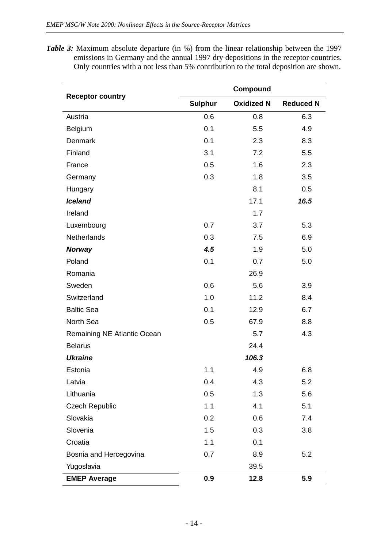*Table 3:* Maximum absolute departure (in %) from the linear relationship between the 1997 emissions in Germany and the annual 1997 dry depositions in the receptor countries. Only countries with a not less than 5% contribution to the total deposition are shown.

|                             | Compound       |                   |                  |  |  |  |  |  |  |  |  |
|-----------------------------|----------------|-------------------|------------------|--|--|--|--|--|--|--|--|
| <b>Receptor country</b>     | <b>Sulphur</b> | <b>Oxidized N</b> | <b>Reduced N</b> |  |  |  |  |  |  |  |  |
| Austria                     | 0.6            | 0.8               | 6.3              |  |  |  |  |  |  |  |  |
| Belgium                     | 0.1            | 5.5               | 4.9              |  |  |  |  |  |  |  |  |
| Denmark                     | 0.1            | 2.3               | 8.3              |  |  |  |  |  |  |  |  |
| Finland                     | 3.1            | 7.2               | 5.5              |  |  |  |  |  |  |  |  |
| France                      | 0.5            | 1.6               | 2.3              |  |  |  |  |  |  |  |  |
| Germany                     | 0.3            | 1.8               | 3.5              |  |  |  |  |  |  |  |  |
| Hungary                     |                | 8.1               | 0.5              |  |  |  |  |  |  |  |  |
| <b>Iceland</b>              |                | 17.1              | 16.5             |  |  |  |  |  |  |  |  |
| Ireland                     |                | 1.7               |                  |  |  |  |  |  |  |  |  |
| Luxembourg                  | 0.7            | 3.7               | 5.3              |  |  |  |  |  |  |  |  |
| Netherlands                 | 0.3            | 7.5               | 6.9              |  |  |  |  |  |  |  |  |
| <b>Norway</b>               | 4.5            | 1.9               | 5.0              |  |  |  |  |  |  |  |  |
| Poland                      | 0.1            | 0.7               | 5.0              |  |  |  |  |  |  |  |  |
| Romania                     |                | 26.9              |                  |  |  |  |  |  |  |  |  |
| Sweden                      | 0.6            | 5.6               | 3.9              |  |  |  |  |  |  |  |  |
| Switzerland                 | 1.0            | 11.2              | 8.4              |  |  |  |  |  |  |  |  |
| <b>Baltic Sea</b>           | 0.1            | 12.9              | 6.7              |  |  |  |  |  |  |  |  |
| North Sea                   | 0.5            | 67.9              | 8.8              |  |  |  |  |  |  |  |  |
| Remaining NE Atlantic Ocean |                | 5.7               | 4.3              |  |  |  |  |  |  |  |  |
| <b>Belarus</b>              |                | 24.4              |                  |  |  |  |  |  |  |  |  |
| <b>Ukraine</b>              |                | 106.3             |                  |  |  |  |  |  |  |  |  |
| Estonia                     | 1.1            | 4.9               | 6.8              |  |  |  |  |  |  |  |  |
| Latvia                      | 0.4            | 4.3               | 5.2              |  |  |  |  |  |  |  |  |
| Lithuania                   | 0.5            | 1.3               | 5.6              |  |  |  |  |  |  |  |  |
| <b>Czech Republic</b>       | 1.1            | 4.1               | 5.1              |  |  |  |  |  |  |  |  |
| Slovakia                    | 0.2            | 0.6               | 7.4              |  |  |  |  |  |  |  |  |
| Slovenia                    | 1.5            | 0.3               | 3.8              |  |  |  |  |  |  |  |  |
| Croatia                     | 1.1            | 0.1               |                  |  |  |  |  |  |  |  |  |
| Bosnia and Hercegovina      | 0.7            | 8.9               | 5.2              |  |  |  |  |  |  |  |  |
| Yugoslavia                  |                | 39.5              |                  |  |  |  |  |  |  |  |  |
| <b>EMEP Average</b>         | 0.9            | 12.8              | 5.9              |  |  |  |  |  |  |  |  |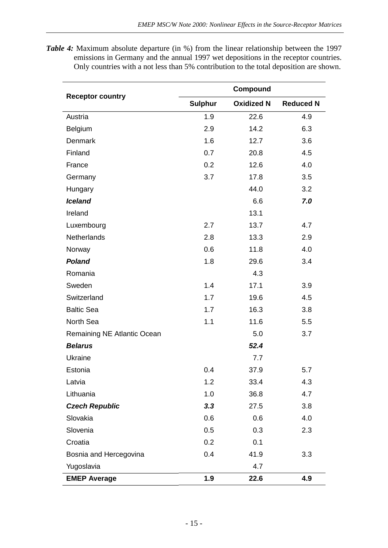*Table 4:* Maximum absolute departure (in %) from the linear relationship between the 1997 emissions in Germany and the annual 1997 wet depositions in the receptor countries. Only countries with a not less than 5% contribution to the total deposition are shown.

|                             | Compound       |                   |                  |  |  |  |  |  |  |  |  |
|-----------------------------|----------------|-------------------|------------------|--|--|--|--|--|--|--|--|
| <b>Receptor country</b>     | <b>Sulphur</b> | <b>Oxidized N</b> | <b>Reduced N</b> |  |  |  |  |  |  |  |  |
| Austria                     | 1.9            | 22.6              | 4.9              |  |  |  |  |  |  |  |  |
| Belgium                     | 2.9            | 14.2              | 6.3              |  |  |  |  |  |  |  |  |
| Denmark                     | 1.6            | 12.7              | 3.6              |  |  |  |  |  |  |  |  |
| Finland                     | 0.7            | 20.8              | 4.5              |  |  |  |  |  |  |  |  |
| France                      | 0.2            | 12.6              | 4.0              |  |  |  |  |  |  |  |  |
| Germany                     | 3.7            | 17.8              | 3.5              |  |  |  |  |  |  |  |  |
| Hungary                     |                | 44.0              | 3.2              |  |  |  |  |  |  |  |  |
| <b>Iceland</b>              |                | 6.6               | 7.0              |  |  |  |  |  |  |  |  |
| Ireland                     |                | 13.1              |                  |  |  |  |  |  |  |  |  |
| Luxembourg                  | 2.7            | 13.7              | 4.7              |  |  |  |  |  |  |  |  |
| Netherlands                 | 2.8            | 13.3              | 2.9              |  |  |  |  |  |  |  |  |
| Norway                      | 0.6            | 11.8              | 4.0              |  |  |  |  |  |  |  |  |
| <b>Poland</b>               | 1.8            | 29.6              | 3.4              |  |  |  |  |  |  |  |  |
| Romania                     |                | 4.3               |                  |  |  |  |  |  |  |  |  |
| Sweden                      | 1.4            | 17.1              | 3.9              |  |  |  |  |  |  |  |  |
| Switzerland                 | 1.7            | 19.6              | 4.5              |  |  |  |  |  |  |  |  |
| <b>Baltic Sea</b>           | 1.7            | 16.3              | 3.8              |  |  |  |  |  |  |  |  |
| North Sea                   | 1.1            | 11.6              | 5.5              |  |  |  |  |  |  |  |  |
| Remaining NE Atlantic Ocean |                | 5.0               | 3.7              |  |  |  |  |  |  |  |  |
| <b>Belarus</b>              |                | 52.4              |                  |  |  |  |  |  |  |  |  |
| Ukraine                     |                | 7.7               |                  |  |  |  |  |  |  |  |  |
| Estonia                     | 0.4            | 37.9              | 5.7              |  |  |  |  |  |  |  |  |
| Latvia                      | 1.2            | 33.4              | 4.3              |  |  |  |  |  |  |  |  |
| Lithuania                   | 1.0            | 36.8              | 4.7              |  |  |  |  |  |  |  |  |
| <b>Czech Republic</b>       | 3.3            | 27.5              | 3.8              |  |  |  |  |  |  |  |  |
| Slovakia                    | 0.6            | 0.6               | 4.0              |  |  |  |  |  |  |  |  |
| Slovenia                    | 0.5            | 0.3               | 2.3              |  |  |  |  |  |  |  |  |
| Croatia                     | 0.2            | 0.1               |                  |  |  |  |  |  |  |  |  |
| Bosnia and Hercegovina      | 0.4            | 41.9              | 3.3              |  |  |  |  |  |  |  |  |
| Yugoslavia                  |                | 4.7               |                  |  |  |  |  |  |  |  |  |
| <b>EMEP Average</b>         | 1.9            | 22.6              | 4.9              |  |  |  |  |  |  |  |  |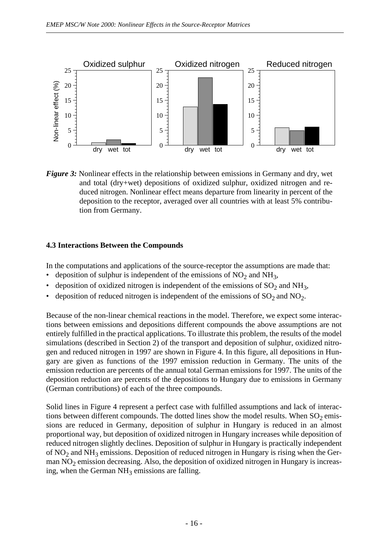

*Figure 3:* Nonlinear effects in the relationship between emissions in Germany and dry, wet and total (dry+wet) depositions of oxidized sulphur, oxidized nitrogen and reduced nitrogen. Nonlinear effect means departure from linearity in percent of the deposition to the receptor, averaged over all countries with at least 5% contribution from Germany.

#### **4.3 Interactions Between the Compounds**

In the computations and applications of the source-receptor the assumptions are made that:

- deposition of sulphur is independent of the emissions of  $NO<sub>2</sub>$  and  $NH<sub>3</sub>$ ,
- deposition of oxidized nitrogen is independent of the emissions of  $SO_2$  and  $NH_3$ ,
- deposition of reduced nitrogen is independent of the emissions of  $SO_2$  and  $NO_2$ .

Because of the non-linear chemical reactions in the model. Therefore, we expect some interactions between emissions and depositions different compounds the above assumptions are not entirely fulfilled in the practical applications. To illustrate this problem, the results of the model simulations (described in Section 2) of the transport and deposition of sulphur, oxidized nitrogen and reduced nitrogen in 1997 are shown in Figure 4. In this figure, all depositions in Hungary are given as functions of the 1997 emission reduction in Germany. The units of the emission reduction are percents of the annual total German emissions for 1997. The units of the deposition reduction are percents of the depositions to Hungary due to emissions in Germany (German contributions) of each of the three compounds.

Solid lines in Figure 4 represent a perfect case with fulfilled assumptions and lack of interactions between different compounds. The dotted lines show the model results. When  $\mathrm{SO}_2$  emissions are reduced in Germany, deposition of sulphur in Hungary is reduced in an almost proportional way, but deposition of oxidized nitrogen in Hungary increases while deposition of reduced nitrogen slightly declines. Deposition of sulphur in Hungary is practically independent of  $\rm NO_2$  and  $\rm NH_3$  emissions. Deposition of reduced nitrogen in Hungary is rising when the German  $NO<sub>2</sub>$  emission decreasing. Also, the deposition of oxidized nitrogen in Hungary is increasing, when the German  $NH<sub>3</sub>$  emissions are falling.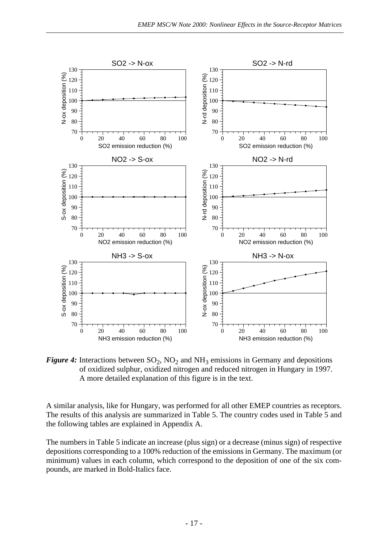

*Figure 4*: Interactions between  $SO_2$ ,  $NO_2$  and  $NH_3$  emissions in Germany and depositions of oxidized sulphur, oxidized nitrogen and reduced nitrogen in Hungary in 1997. A more detailed explanation of this figure is in the text.

A similar analysis, like for Hungary, was performed for all other EMEP countries as receptors. The results of this analysis are summarized in Table 5. The country codes used in Table 5 and the following tables are explained in Appendix A.

The numbers in Table 5 indicate an increase (plus sign) or a decrease (minus sign) of respective depositions corresponding to a 100% reduction of the emissions in Germany. The maximum (or minimum) values in each column, which correspond to the deposition of one of the six compounds, are marked in Bold-Italics face.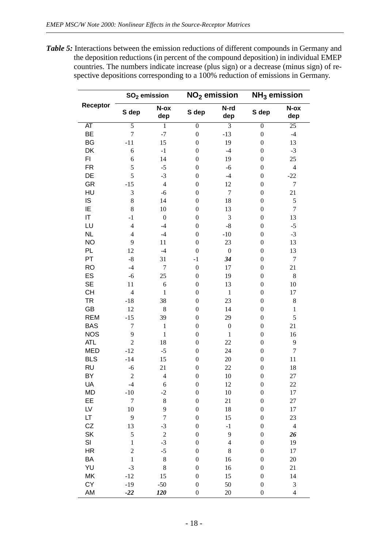*Table 5:* Interactions between the emission reductions of different compounds in Germany and the deposition reductions (in percent of the compound deposition) in individual EMEP countries. The numbers indicate increase (plus sign) or a decrease (minus sign) of respective depositions corresponding to a 100% reduction of emissions in Germany.

|                 |                  | $SO2$ emission   |                  | NO <sub>2</sub> emission | $NH3$ emission   |                  |  |  |  |  |
|-----------------|------------------|------------------|------------------|--------------------------|------------------|------------------|--|--|--|--|
| Receptor        | S dep            | N-ox<br>dep      | S dep            | N-rd<br>dep              | S dep            | N-ox<br>dep      |  |  |  |  |
| $\overline{AT}$ | $\overline{5}$   | 1                | $\overline{0}$   | $\overline{3}$           | $\overline{0}$   | $\overline{25}$  |  |  |  |  |
| BE              | $\overline{7}$   | $-7$             | $\boldsymbol{0}$ | $-13$                    | $\boldsymbol{0}$ | $-4$             |  |  |  |  |
| <b>BG</b>       | $-11$            | 15               | $\boldsymbol{0}$ | 19                       | $\boldsymbol{0}$ | 13               |  |  |  |  |
| DK              | 6                | $^{\rm -1}$      | $\boldsymbol{0}$ | $-4$                     | $\boldsymbol{0}$ | $-3$             |  |  |  |  |
| FI              | 6                | 14               | $\boldsymbol{0}$ | 19                       | $\boldsymbol{0}$ | 25               |  |  |  |  |
| <b>FR</b>       | 5                | $-5$             | $\boldsymbol{0}$ | $-6$                     | $\boldsymbol{0}$ | $\overline{4}$   |  |  |  |  |
| DE              | 5                | $-3$             | $\boldsymbol{0}$ | $-4$                     | $\boldsymbol{0}$ | $-22$            |  |  |  |  |
| GR              | $-15$            | $\overline{4}$   | $\boldsymbol{0}$ | 12                       | $\boldsymbol{0}$ | $\boldsymbol{7}$ |  |  |  |  |
| HU              | 3                | $-6$             | $\boldsymbol{0}$ | $\boldsymbol{7}$         | $\theta$         | 21               |  |  |  |  |
| IS              | $8\,$            | 14               | $\boldsymbol{0}$ | 18                       | $\theta$         | $\mathfrak s$    |  |  |  |  |
| ΙE              | 8                | 10               | $\boldsymbol{0}$ | 13                       | $\boldsymbol{0}$ | $\boldsymbol{7}$ |  |  |  |  |
| IT              | $-1$             | $\boldsymbol{0}$ | $\boldsymbol{0}$ | 3                        | $\boldsymbol{0}$ | 13               |  |  |  |  |
| LU              | $\overline{4}$   | $-4$             | $\boldsymbol{0}$ | $\mbox{-}8$              | $\boldsymbol{0}$ | $-5$             |  |  |  |  |
| <b>NL</b>       | $\overline{4}$   | $-4$             | $\boldsymbol{0}$ | $-10$                    | $\boldsymbol{0}$ | $-3$             |  |  |  |  |
| <b>NO</b>       | 9                | 11               | $\boldsymbol{0}$ | 23                       | $\boldsymbol{0}$ | 13               |  |  |  |  |
| PL              | 12               | $-4$             | $\boldsymbol{0}$ | $\boldsymbol{0}$         | $\boldsymbol{0}$ | 13               |  |  |  |  |
| PT              | $-8$             | 31               | $-1$             | 34                       | $\boldsymbol{0}$ | $\boldsymbol{7}$ |  |  |  |  |
| <b>RO</b>       | $-4$             | $\boldsymbol{7}$ | $\boldsymbol{0}$ | 17                       | $\boldsymbol{0}$ | 21               |  |  |  |  |
| ES              | $-6$             | 25               | $\boldsymbol{0}$ | 19                       | $\boldsymbol{0}$ | $8\,$            |  |  |  |  |
| <b>SE</b>       | 11               | 6                | $\boldsymbol{0}$ | 13                       | $\boldsymbol{0}$ | 10               |  |  |  |  |
| <b>CH</b>       | $\overline{4}$   | $\mathbf{1}$     | $\boldsymbol{0}$ | $\,1$                    | $\boldsymbol{0}$ | 17               |  |  |  |  |
| <b>TR</b>       | $-18$            | 38               | $\boldsymbol{0}$ | 23                       | $\boldsymbol{0}$ | $8\,$            |  |  |  |  |
| GB              | 12               | $\,8\,$          | $\boldsymbol{0}$ | 14                       | $\boldsymbol{0}$ | $\,1\,$          |  |  |  |  |
| <b>REM</b>      | $-15$            | 39               | $\boldsymbol{0}$ | 29                       | $\boldsymbol{0}$ | 5                |  |  |  |  |
| <b>BAS</b>      | 7                | $\,1$            | $\boldsymbol{0}$ | $\boldsymbol{0}$         | $\boldsymbol{0}$ | 21               |  |  |  |  |
| <b>NOS</b>      | 9                | $\,1\,$          | $\boldsymbol{0}$ | $\mathbf{1}$             | $\boldsymbol{0}$ | 16               |  |  |  |  |
| <b>ATL</b>      | $\overline{c}$   | 18               | $\boldsymbol{0}$ | 22                       | $\boldsymbol{0}$ | 9                |  |  |  |  |
| <b>MED</b>      | $-12$            | $-5$             | $\boldsymbol{0}$ | 24                       | $\boldsymbol{0}$ | 7                |  |  |  |  |
| <b>BLS</b>      | $-14$            | 15               | $\boldsymbol{0}$ | 20                       | $\boldsymbol{0}$ | $11\,$           |  |  |  |  |
| <b>RU</b>       | $-6$             | 21               | $\boldsymbol{0}$ | 22                       | $\boldsymbol{0}$ | 18               |  |  |  |  |
| BY              | $\overline{c}$   | $\overline{4}$   | $\boldsymbol{0}$ | 10                       | $\boldsymbol{0}$ | 27               |  |  |  |  |
| UA              | $-4$             | 6                | $\boldsymbol{0}$ | 12                       | $\boldsymbol{0}$ | 22               |  |  |  |  |
| <b>MD</b>       | $-10$            | $-2$             | $\boldsymbol{0}$ | 10                       | $\boldsymbol{0}$ | 17               |  |  |  |  |
| EE              | $\boldsymbol{7}$ | $\,$ 8 $\,$      | $\boldsymbol{0}$ | 21                       | $\boldsymbol{0}$ | 27               |  |  |  |  |
| LV              | 10               | 9                | $\boldsymbol{0}$ | 18                       | $\boldsymbol{0}$ | 17               |  |  |  |  |
| LT              | 9                | $\sqrt{ }$       | $\boldsymbol{0}$ | 15                       | $\boldsymbol{0}$ | 23               |  |  |  |  |
| CZ              | 13               | $-3$             | $\boldsymbol{0}$ | $-1$                     | $\boldsymbol{0}$ | $\overline{4}$   |  |  |  |  |
| SK              | 5                | $\overline{c}$   | $\boldsymbol{0}$ | 9                        | $\boldsymbol{0}$ | 26               |  |  |  |  |
| SI              | $\,1\,$          | $-3$             | $\boldsymbol{0}$ | $\overline{4}$           | $\boldsymbol{0}$ | 19               |  |  |  |  |
| <b>HR</b>       | $\overline{c}$   | $-5$             | $\boldsymbol{0}$ | $8\,$                    | $\boldsymbol{0}$ | 17               |  |  |  |  |
| BA              | $\mathbf 1$      | $\,$ $\,$        | $\boldsymbol{0}$ | 16                       | $\boldsymbol{0}$ | $20\,$           |  |  |  |  |
| YU              | $-3$             | $\,8$            | $\boldsymbol{0}$ | 16                       | $\boldsymbol{0}$ | 21               |  |  |  |  |
| MK              | $-12$            | 15               | $\boldsymbol{0}$ | 15                       | $\boldsymbol{0}$ | 14               |  |  |  |  |
| CY              | $-19$            | $-50$            | $\boldsymbol{0}$ | 50                       | $\boldsymbol{0}$ | $\sqrt{3}$       |  |  |  |  |
| AM              | $-22$            | 120              | $\boldsymbol{0}$ | 20                       | $\boldsymbol{0}$ | $\overline{4}$   |  |  |  |  |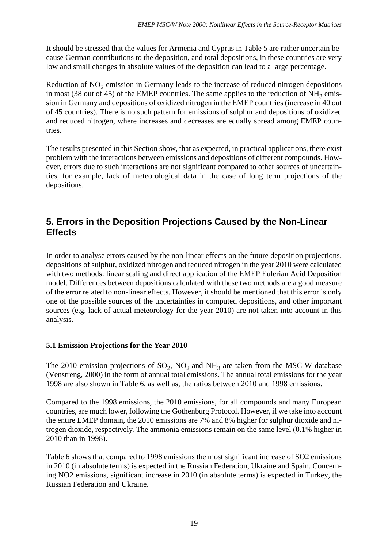It should be stressed that the values for Armenia and Cyprus in Table 5 are rather uncertain because German contributions to the deposition, and total depositions, in these countries are very low and small changes in absolute values of the deposition can lead to a large percentage.

Reduction of  $NO<sub>2</sub>$  emission in Germany leads to the increase of reduced nitrogen depositions in most (38 out of 45) of the EMEP countries. The same applies to the reduction of  $NH_3$  emission in Germany and depositions of oxidized nitrogen in the EMEP countries (increase in 40 out of 45 countries). There is no such pattern for emissions of sulphur and depositions of oxidized and reduced nitrogen, where increases and decreases are equally spread among EMEP countries.

The results presented in this Section show, that as expected, in practical applications, there exist problem with the interactions between emissions and depositions of different compounds. However, errors due to such interactions are not significant compared to other sources of uncertainties, for example, lack of meteorological data in the case of long term projections of the depositions.

# **5. Errors in the Deposition Projections Caused by the Non-Linear Effects**

In order to analyse errors caused by the non-linear effects on the future deposition projections, depositions of sulphur, oxidized nitrogen and reduced nitrogen in the year 2010 were calculated with two methods: linear scaling and direct application of the EMEP Eulerian Acid Deposition model. Differences between depositions calculated with these two methods are a good measure of the error related to non-linear effects. However, it should be mentioned that this error is only one of the possible sources of the uncertainties in computed depositions, and other important sources (e.g. lack of actual meteorology for the year 2010) are not taken into account in this analysis.

### **5.1 Emission Projections for the Year 2010**

The 2010 emission projections of  $SO_2$ ,  $NO_2$  and  $NH_3$  are taken from the MSC-W database (Venstreng, 2000) in the form of annual total emissions. The annual total emissions for the year 1998 are also shown in Table 6, as well as, the ratios between 2010 and 1998 emissions.

Compared to the 1998 emissions, the 2010 emissions, for all compounds and many European countries, are much lower, following the Gothenburg Protocol. However, if we take into account the entire EMEP domain, the 2010 emissions are 7% and 8% higher for sulphur dioxide and nitrogen dioxide, respectively. The ammonia emissions remain on the same level (0.1% higher in 2010 than in 1998).

Table 6 shows that compared to 1998 emissions the most significant increase of SO2 emissions in 2010 (in absolute terms) is expected in the Russian Federation, Ukraine and Spain. Concerning NO2 emissions, significant increase in 2010 (in absolute terms) is expected in Turkey, the Russian Federation and Ukraine.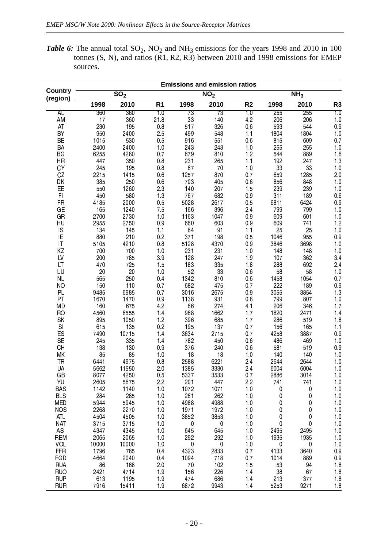**Table 6:** The annual total  $SO_2$ ,  $NO_2$  and  $NH_3$  emissions for the years 1998 and 2010 in 100 tonnes  $(S, N)$ , and ratios  $(R1, R2, R3)$  between 2010 and 1998 emissions for EMEP sources.

| <b>Country</b>    |             |                          |                |                       | <b>Emissions and emission ratios</b> |                |              |                          |                |
|-------------------|-------------|--------------------------|----------------|-----------------------|--------------------------------------|----------------|--------------|--------------------------|----------------|
| (region)          |             | $\overline{\text{SO}}_2$ |                |                       | $\overline{\text{NO}}_2$             |                |              | $\overline{\text{NH}}_3$ |                |
|                   | 1998        | $\overline{2010}$        | R <sub>1</sub> | 1998                  | 2010                                 | R <sub>2</sub> | 1998         | 2010                     | R <sub>3</sub> |
| AL<br>AM          | 360<br>17   | 360<br>360               | 1.0<br>21.8    | $\overline{73}$<br>33 | $\overline{73}$<br>140               | 1.0<br>4.2     | 255<br>206   | 255<br>206               | 10             |
| AT                | 230         | 195                      | 0.8            | 517                   | 326                                  | 06             | 593          | 544                      | 1.0<br>0.9     |
| BY                | 950         | 2400                     | 25             | 499                   | 548                                  | 1.1            | 1804         | 1804                     | 1.0            |
| BE                | 1015        | 530                      | 0.5            | 916                   | 551                                  | 06             | 815          | 609                      | 0.7            |
| BA                | 2400        | 2400                     | 1.0            | 243                   | 243                                  | 1.0            | 255          | 255                      | 1.0            |
| BG                | 6255        | 4280                     | 0.7            | 679                   | 810                                  | 1.2            | 544          | 889                      | 1.6            |
| <b>HR</b>         | 447         | 350                      | 0.8            | 231                   | 265                                  | 1.1            | 192          | 247                      | 1.3            |
| <b>CY</b>         | 245         | 195                      | 0.8            | 67                    | 70                                   | 1.0            | 33           | 33                       | 1.0            |
| CZ                | 2215        | 1415                     | 0.6            | 1257                  | 870                                  | 0.7            | 659          | 1285                     | 2.0            |
| DK                | 385         | 250                      | 0.6            | 703                   | 405                                  | 0.6            | 856          | 848                      | 1.0            |
| EE                | 550         | 1260                     | 23             | 140                   | 207                                  | 1.5            | 239          | 239                      | 1.0            |
| F1                | 450         | 580                      | 1.3            | 767                   | 682                                  | 0.9            | 311          | 189                      | 0.6            |
| <b>FR</b>         | 4185        | 2000                     | 0 <sub>5</sub> | 5028                  | 2617                                 | 0.5            | 6811         | 6424                     | 0.9            |
| GE                | 165         | 1240                     | 75             | 166                   | 396                                  | 2.4            | 799          | 799                      | 1.0            |
| GR                | 2700        | 2730                     | 1.0            | 1163                  | 1047                                 | 09             | 609          | 601                      | 1.0            |
| HU                | 2955        | 2750                     | 0.9            | 660                   | 603                                  | 0.9            | 609          | 741                      | 1.2            |
| IS                | 134         | 145                      | 1.1            | 84                    | 9 <sub>1</sub>                       | 1.1            | 25           | 25                       | 1.0            |
| IE<br> T          | 880<br>5105 | 210<br>4210              | 0.2<br>0.8     | 371<br>5128           | 198<br>4370                          | 0.5<br>09      | 1046<br>3846 | 955<br>3698              | 0.9<br>1.0     |
| KZ                | 700         | 700                      | 1.0            | 231                   | 231                                  | 1.0            | 148          | 148                      | 1.0            |
| LV                | 200         | 785                      | 39             | 128                   | 247                                  | 1.9            | 107          | 362                      | 3.4            |
| LT                | 470         | 725                      | 1.5            | 183                   | 335                                  | 1.8            | 288          | 692                      | 2.4            |
| LU                | 20          | 20                       | 1.0            | 52                    | 33                                   | 06             | 58           | 58                       | 1.0            |
| <b>NL</b>         | 565         | 250                      | 0.4            | 1342                  | 810                                  | 0.6            | 1458         | 1054                     | 0.7            |
| <b>NO</b>         | 150         | 110                      | 0.7            | 682                   | 475                                  | 0.7            | 222          | 189                      | 0.9            |
| <b>PL</b>         | 9485        | 6985                     | 0.7            | 3016                  | 2675                                 | 0.9            | 3055         | 3854                     | 1.3            |
| PT                | 1670        | 1470                     | 0.9            | 1138                  | 931                                  | 0.8            | 799          | 807                      | 1.0            |
| MD                | 160         | 675                      | 4.2            | 66                    | 274                                  | 4.1            | 206          | 346                      | 1.7            |
| <b>RO</b>         | 4560        | 6555                     | 1.4            | 968                   | 1662                                 | 1.7            | 1820         | 2471                     | 1.4            |
| <b>SK</b>         | 895         | 1050                     | 1.2            | 396                   | 685                                  | 1.7            | 286          | 519                      | 18             |
| $\mathsf{SI}$     | 615         | 135                      | 0.2            | 195                   | 137                                  | 0.7            | 156          | 165                      | 1.1            |
| ES                | 7490        | 10715                    | 1.4            | 3634                  | 2715                                 | 0.7            | 4258         | 3887                     | 0.9            |
| <b>SE</b>         | 245         | 335                      | 1.4            | 782                   | 450                                  | 06             | 486          | 469                      | 1.0            |
| CH<br>MK          | 138<br>85   | 130<br>85                | 0.9            | 376<br>18             | 240<br>18                            | 0.6            | 581<br>140   | 519<br>140               | 0.9            |
| TR                | 6441        | 4975                     | 1.0<br>0.8     | 2588                  | 6221                                 | 1.0<br>2.4     | 2644         | 2644                     | 1.0<br>1.0     |
| UA                | 5662        | 11550                    | 2.0            | 1385                  | 3330                                 | 2.4            | 6004         | 6004                     | 1.0            |
| GB                | 8077        | 4250                     | 0.5            | 5337                  | 3533                                 | 0.7            | 2886         | 3014                     | 1.0            |
| YU                | 2605        | 5675                     | 2.2            | 201                   | 447                                  | 2.2            | 741          | 741                      | 1.0            |
| <b>BAS</b>        | 1142        | 1140                     | 1.0            | 1072                  | 1071                                 | 1.0            | 0            | 0                        | 1.0            |
| <b>BLS</b>        | 284         | 285                      | 1.0            | 261                   | 262                                  | 1.0            | 0            | 0                        | 1.0            |
| <b>MED</b>        | 5944        | 5945                     | 1.0            | 4988                  | 4988                                 | 1.0            | 0            | 0                        | 1.0            |
| <b>NOS</b>        | 2268        | 2270                     | 1.0            | 1971                  | 1972                                 | 1.0            | 0            | 0                        | 1.0            |
| <b>ATL</b>        | 4504        | 4505                     | 1.0            | 3852                  | 3853                                 | 1.0            | 0            | 0                        | 1.0            |
| <b>NAT</b>        | 3715        | 3715                     | 1.0            | 0                     | 0                                    | 1.0            | 0            | 0                        | $1.0$          |
| ASI               | 4347        | 4345                     | 1.0            | 645                   | 645                                  | 1.0            | 2495         | 2495                     | $1.0$          |
| <b>REM</b>        | 2065        | 2065                     | 1.0            | 292                   | 292                                  | 1.0            | 1935         | 1935                     | 1.0            |
| VOL               | 10000       | 10000                    | 1.0            | $\pmb{0}$             | $\pmb{0}$                            | 1.0            | 0            | $\bf{0}$                 | 1.0            |
| <b>FFR</b>        | 1796        | 785                      | 0.4            | 4323                  | 2833                                 | 0.7            | 4133         | 3640                     | 09             |
| FGD<br><b>RUA</b> | 4664<br>86  | 2040<br>168              | 0.4<br>20      | 1094<br>$70\,$        | 718<br>102                           | 0.7<br>1.5     | 1014<br>53   | 889<br>94                | 0.9            |
| <b>RUO</b>        | 2421        | 4714                     | 1.9            | 156                   | 226                                  | 1.4            | 38           | 67                       | 1.8<br>1.8     |
| <b>RUP</b>        | 613         | 1195                     | 1.9            | 474                   | 686                                  | 1.4            | 213          | 377                      | 1.8            |
| <b>RUR</b>        | 7916        | 15411                    | 19             | 6872                  | 9943                                 | 1.4            | 5253         | 9271                     | 1.8            |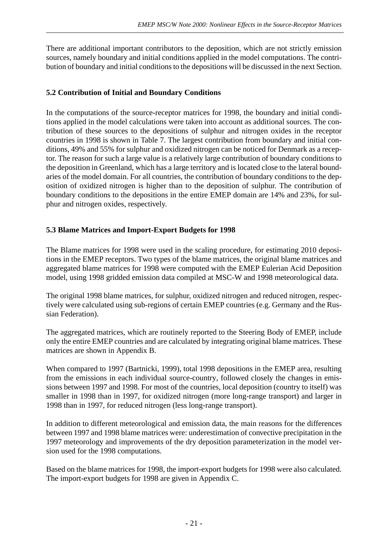There are additional important contributors to the deposition, which are not strictly emission sources, namely boundary and initial conditions applied in the model computations. The contribution of boundary and initial conditions to the depositions will be discussed in the next Section.

#### **5.2 Contribution of Initial and Boundary Conditions**

In the computations of the source-receptor matrices for 1998, the boundary and initial conditions applied in the model calculations were taken into account as additional sources. The contribution of these sources to the depositions of sulphur and nitrogen oxides in the receptor countries in 1998 is shown in Table 7. The largest contribution from boundary and initial conditions, 49% and 55% for sulphur and oxidized nitrogen can be noticed for Denmark as a receptor. The reason for such a large value is a relatively large contribution of boundary conditions to the deposition in Greenland, which has a large territory and is located close to the lateral boundaries of the model domain. For all countries, the contribution of boundary conditions to the deposition of oxidized nitrogen is higher than to the deposition of sulphur. The contribution of boundary conditions to the depositions in the entire EMEP domain are 14% and 23%, for sulphur and nitrogen oxides, respectively.

#### **5.3 Blame Matrices and Import-Export Budgets for 1998**

The Blame matrices for 1998 were used in the scaling procedure, for estimating 2010 depositions in the EMEP receptors. Two types of the blame matrices, the original blame matrices and aggregated blame matrices for 1998 were computed with the EMEP Eulerian Acid Deposition model, using 1998 gridded emission data compiled at MSC-W and 1998 meteorological data.

The original 1998 blame matrices, for sulphur, oxidized nitrogen and reduced nitrogen, respectively were calculated using sub-regions of certain EMEP countries (e.g. Germany and the Russian Federation).

The aggregated matrices, which are routinely reported to the Steering Body of EMEP, include only the entire EMEP countries and are calculated by integrating original blame matrices. These matrices are shown in Appendix B.

When compared to 1997 (Bartnicki, 1999), total 1998 depositions in the EMEP area, resulting from the emissions in each individual source-country, followed closely the changes in emissions between 1997 and 1998. For most of the countries, local deposition (country to itself) was smaller in 1998 than in 1997, for oxidized nitrogen (more long-range transport) and larger in 1998 than in 1997, for reduced nitrogen (less long-range transport).

In addition to different meteorological and emission data, the main reasons for the differences between 1997 and 1998 blame matrices were: underestimation of convective precipitation in the 1997 meteorology and improvements of the dry deposition parameterization in the model version used for the 1998 computations.

Based on the blame matrices for 1998, the import-export budgets for 1998 were also calculated. The import-export budgets for 1998 are given in Appendix C.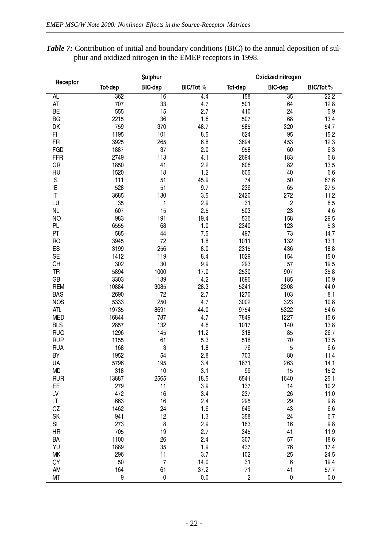Table 7: Contribution of initial and boundary conditions (BIC) to the annual deposition of sulphur and oxidized nitrogen in the EMEP receptors in 1998.

|                        |         | Sulphur         |                |                | Oxidized nitrogen |                |  |  |  |  |  |  |
|------------------------|---------|-----------------|----------------|----------------|-------------------|----------------|--|--|--|--|--|--|
| Receptor               | Tot-dep | <b>BIC-dep</b>  | BIC/Tot %      | Tot-dep        | <b>BIC-dep</b>    | BIC/Tot%       |  |  |  |  |  |  |
| <b>AL</b>              | 362     | $\overline{16}$ | 4.4            | 158            | $\overline{35}$   | 22.2           |  |  |  |  |  |  |
| AT                     | 707     | 33              | 4.7            | 501            | 64                | 12.8           |  |  |  |  |  |  |
| BE                     | 555     | 15              | 2.7            | 410            | 24                | 59             |  |  |  |  |  |  |
| BG                     | 2215    | 36              | 1.6            | 507            | 68                | 13.4           |  |  |  |  |  |  |
| DK                     | 759     | 370             | 48.7           | 585            | 320               | 54.7           |  |  |  |  |  |  |
| FI.                    | 1195    | 101             | 85             | 624            | 95                | 15.2           |  |  |  |  |  |  |
| <b>FR</b>              | 3925    | 265             | 68             | 3694           | 453               | 12.3           |  |  |  |  |  |  |
| FGD                    | 1887    | 37              | 2.0            | 958            | 60                | 63             |  |  |  |  |  |  |
| <b>FFR</b>             | 2749    | 113             | 4.1            | 2694           | 183               | 6.8            |  |  |  |  |  |  |
| GR                     | 1850    | 41              | 2.2            | 606            | 82                | 13.5           |  |  |  |  |  |  |
| HU                     | 1520    | 18              | 1.2            | 605            | 40                | 6.6            |  |  |  |  |  |  |
| IS                     | 111     | 51              | 459            | 74             | 50                | 67.6           |  |  |  |  |  |  |
| ΙE                     | 528     | 51              | 9.7            | 236            | 65                | 27.5           |  |  |  |  |  |  |
| $\mathsf{I}\mathsf{T}$ | 3685    | 130             | 35             | 2420           | 272               | 11.2           |  |  |  |  |  |  |
| LU                     | 35      | $\mathbf{1}$    | 2.9            | 3 <sup>1</sup> | $\boldsymbol{2}$  | 65             |  |  |  |  |  |  |
| NL                     | 607     | 15              | 2.5            | 503            | 23                | 46             |  |  |  |  |  |  |
| <b>NO</b>              | 983     | 191             | 19.4           | 536            | 158               | 29.5           |  |  |  |  |  |  |
| PL                     | 6555    | 68              | 1.0            | 2340           | 123               | 53             |  |  |  |  |  |  |
| PT                     | 585     | 44              | 75             | 497            | 73                | 14.7           |  |  |  |  |  |  |
| RO                     | 3945    | 72              | 1.8            | 1011           | 132               | 13.1           |  |  |  |  |  |  |
| ES                     | 3199    | 256             | 8 <sub>0</sub> | 2315           | 436               | 18.8           |  |  |  |  |  |  |
| <b>SE</b>              | 1412    | 119             | 8.4            | 1029           | 154               | 15.0           |  |  |  |  |  |  |
| CH                     | 302     | $30\,$          | 99             | 293            | 57                | 195            |  |  |  |  |  |  |
| TR                     | 5894    | 1000            | 17.0           | 2530           | 907               | 35.8           |  |  |  |  |  |  |
| GB                     | 3303    | 139             | 4.2            | 1696           | 185               | 10.9           |  |  |  |  |  |  |
| <b>REM</b>             | 10884   | 3085            | 283            | 5241           | 2308              | 44.0           |  |  |  |  |  |  |
| <b>BAS</b>             | 2690    | 72              | 2.7            | 1270           | 103               | 8 <sub>1</sub> |  |  |  |  |  |  |
| <b>NOS</b>             | 5333    | 250             | 47             | 3002           | 323               | 10.8           |  |  |  |  |  |  |
| <b>ATL</b>             | 19735   | 8691            | 44.0           | 9754           | 5322              | 54.6           |  |  |  |  |  |  |
| <b>MED</b>             | 16844   | 787             | 4.7            | 7849           | 1227              | 15.6           |  |  |  |  |  |  |
| <b>BLS</b>             | 2857    | 132             | 46             | 1017           | 140               | 13.8           |  |  |  |  |  |  |
| <b>RUO</b>             | 1296    | 145             | 11.2           | 318            | 85                | 26.7           |  |  |  |  |  |  |
| <b>RUP</b>             | 1155    | 61              | 53             | 518            | 70                | 13.5           |  |  |  |  |  |  |
| <b>RUA</b>             | 168     | 3               | 1.8            | 76             | 5                 | 6.6            |  |  |  |  |  |  |
| BY                     | 1952    | 54              | 2.8            | 703            | 80                | 11.4           |  |  |  |  |  |  |
| UA                     | 5796    | 195             | 34             | 1871           | 263               | 14.1           |  |  |  |  |  |  |
| MD                     | 318     | 10              | 3 <sub>1</sub> | 99             | 15                | 15.2           |  |  |  |  |  |  |
| <b>RUR</b>             | 13887   | 2565            | 18.5           | 6541           | 1640              | 25.1           |  |  |  |  |  |  |
| ЕE                     | 279     | 11              | 39             | 137            | 14                | 10.2           |  |  |  |  |  |  |
| LV                     | 472     | 16              | $3\;4$         | 237            | 26                | 11.0           |  |  |  |  |  |  |
| LT                     | 663     | 16              | 2.4            | 295            | 29                | 98             |  |  |  |  |  |  |
| CZ                     | 1462    | 24              | 1.6            | 649            | 43                | 6.6            |  |  |  |  |  |  |
| <b>SK</b>              | 941     | 12              | 1.3            | 358            | 24                | 67             |  |  |  |  |  |  |
| SI                     | 273     | $\bf 8$         | 29             | 163            | 16                | 98             |  |  |  |  |  |  |
| HR                     | 705     | 19              | 2.7            | 345            | 41                | 11.9           |  |  |  |  |  |  |
| BA                     | 1100    | 26              | 2.4            | 307            | 57                | 18.6           |  |  |  |  |  |  |
| YU                     | 1889    | 35              | 1.9            | 437            | 76                | 17.4           |  |  |  |  |  |  |
| ΜK                     | 296     | 11              | 37             | 102            | 25                | 24.5           |  |  |  |  |  |  |
| СY                     | 50      | $\overline{7}$  | 14.0           | 3 <sup>1</sup> | $\,6$             | 194            |  |  |  |  |  |  |
| AM                     | 164     | 61              | 37.2           | 71             | 41                | 57.7           |  |  |  |  |  |  |
| МT                     | 9       | 0               | $0.0\,$        | $\overline{c}$ | $\pmb{0}$         | 0.0            |  |  |  |  |  |  |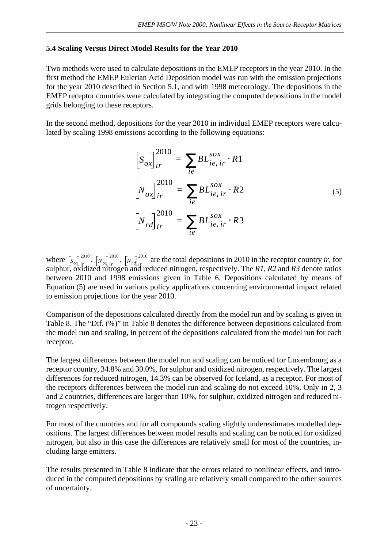#### **5.4 Scaling Versus Direct Model Results for the Year 2010**

Two methods were used to calculate depositions in the EMEP receptors in the year 2010. In the first method the EMEP Eulerian Acid Deposition model was run with the emission projections for the year 2010 described in Section 5.1, and with 1998 meteorology. The depositions in the EMEP receptor countries were calculated by integrating the computed depositions in the model grids belonging to these receptors.

In the second method, depositions for the year 2010 in individual EMEP receptors were calculated by scaling 1998 emissions according to the following equations:

$$
\[S_{ox}\]_{ir}^{2010} = \sum_{ie} BL_{ie,ir}^{sox} \cdot R1
$$

$$
\[N_{ox}\]_{ir}^{2010} = \sum_{ie} BL_{ie,ir}^{sox} \cdot R2
$$

$$
\[N_{rd}\]_{ir}^{2010} = \sum_{ie} BL_{ie,ir}^{sox} \cdot R3
$$

$$
(5)
$$

where  $\left[s_{ox}\right]_{ir}^{2010}$ ,  $\left[N_{ox}\right]_{ir}^{2010}$ ,  $\left[N_{rd}\right]_{ir}^{2010}$  are the total depositions in 2010 in the receptor country *ir*, for sulphur, oxidized nitrogen and reduced nitrogen, respectively. The *R1, R2* and *R3* denote ratios between 2010 and 1998 emissions given in Table 6. Depositions calculated by means of Equation (5) are used in various policy applications concerning environmental impact related to emission projections for the year 2010.

Comparison of the depositions calculated directly from the model run and by scaling is given in Table 8. The "Dif. (%)" in Table 8 denotes the difference between depositions calculated from the model run and scaling, in percent of the depositions calculated from the model run for each receptor.

The largest differences between the model run and scaling can be noticed for Luxembourg as a receptor country, 34.8% and 30.0%, for sulphur and oxidized nitrogen, respectively. The largest differences for reduced nitrogen, 14.3% can be observed for Iceland, as a receptor. For most of the receptors differences between the model run and scaling do not exceed 10%. Only in 2, 3 and 2 countries, differences are larger than 10%, for sulphur, oxidized nitrogen and reduced nitrogen respectively.

For most of the countries and for all compounds scaling slightly underestimates modelled depositions. The largest differences between model results and scaling can be noticed for oxidized nitrogen, but also in this case the differences are relatively small for most of the countries, including large emitters.

The results presented in Table 8 indicate that the errors related to nonlinear effects, and introduced in the computed depositions by scaling are relatively small compared to the other sources of uncertainty.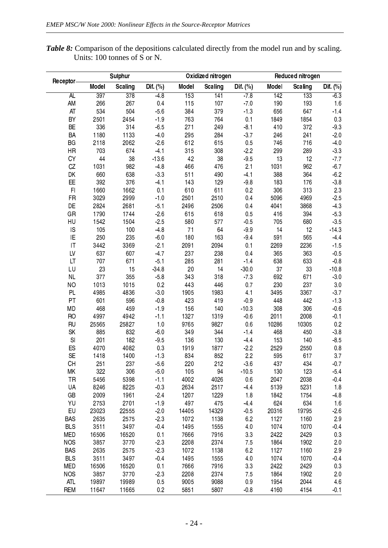*Table 8:* Comparison of the depositions calculated directly from the model run and by scaling. Units: 100 tonnes of S or N.

|                        |       | Sulphur          |            |       | Oxidized nitrogen |            |       | Reduced nitrogen |            |
|------------------------|-------|------------------|------------|-------|-------------------|------------|-------|------------------|------------|
| Receptor-              | Model | <b>Scaling</b>   | Dif. $(%)$ | Model | Scaling           | Dif. $(%)$ | Model | Scaling          | Dif. $(%)$ |
| AL                     | 397   | $\overline{378}$ | $-48$      | 153   | 141               | $-7.8$     | 142   | 133              | $-6.3$     |
| AM                     | 266   | 267              | 0.4        | 115   | 107               | $-70$      | 190   | 193              | 1.6        |
| AT                     | 534   | 504              | $-5.6$     | 384   | 379               | $-1.3$     | 656   | 647              | $-1.4$     |
| BY                     | 2501  | 2454             | $-19$      | 763   | 764               | 0.1        | 1849  | 1854             | 03         |
| BE                     | 336   | 314              | $-6.5$     | 271   | 249               | $-8.1$     | 410   | 372              | $-9.3$     |
| BA                     | 1180  | 1133             | $-40$      | 295   | 284               | $-3.7$     | 246   | 241              | $-2.0$     |
| BG                     | 2118  | 2062             | $-2.6$     | 612   | 615               | 0.5        | 746   | 716              | $-4.0$     |
| HR                     | 703   | 674              | $-4.1$     | 315   | 308               | $-2.2$     | 299   | 289              | $-3.3$     |
| CY                     | 44    | 38               | $-13.6$    | 42    | 38                | $-9.5$     | 13    | 12               | $-7.7$     |
| CZ                     | 1031  | 982              | $-48$      | 466   | 476               | 2.1        | 1031  | 962              | $-6.7$     |
| DK                     | 660   | 638              | $-33$      | 511   | 490               | $-4.1$     | 388   | 364              | $-6.2$     |
| EE                     | 392   | 376              | $-4.1$     | 143   | 129               | $-9.8$     | 183   | 176              | $-3.8$     |
| F <sub>1</sub>         | 1660  | 1662             | 0.1        | 610   | 611               | 0.2        | 306   | 313              | 23         |
| FR                     | 3029  | 2999             | $-1.0$     | 2501  | 2510              | 0.4        | 5096  | 4969             | $-2.5$     |
| DE                     | 2824  | 2681             | $-5.1$     | 2496  | 2506              | 0.4        | 4041  | 3868             | $-4.3$     |
| GR                     | 1790  | 1744             | $-2.6$     | 615   | 618               | 0.5        | 416   | 394              | $-5.3$     |
| HU                     | 1542  | 1504             | $-2.5$     | 580   | 577               | $-0.5$     | 705   | 680              | $-3.5$     |
| IS                     | 105   | 100              | $-48$      | 71    | 64                | $-9.9$     | 14    | 12               | $-143$     |
| ΙE                     | 250   | 235              | $-6.0$     | 180   | 163               | $-9.4$     | 591   | 565              | $-4.4$     |
| $\mathsf{I}\mathsf{T}$ | 3442  | 3369             | $-2.1$     | 2091  | 2094              | 0.1        | 2269  | 2236             | $-1.5$     |
| LV                     | 637   | 607              | $-4.7$     | 237   | 238               | 0.4        | 365   | 363              | $-0.5$     |
| LT                     | 707   | 671              | $-5.1$     | 285   | 281               | $-1.4$     | 638   | 633              | $-0.8$     |
| LU                     | 23    | 15               | $-34.8$    | 20    | 14                | $-30.0$    | 37    | 33               | $-10.8$    |
| <b>NL</b>              | 377   | 355              | $-5.8$     | 343   | 318               | $-73$      | 692   | 671              | $-3.0$     |
| NO                     | 1013  | 1015             | 0.2        | 443   | 446               | 0.7        | 230   | 237              | $3\;0$     |
| PL                     | 4985  | 4836             | $-3.0$     | 1905  | 1983              | 4.1        | 3495  | 3367             | $-3.7$     |
| PT                     | 601   | 596              | $-0.8$     | 423   | 419               | $-0.9$     | 448   | 442              | $-1.3$     |
| <b>MD</b>              | 468   | 459              | $-1.9$     | 156   | 140               | $-10.3$    | 308   | 306              | $-0.6$     |
| RO                     | 4997  | 4942             | $-1.1$     | 1327  | 1319              | $-0.6$     | 2011  | 2008             | $-0.1$     |
| <b>RU</b>              | 25565 | 25827            | 1.0        | 9765  | 9827              | 0.6        | 10286 | 10305            | 0.2        |
| <b>SK</b>              | 885   | 832              | $-6.0$     | 349   | 344               | $-1.4$     | 468   | 450              | $3.8\,$    |
| S                      | 201   | 182              | $-9.5$     | 136   | 130               | $-44$      | 153   | 140              | $-8.5$     |
| ES                     | 4070  | 4082             | 0.3        | 1919  | 1877              | $-2.2$     | 2529  | 2550             | $0.8\,$    |
| <b>SE</b>              | 1418  | 1400             | $-13$      | 834   | 852               | 2.2        | 595   | 617              | 3.7        |
| <b>CH</b>              | 251   | 237              | $-5.6$     | 220   | 212               | $-36$      | 437   | 434              | $-0.7$     |
| ΜK                     | 322   | 306              | $-5.0$     | 105   | 94                | $-10.5$    | 130   | 123              | $-5.4$     |
| <b>TR</b>              | 5456  | 5398             | $-1.1$     | 4002  | 4026              | 0.6        | 2047  | 2038             | $-0.4$     |
| UA                     | 8246  | 8225             | $-0.3$     | 2634  | 2517              | $-44$      | 5139  | 5231             | 1.8        |
| GB                     | 2009  | 1961             | $-2.4$     | 1207  | 1229              | 18         | 1842  | 1754             | $-48$      |
| YU                     | 2753  | 2701             | $-1.9$     | 497   | 475               | $-44$      | 624   | 634              | 1.6        |
| EU                     | 23023 | 22555            | $-2.0$     | 14405 | 14329             | $-0.5$     | 20316 | 19795            | $-2.6$     |
| <b>BAS</b>             | 2635  | 2575             | $-23$      | 1072  | 1138              | 6.2        | 1127  | 1160             | 2.9        |
| <b>BLS</b>             | 3511  | 3497             | $-0.4$     | 1495  | 1555              | 4.0        | 1074  | 1070             | $-0.4$     |
| <b>MED</b>             | 16506 | 16520            | 0.1        | 7666  | 7916              | $3\,3$     | 2422  | 2429             | 03         |
| <b>NOS</b>             | 3857  | 3770             | $-23$      | 2208  | 2374              | 7.5        | 1864  | 1902             | 2.0        |
| <b>BAS</b>             | 2635  | 2575             | $-23$      | 1072  | 1138              | 6.2        | 1127  | 1160             | 2.9        |
| <b>BLS</b>             | 3511  | 3497             | $-0.4$     | 1495  | 1555              | 4.0        | 1074  | 1070             | $-0.4$     |
| <b>MED</b>             | 16506 | 16520            | 0.1        | 7666  | 7916              | 33         | 2422  | 2429             | 03         |
| <b>NOS</b>             | 3857  | 3770             | $-23$      | 2208  | 2374              | 7.5        | 1864  | 1902             | 2.0        |
| <b>ATL</b>             | 19897 | 19989            | 0.5        | 9005  | 9088              | 0.9        | 1954  | 2044             | 4.6        |
| <b>REM</b>             | 11647 | 11665            | 0.2        | 5851  | 5807              | $-0.8$     | 4160  | 4154             | $-0.1$     |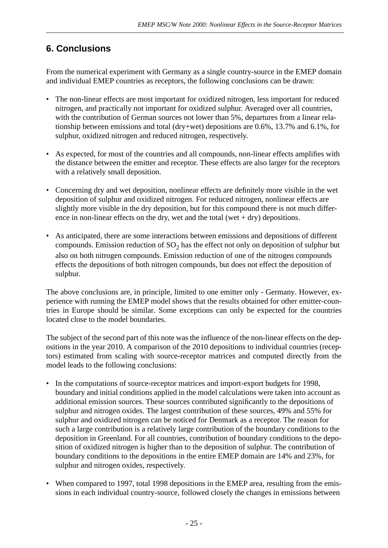# **6. Conclusions**

From the numerical experiment with Germany as a single country-source in the EMEP domain and individual EMEP countries as receptors, the following conclusions can be drawn:

- The non-linear effects are most important for oxidized nitrogen, less important for reduced nitrogen, and practically not important for oxidized sulphur. Averaged over all countries, with the contribution of German sources not lower than 5%, departures from a linear relationship between emissions and total (dry+wet) depositions are 0.6%, 13.7% and 6.1%, for sulphur, oxidized nitrogen and reduced nitrogen, respectively.
- As expected, for most of the countries and all compounds, non-linear effects amplifies with the distance between the emitter and receptor. These effects are also larger for the receptors with a relatively small deposition.
- Concerning dry and wet deposition, nonlinear effects are definitely more visible in the wet deposition of sulphur and oxidized nitrogen. For reduced nitrogen, nonlinear effects are slightly more visible in the dry deposition, but for this compound there is not much difference in non-linear effects on the dry, wet and the total (wet  $+$  dry) depositions.
- As anticipated, there are some interactions between emissions and depositions of different compounds. Emission reduction of  $\mathrm{SO}_2$  has the effect not only on deposition of sulphur but also on both nitrogen compounds. Emission reduction of one of the nitrogen compounds effects the depositions of both nitrogen compounds, but does not effect the deposition of sulphur.

The above conclusions are, in principle, limited to one emitter only - Germany. However, experience with running the EMEP model shows that the results obtained for other emitter-countries in Europe should be similar. Some exceptions can only be expected for the countries located close to the model boundaries.

The subject of the second part of this note was the influence of the non-linear effects on the depositions in the year 2010. A comparison of the 2010 depositions to individual countries (receptors) estimated from scaling with source-receptor matrices and computed directly from the model leads to the following conclusions:

- In the computations of source-receptor matrices and import-export budgets for 1998, boundary and initial conditions applied in the model calculations were taken into account as additional emission sources. These sources contributed significantly to the depositions of sulphur and nitrogen oxides. The largest contribution of these sources, 49% and 55% for sulphur and oxidized nitrogen can be noticed for Denmark as a receptor. The reason for such a large contribution is a relatively large contribution of the boundary conditions to the deposition in Greenland. For all countries, contribution of boundary conditions to the deposition of oxidized nitrogen is higher than to the deposition of sulphur. The contribution of boundary conditions to the depositions in the entire EMEP domain are 14% and 23%, for sulphur and nitrogen oxides, respectively.
- When compared to 1997, total 1998 depositions in the EMEP area, resulting from the emissions in each individual country-source, followed closely the changes in emissions between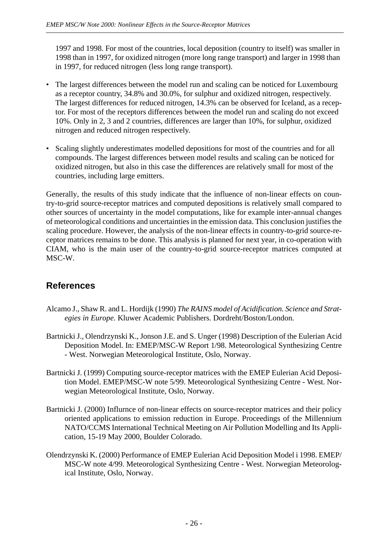1997 and 1998. For most of the countries, local deposition (country to itself) was smaller in 1998 than in 1997, for oxidized nitrogen (more long range transport) and larger in 1998 than in 1997, for reduced nitrogen (less long range transport).

- The largest differences between the model run and scaling can be noticed for Luxembourg as a receptor country, 34.8% and 30.0%, for sulphur and oxidized nitrogen, respectively. The largest differences for reduced nitrogen, 14.3% can be observed for Iceland, as a receptor. For most of the receptors differences between the model run and scaling do not exceed 10%. Only in 2, 3 and 2 countries, differences are larger than 10%, for sulphur, oxidized nitrogen and reduced nitrogen respectively.
- Scaling slightly underestimates modelled depositions for most of the countries and for all compounds. The largest differences between model results and scaling can be noticed for oxidized nitrogen, but also in this case the differences are relatively small for most of the countries, including large emitters.

Generally, the results of this study indicate that the influence of non-linear effects on country-to-grid source-receptor matrices and computed depositions is relatively small compared to other sources of uncertainty in the model computations, like for example inter-annual changes of meteorological conditions and uncertainties in the emission data. This conclusion justifies the scaling procedure. However, the analysis of the non-linear effects in country-to-grid source-receptor matrices remains to be done. This analysis is planned for next year, in co-operation with CIAM, who is the main user of the country-to-grid source-receptor matrices computed at MSC-W.

# **References**

- Alcamo J., Shaw R. and L. Hordijk (1990) *The RAINS model of Acidification. Science and Strategies in Europe.* Kluwer Academic Publishers. Dordreht/Boston/London.
- Bartnicki J., Olendrzynski K., Jonson J.E. and S. Unger (1998) Description of the Eulerian Acid Deposition Model. In: EMEP/MSC-W Report 1/98. Meteorological Synthesizing Centre - West. Norwegian Meteorological Institute, Oslo, Norway.
- Bartnicki J. (1999) Computing source-receptor matrices with the EMEP Eulerian Acid Deposition Model. EMEP/MSC-W note 5/99. Meteorological Synthesizing Centre - West. Norwegian Meteorological Institute, Oslo, Norway.
- Bartnicki J. (2000) Influrnce of non-linear effects on source-receptor matrices and their policy oriented applications to emission reduction in Europe. Proceedings of the Millennium NATO/CCMS International Technical Meeting on Air Pollution Modelling and Its Application, 15-19 May 2000, Boulder Colorado.
- Olendrzynski K. (2000) Performance of EMEP Eulerian Acid Deposition Model i 1998. EMEP/ MSC-W note 4/99. Meteorological Synthesizing Centre - West. Norwegian Meteorological Institute, Oslo, Norway.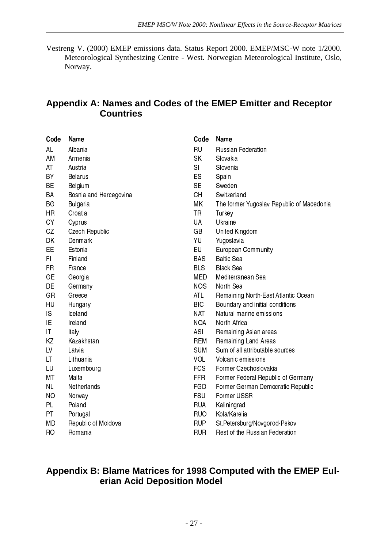Vestreng V. (2000) EMEP emissions data. Status Report 2000. EMEP/MSC-W note 1/2000. Meteorological Synthesizing Centre - West. Norwegian Meteorological Institute, Oslo, Norway.

## **Appendix A: Names and Codes of the EMEP Emitter and Receptor Countries**

| Code      | Name                   | Code           | Name                                      |
|-----------|------------------------|----------------|-------------------------------------------|
| AL        | Albania                | <b>RU</b>      | <b>Russian Federation</b>                 |
| AM        | Armenia                | <b>SK</b>      | Slovakia                                  |
| AT        | Austria                | S <sub>l</sub> | Slovenia                                  |
| <b>BY</b> | <b>Belarus</b>         | ES             | Spain                                     |
| <b>BE</b> | Belgium                | <b>SE</b>      | Sweden                                    |
| BA        | Bosnia and Hercegovina | <b>CH</b>      | Switzerland                               |
| <b>BG</b> | <b>Bulgaria</b>        | МK             | The former Yugoslav Republic of Macedonia |
| <b>HR</b> | Croatia                | <b>TR</b>      | Turkey                                    |
| <b>CY</b> | Cyprus                 | <b>UA</b>      | Ukraine                                   |
| CZ        | Czech Republic         | GB             | United Kingdom                            |
| DK        | Denmark                | YU             | Yugoslavia                                |
| EE.       | Estonia                | <b>EU</b>      | <b>European Community</b>                 |
| FI.       | Finland                | <b>BAS</b>     | <b>Baltic Sea</b>                         |
| FR.       | France                 | <b>BLS</b>     | <b>Black Sea</b>                          |
| GE        | Georgia                | <b>MED</b>     | Mediterranean Sea                         |
| DE        | Germany                | <b>NOS</b>     | North Sea                                 |
| <b>GR</b> | Greece                 | ATL            | Remaining North-East Atlantic Ocean       |
| HU        | Hungary                | <b>BIC</b>     | Boundary and initial conditions           |
| IS        | Iceland                | <b>NAT</b>     | Natural marine emissions                  |
| IE        | Ireland                | <b>NOA</b>     | North Africa                              |
| IT        | Italy                  | ASI            | Remaining Asian areas                     |
| KZ        | Kazakhstan             | <b>REM</b>     | Remaining Land Areas                      |
| LV        | Latvia                 | <b>SUM</b>     | Sum of all attributable sources           |
| LT        | Lithuania              | <b>VOL</b>     | Volcanic emissions                        |
| LU        | Luxembourg             | <b>FCS</b>     | Former Czechoslovakia                     |
| MT        | Malta                  | <b>FFR</b>     | Former Federal Republic of Germany        |
| <b>NL</b> | Netherlands            | FGD            | Former German Democratic Republic         |
| <b>NO</b> | Norway                 | <b>FSU</b>     | Former USSR                               |
| PL        | Poland                 | <b>RUA</b>     | Kaliningrad                               |
| PT.       | Portugal               | <b>RUO</b>     | Kola/Karelia                              |
| MD        | Republic of Moldova    | <b>RUP</b>     | St.Petersburg/Novgorod-Pskov              |
| <b>RO</b> | Romania                | <b>RUR</b>     | Rest of the Russian Federation            |

### **Appendix B: Blame Matrices for 1998 Computed with the EMEP Eulerian Acid Deposition Model**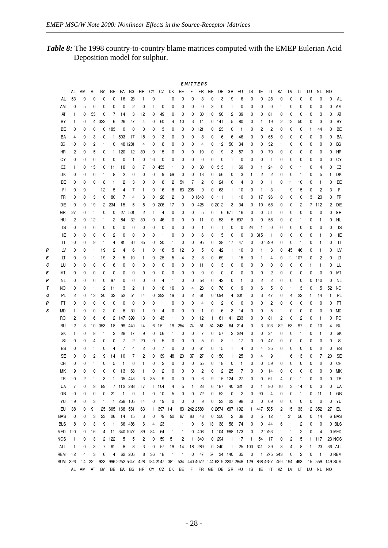*Table 8:* The 1998 country-to-country blame matrices computed with the EMEP Eulerian Acid Deposition model for sulphur.

|   | <b>EMITTERS</b> |              |                         |                |                |              |                   |              |                         |              |                           |                         |              |              |                   |    |                |                    |                   |              |                |              |              |              |                         |           |                |              |          |
|---|-----------------|--------------|-------------------------|----------------|----------------|--------------|-------------------|--------------|-------------------------|--------------|---------------------------|-------------------------|--------------|--------------|-------------------|----|----------------|--------------------|-------------------|--------------|----------------|--------------|--------------|--------------|-------------------------|-----------|----------------|--------------|----------|
|   |                 | AL           | AM                      | AT             | BY             | ВE           | BA                | ВG           | HR                      | CY           | CZ                        | DK                      | EE           | FL.          | FR.               | GE | DE             | GR                 | HU                | ΙS           | ΙE             | IT           | ΚZ           | LV           | LT                      | LU        |                | NL NO        |          |
|   | AL.             | 53           | 0                       | 0              | 0              | 0            | 16                | 28           | -1                      | 0            | -1                        | 0                       | 0            | 0            | 3                 | 0  | 3              | 19                 | 6                 | 0            | 0              | 28           | 0            | 0            | 0                       | 0         | 0              | 0            | AL       |
|   | АM              | 0            | 5                       | 0              | 0              | 0            | 0                 | 2            | 0                       |              | 0                         | 0                       | 0            | 0            | 0                 | 3  | 0              |                    | 0                 | 0            | 0              | 0            | -1           | 0            | 0                       | 0         | 0              | 0            | AM       |
|   | AT              | $\mathbf{1}$ | 0                       | 55             | 0              | 7            | 14                | 3            | 12                      | 0            | 49                        | 0                       | 0            | 0            | 30                | 0  | 96             | 2                  | 39                | 0            | 0              | 81           | 0            | 0            | 0                       | 0         | 3              | 0            | AT       |
|   | BY              | 1            | 0                       | 4              | 322            | 6            | 26                | 47           | 4                       | 0            | 60                        | 4                       | 10           | 3            | 14                | 0  | -141           | 5                  | 80                | 0            | -1             | 19           | 2            | 12           | 50                      | 0         | 3              | 0            | BY       |
|   | ВE              | 0            | 0                       | 0              | 0              | 183          | 0                 | 0            | 0                       | 0            | 3                         | 0                       | 0            | 0            | 121               | 0  | 23             | 0                  | $\mathbf{1}$      | 0            | 2              | 2            | 0            | 0            | 0                       | -1        | 44             | 0            | ВE       |
|   | BA              | 4            | 0                       | 3              | 0              | $\mathbf{1}$ | 503               | -17          | 18                      | 0            | 13                        | 0                       | 0            | 0            | 8                 | 0  | 16             | 6                  | 46                | 0            | 0              | 65           | 0            | 0            | 0                       | 0         | 0              | 0            | BA       |
|   | BG              | 10           | 0                       | $\overline{c}$ | -1             | 0            |                   | 48 1281      | 4                       | 0            | 8                         | 0                       | 0            | 0            | 4                 | 0  | 12             | 50                 | 34                | 0            | 0              | 32           | -1           | 0            | 0                       | 0         | 0              | 0            | ВG       |
|   | HR              | 2            | 0                       | 5              | 0              | $\mathbf{1}$ | 120               | 12           | 80                      | 0            | 15                        | 0                       | 0            | 0            | 10                | 0  | 19             | 3                  | 57                | 0            | 0              | 70           | 0            | 0            | 0                       | 0         | 0              | 0            | HR       |
|   | СY              | 0            | 0                       | 0              | 0              | 0            | 0                 | $\mathbf{1}$ | 0                       | 16           | 0                         | 0                       | 0            | 0            | 0                 | 0  | 0              |                    | 0                 | 0            | 0              | -1           | 0            | 0            | 0                       | 0         | 0              | 0            | СY       |
|   | СZ              | $\mathbf{1}$ | 0                       | 15             | 0              | 11           | 18                | 8            | 7                       | 0            | 453                       | -1                      | 0            | 0            | 30                | 0  | 313            | J.                 | 69                | 0            | $\mathbf{1}$   | 24           | 0            | 0            | -1                      | 0         | 4              | 0            | CZ       |
|   | DK              | 0            | 0                       | 0              |                | 8            | 2                 | 0            | 0                       | 0            | 9                         | 59                      | 0            | 0            | 13                | 0  | 56             | 0                  | 3                 | 1            | 2              | 2            | 0            | 0            | -1                      | 0         | 5              | $\mathbf{1}$ | DK       |
|   | EE              | 0            | 0                       | 0              | 8              | $\vert$      | 2                 | 3            | 0                       | 0            | 8                         | $\overline{c}$          | 54           | 7            | 2                 | 0  | 24             | 0                  | 4                 | 0            | 0              | -1           | 0            | 11           | 10                      | 0         | -1             | 0            | EE       |
|   | FI.             | 0            | 0                       | -1             | 12             | 5            | 4                 | 7            | -1                      | 0            | 16                        | 8                       | 63           | 205          | 9                 | 0  | 63             | -1                 | 10                | 0            | -1             | 3            | -1           | 9            | 15                      | 0         | 2              | 3            | FI.      |
|   | FR              | 0            | 0                       | 3              | 0              | 80           | 7                 | 4            | 3                       | 0            | 28                        | $\overline{\mathbf{c}}$ | 0            |              | 0 1648            |    | 0111           | -1                 | 10                | 0            | 17             | 96           | 0            | 0            | 0                       | 3         | 23             | 0            | FR       |
|   | DE              | 0            | 0                       | 19             | $\overline{c}$ | 234          | 15                | 5            | 5                       | 0            | 206                       | 17                      | 0            | 0            | 425               |    | 0 2012         | 3                  | 34                | 0            | 10             | 68           | 0            | 0            | 2                       | 7         | 112            | 2            | DE       |
|   | GR              | 27           | 0                       | -1             | 0              | 0            | 27                | 501          | 2                       | 1            | 4                         | 0                       | 0            | 0            | 5                 | 0  | 6              | 671                | 16                | 0            | 0              | 51           | 0            | 0            | 0                       | 0         | 0              | 0            | GR       |
|   | HU              | 2            | 0                       | 12             |                | 2            | 84                | 32           | 30                      | 0            | 46                        | 0                       | 0            | 0            | 11                | 0  | 53             | 5                  | 607               | 0            | 0              | 58           | 0            | 0            | -1                      | 0         |                | 0            | HU       |
|   | ΙS              | 0            | 0                       | 0              | 0              | 0            | 0                 | 0            | 0                       | 0            | 0                         | 0                       | 0            | 0            | $\mathbf{1}$      | 0  | -1             | 0                  | 0                 | 24           | -1             | 0            | 0            | 0            | 0                       | 0         | 0              | 0            | ΙS       |
|   | IE              | 0            | 0                       | 0              | 0              | 2            | 0                 | 0            | 0                       | 0            | -1                        | 0                       | 0            | 0            | 6                 | 0  | 5              | 0                  | 0                 | 0            | 315            | -1           | 0            | 0            | 0                       | 0         |                | 0            | IE       |
|   | IT              | 10           | 0                       | 9              | -1             | 4            | 81                | 30           | 35                      | 0            | 20                        | -1                      | 0            | 0            | 95                | 0  | 38             | 17                 | 47                | 0            |                | 0 1229       | 0            | 0            | -1                      | 0         |                | 0            | IT       |
| R | LV              | 0            | 0                       | -1             | 19             | 2            | 4                 | 6            | -1                      | 0            | 16                        | 5                       | 12           | 3            | 5                 | 0  | 42             | -1                 | 10                | 0            | -1             | 3            | 0            | 45           | 46                      | 0         |                | 0            | LV       |
| Ε | LT              | 0            | 0                       | -1             | 19             | 3            | 5                 | 10           | -1                      | 0            | 25                        | 5                       | 4            | 2            | 8                 | 0  | 69             | -1                 | 15                | 0            | -1             | 4            | 0            | 11           | 107                     | 0         | $\overline{c}$ | 0            | LT       |
| с | LU              | 0            | 0                       | 0              | 0              | 6            | 0                 | 0            | 0                       | 0            | 0                         | 0                       | 0            | 0            | 11                | 0  | 3              | 0                  | 0                 | 0            | 0              | 0            | 0            | 0            | 0                       | -1        | -1             | 0            | LU       |
| Ε | МT              | 0            | 0                       | 0              | 0              | 0            | 0                 | 0            | 0                       | 0            | 0                         | 0                       | 0            | 0            | 0                 | 0  | 0              | 0                  | 0                 | 0            | 0              | 2            | 0            | 0            | 0                       | 0         | 0              | 0            | МT       |
| Ρ | NL              |              | 0                       | 0              | 0              | 97           | 0                 |              | 0                       | 0            | 4                         | -1                      |              | 0            |                   | 0  | 42             |                    |                   |              |                |              | 0            | 0            |                         | 0         | 140            | 0            |          |
| T | NO.             | 0<br>0       | 0                       | -1             | $\overline{c}$ | 11           | 3                 | 0<br>2       | -1                      | 0            | 18                        | 16                      | 0<br>3       | 4            | 58<br>23          | 0  | 78             | 0<br>0             | $\mathbf{1}$<br>9 | 0<br>0       | 2<br>6         | 2<br>5       | 0            | 1            | 0<br>3                  | 0         | 5              | 52           | NL<br>NO |
| ο | PL              | 2            |                         | 13             | 20             | 32           |                   |              |                         | 0            | 392                       | 19                      | 3            | 2            | 61                |    |                | 4                  | 201               | 0            |                |              |              | 4            | 22                      | -1        | 14             | $\mathbf{1}$ | PL.      |
|   |                 |              | 0                       |                |                |              | 52                | 54           | 14                      |              |                           |                         |              |              |                   |    | 0 1 0 9 4      |                    |                   |              | 3              | 47           | 0            |              |                         |           |                |              |          |
| R | PT              | 0            | 0                       | 0              | 0              | 0            | 0                 | 0            | 0                       | 0            | -1                        | 0                       | 0            | 0            | 4                 | 0  | 2              | 0                  | 0                 | 0            | 0              | 2            | 0            | 0            | 0                       | 0         | 0              | 0            | PT       |
| s | MD              | $\mathbf{1}$ | 0                       | 0              | $\overline{c}$ | 0            | 8                 | 30           | -1                      | 0            | 4                         | 0                       | 0            | 0            | $\mathbf{1}$      | 0  | 6              | 3                  | 14                | 0            | 0              | 5            | -1           | 0            | 0                       | 0         | 0              | 0            | MD       |
|   | RO              | 12           | 0                       | 6              | 6              | 2            | 147               | 399          | 13                      | 0            | 43                        | -1                      | 0            | 0            | 12                | 1  | 61             | 41                 | 233               | 0            | 0              | 81           | 2            | 0            | 2                       | 0         | $\mathbf{1}$   | 0            | RO       |
|   | RU              | 12           | 3                       | 10             | 353            | 18           | 99                | 440          | 14                      | 6            | 151                       | 19                      | 254          | 74           | 51                | 54 | 343            | 64                 | 214               | 0            | 3              | 103          | 182          | 53           | 97                      | 0         | 10             | 4            | RU       |
|   | SΚ              | $\mathbf{1}$ | 0                       | 8              | -1             | 2            | 28                | -17          | 9                       | 0            | 56                        | -1                      | 0            | 0            | 7                 | 0  | 57             | $\overline{c}$     | 224               | 0            | 0              | 24           | 0            | 0            | -1                      | 0         |                | 0            | SК       |
|   | SI              | 0            | 0                       | 4              | 0              | 0            | 7                 | 2            | 20                      | 0            | 5                         | 0                       | 0            | 0            | 5                 | 0  | 8              | -1                 | -17               | 0            | 0              | 47           | 0            | 0            | 0                       | 0         | 0              | 0            | SI       |
|   | ES              | 0            | 0                       |                | 0              | 4            | 7                 | 4            | 2                       | 0            | 7                         | 0                       | 0            | 0            | 64                | 0  | 15             |                    | 4                 | 0            | 4              | 35           | 0            | 0            | 0                       | 0         | 2              | 0            | ES       |
|   | SE              | 0            | 0                       | 2              | 9              | 14           | 10                | 7            | 2                       | 0            | 39                        | 48                      | 20           | 37           | 27                | 0  | 150            |                    | 25                | 0            | 4              | 9            | 1            | 6            | 13                      | 0         | 7              | 20           | SE       |
|   | CН              | 0            | 0                       |                | 0              | 5            | -1                | 0            | -1                      | 0            | 2                         | 0                       | 0            | 0            | 55                | 0  | 18             | 0                  | -1                | 0            | 0              | 59           | 0            | 0            | 0                       | 0         | 2              | 0            | CН       |
|   | МK              | 19           | 0                       | 0              | $\Omega$       | 0            | 13                | 63           | $\mathbf{1}$            | 0            | $\overline{c}$            | $\mathbf 0$             | 0            | 0            | 2                 | 0  | $\overline{2}$ | 25                 | 7                 | 0            | 0              | 14           | 0            | 0            | 0                       | $\Omega$  | 0              | 0            | МK       |
|   | TR              | 10           | $\overline{\mathbf{c}}$ |                | 3              | $\mathbf{1}$ | 35                | 443          | 3                       | 35           | 9                         | 0                       | 0            | 0            | 6                 | 9  |                | 15 124             | 27                | 0            | 0              | 61           | 4            | 0            |                         | 0         | 0              | 0            | TR       |
|   | UA              | 7            | 0                       | 9              | 89             |              | 7 112 288         |              | 17                      | $\mathbf{1}$ | 104                       | 4                       | 5            |              | 23                | 6  | 187            | 40                 | 321               | 0            | -1             | 80           | 10           | 3            | 14                      | 0         | 3              | 0            | UA       |
|   | GB              | 0            | 0                       | 0              | 0              | 21           | $\blacksquare$    | 0            | $\overline{1}$          | 0            | 10                        | 5                       | 0            | 0            | 72                | 0  | 52             | 0                  | $\overline{c}$    | 0            | 90             | 4            | 0            | 0            | $\mathbf{1}$            | 0         | 11             | $\mathbf{1}$ | GB       |
|   | YU              | 19           | 0                       | 3              | $\mathbf{1}$   | $\mathbf{1}$ | 258               | 105          | 14                      | 0            | 19                        | 0                       | 0            | 0            | 9                 | 0  | 23             | 23                 | 98                | 0            | 0              | 69           | 0            | 0            | 0                       | 0         | 0              | 0            | YU       |
|   | EU              | 38           | 0                       | 91             | 25             | 665          | 168               | 561          | 63                      | $\mathbf{1}$ | 397                       | 141                     | 83           | 242 2588     |                   |    | 0 2674 697     |                    | 192               |              | 1 447 1585     |              | 2            | 15           | 33                      |           | 12 352         |              | 27 EU    |
|   | BAS             | 0            | 0                       | 3              | 23             | 26           | 14                | 15           | 3                       | 0            | 79                        | 90                      | 87           | 83           | 43                |    | 0, 350         | 2                  | 38                | 0            | 5              | 12           | $\mathbf{1}$ | 31           | 56                      | 0         | 14             |              | 6 BAS    |
|   | <b>BLS</b>      | 8            | 0                       | 3              | 9              | $\mathbf{1}$ | 66                | 486          | 6                       | 4            | 23                        | $\mathbf{1}$            | $\mathbf{1}$ | 0            | 6                 | 13 | 38             | 58                 | 74                | 0            | 0              | 44           | 6            | $\mathbf{1}$ | $\overline{c}$          | 0         | 0              |              | $0$ BLS  |
|   | MED 110         |              | 0                       | 16             | 4              | $11 -$       | 340 1077          |              | 89                      | 84           | 64                        | $\mathbf{1}$            | 1            | 0            | 408               |    | 1 104 988      |                    | 173               | 0            |                | 2 1753       | $\mathbf{1}$ | 1            | $\overline{\mathbf{c}}$ | 0         | 4              |              | 0 MED    |
|   | <b>NOS</b>      | $\mathbf{1}$ | 0                       | 3              | 2              | 122          | 5                 | 5            | 2                       | 0            | 59                        | 51                      | 2            | $\mathbf{1}$ | 340               |    | 0.294          | $\mathbf{1}$       | 17                | $\mathbf{1}$ | 54             | 17           | 0            | 2            | 5                       |           | 1117           |              | 23 NOS   |
|   | ATL             | $\mathbf{1}$ | 0                       | 3              | 7              | 61           | 8                 | 8            | 3                       | 0            | 57                        | 19                      | 14           |              | 18 289            |    | 0.240          | $\mathbf{1}$       | 25                | 103 341      |                | 39           | 3            | 4            | 8                       | -1        | 23             |              | 36 ATL   |
|   | REM             | 12           | 4                       | 3              | 6              | 4            |                   | 62 205       | 8                       | 36           | 18                        | $\mathbf{1}$            | $\mathbf{1}$ | 0            | 47                |    | 57 34 140      |                    | 35                | 0            | $\blacksquare$ | 275          | 243          | 0            | $\overline{c}$          | $\pmb{0}$ |                |              | 0 REM    |
|   | SUM 326         |              | 14                      | 221            | 923            |              | 996 2252 5647 428 |              |                         |              | 184 2147 381 534 440 4072 |                         |              |              |                   |    |                | 144 6319 2307 2848 |                   |              |                | 129 868 4627 | 459          | 194          | 463                     | 15        |                | 559 149 SUM  |          |
|   |                 |              | AL AM                   | AT             | BY             |              |                   |              | BE BA BG HR CY CZ DK EE |              |                           |                         |              |              | FI FR GE DE GR HU |    |                |                    |                   | IS.          | IE.            |              | IT KZ LV     |              | LT                      | LU        | NL NO          |              |          |

- 28 -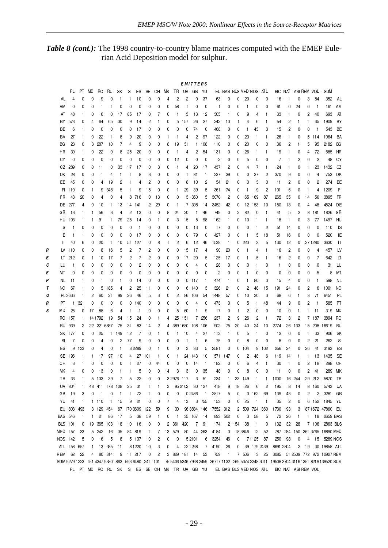Table 8 (cont.): The 1998 country-to-country blame matrices computed with the EMEP Eulerian Acid Deposition model for sulphur.

|   |                                                  |              |              |              |                |                |              |                     |             |              |    |    |              | E M I          | -            | E H S          |                                                                    |                |                        |                |                          |              |                |                     |        |                |                |                                                                                           |                        |
|---|--------------------------------------------------|--------------|--------------|--------------|----------------|----------------|--------------|---------------------|-------------|--------------|----|----|--------------|----------------|--------------|----------------|--------------------------------------------------------------------|----------------|------------------------|----------------|--------------------------|--------------|----------------|---------------------|--------|----------------|----------------|-------------------------------------------------------------------------------------------|------------------------|
|   |                                                  | PL           | PT           | MD           | RO             | RU             | SΚ           | SI                  | ES          | SE           | CН | MК | TR           | UA             | GB           | YU             |                                                                    |                | EU BAS BLS MED NOS ATL |                |                          |              |                | BIC NAT ASI REM VOL |        |                |                | SUM                                                                                       |                        |
|   | AL                                               | 4            | 0            | 0            | 9              | 0              | 1            | 1                   | 10          | 0            | 0  | 4  | 2            | 2              | 0            | 37             | 63                                                                 | 0              | 0                      | 20             | 0                        | 0            | 16             |                     | 0      | 3              | 84             | 352                                                                                       | AL                     |
|   | AM                                               | 0            | 0            | 0            | -1             | 1              | 0            | 0                   | 0           | 0            | 0  | 0  | 58           | 1              | 0            | 0              | $\mathbf{1}$                                                       | 0              | 0                      | -1             | 0                        | 0            | 61             | 0                   | 24     | 0              | $\mathbf{1}$   | 161                                                                                       | AM                     |
|   | AT                                               | 48           | 1            | 0            | 6              | 0              | 17           | 85                  | 17          | 0            | 7  | 0  | 1            | 3              | 13           | 12             | 305                                                                | $\mathbf{1}$   | 0                      | 9              | 4                        | 1            | 33             | $\mathbf{1}$        | 0      | 2              | 40             | 693                                                                                       | AT                     |
|   |                                                  |              |              |              |                |                |              |                     |             |              |    |    |              |                |              |                |                                                                    |                |                        |                |                          |              |                |                     |        |                |                |                                                                                           |                        |
|   | BY                                               | 573          | 0            | 4            | 64             | 65             | 30           | 9                   | 14          | 2            |    | 0  | 5            | 157            | 26           | 27             | 242                                                                | 13             |                        | 4              | 6                        | 1            | 54             | 2                   | -1     |                | 35             | 1909                                                                                      | BY                     |
|   | ВE                                               | 6            | $\mathbf{1}$ | 0            | 0              | 0              | 0            | 0                   | 17          | 0            | 0  | 0  | 0            | 0              | 74           | 0              | 468                                                                | 0              | 0                      | -1             | 43                       | 3            | 15             | 2                   | 0      | 0              | $\overline{1}$ | 543                                                                                       | BE                     |
|   | BA                                               | 27           | 1            | 0            | 22             |                | 8            | 9                   | 20          | 0            | 0  |    | 1            | 4              | 2            | 97             | 122                                                                | 0              | 0                      | 23             | 1                        | 1            | 26             | $\mathbf{1}$        | 0      | 5              | 114            | 1064                                                                                      | BA                     |
|   | BG                                               | 23           | 0            | 3            | 287            | 10             | 7            | 4                   | 9           | 0            | 0  | 8  | 19           | 51             | $\mathbf{1}$ | 108            | 110                                                                | 0              | 6                      | 20             | 0                        | 0            | 36             | 2                   | 1      | 5              | 95             | 2182                                                                                      | BG                     |
|   | HR                                               | 30           | 1            | 0            | 22             | 0              | 8            | 25                  | 20          | 0            | 0  | 0  | -1           | 4              | 2            | 54             | 131                                                                | 0              | 0                      | 26             | 1                        | 1            | 19             | 1                   | 0      | 4              | 72             | 685                                                                                       | HR                     |
|   | СY                                               | 0            | 0            | 0            | 0              | 0              | 0            | 0                   | 0           | 0            | 0  | 0  | 12           | 0              | 0            | 0              | 2                                                                  | 0              | 0                      | 5              | 0                        | 0            | $\overline{7}$ | 1                   | 2      | 0              | $\overline{c}$ | 48                                                                                        | CY                     |
|   |                                                  | CZ 289       | 0            | 0            | 11             | 0              | 33           | 17                  | 17          | 0            | 3  | 0  | $\mathbf{1}$ | 4              | 20           | 17             | 437                                                                | 2              | 0                      | 4              | 7                        | 1            | 24             | $\mathbf{1}$        | 0      |                | 23             | 1432                                                                                      | CZ                     |
|   | DK                                               | 28           | 0            | 0            | $\mathbf{1}$   | 4              |              |                     | 8           | 3            | 0  | 0  | 0            | 1              | 81           | $\mathbf{1}$   | 237                                                                | 39             | 0                      | 0              | 37                       | 2            | 370            | 9                   | 0      | 0              | 4              | 753                                                                                       | DK                     |
|   | ЕE                                               | 45           | 0            | 0            | 4              | 19             | 2            |                     | 4           | 2            | 0  | 0  | 0            | 8              | 10           | 2              | 54                                                                 | 21             | 0                      | 0              | 3                        | 0            | 11             | 2                   | 0      | 0              | $\overline{c}$ | 274                                                                                       | EE                     |
|   | FI                                               | 110          | 0            |              | 9              | 348            | 5            |                     | 9           | 15           | 0  | 0  | $\mathbf{1}$ | 29             | 39           | 5              | 361                                                                | 74             | 0                      |                | 9                        | 2            | 101            | 6                   | 0      |                | 4              | 1209                                                                                      | FI                     |
|   | <b>FR</b>                                        | 43           | 20           | 0            | 4              | 0              | 4            | 8                   | 716         | 0            | 13 | 0  | 0            | 3              | 350          | 5              | 3070                                                               | 2              | 0                      | 65             | 169                      | 87           | 265            | 35                  | 0      | 14             | 56             | 3895                                                                                      | FR                     |
|   | DE                                               | 277          | 4            | 0            | 10             | -1             | 13           | 14                  | 141         | 2            | 29 | 0  | $\mathbf{1}$ | 7              | 398          | 14             | 3452                                                               | 42             | 0                      | 12             | 153                      | 13           | 150            | 13                  | 0      | 4              | 48             | 4524                                                                                      | DE                     |
|   | GR                                               | 13           | $\mathbf{1}$ | 1            | 56             | 3              | 4            | 2                   | 13          | 0            | 0  | 8  | 24           | 20             | $\mathbf{1}$ | 46             | 749                                                                | 0              | 2                      | 82             | 0                        | $\mathbf{1}$ | 41             | 5                   | 2      | 8              | 181            | 1826                                                                                      | GR                     |
|   | HU                                               | 103          | $\mathbf{1}$ |              | 91             | $\mathbf{1}$   | 79           | 25                  | 14          | 0            |    | 0  | 3            | 15             | 5            | 98             | 162                                                                | $\mathbf{1}$   | 0                      | 13             | 1                        | $\mathbf{1}$ | 18             | -1                  | 0      | 3              | 77             | 1497                                                                                      | HU                     |
|   | IS                                               | $\mathbf{1}$ | 0            | 0            | 0              | 0              | 0            | 0                   | -1          | 0            | 0  | 0  | 0            | 0              | 13           | 0              | 17                                                                 | 0              | 0                      | 0              | 1                        | 2            | 51             | 14                  | 0      | 0              | 0              | 110                                                                                       | IS                     |
|   | IE                                               | $\mathbf{1}$ | 1            | 0            | 0              | 0              | 0            | 0                   | 17          | 0            | 0  | 0  | 0            | 0              | 79           | 0              | 427                                                                | 0              | 0                      | -1             | 5                        | 18           | 51             | 16                  | 0      | 0              | 0              | 520                                                                                       | IE                     |
|   | IT                                               | 40           |              |              |                |                | 10           | 51                  | 127         | 0            |    |    | 2            | 6              | 12           | 46             | 1539                                                               | $\mathbf{1}$   | 0                      | 223            | 3                        | 5            | 130            | 12                  | 0      |                | 27 1280        | 3630                                                                                      | $\mathsf{I}\mathsf{T}$ |
|   |                                                  |              | 6            | 0            | 20             | -1             |              |                     |             |              | 8  |    |              |                |              |                |                                                                    |                |                        |                |                          |              |                |                     |        |                |                |                                                                                           |                        |
| R |                                                  | LV 110       | 0            | 0            | 8              | 16             | 5<br>7       | 2<br>$\overline{c}$ | 7<br>7      | 2            | 0  | 0  | 0            | 15             | 17           | 4              | 90                                                                 | 20             | 0                      | 1              | 4                        | 1            | 16             | 2                   | 0      | 0              | 4              | 457<br>642                                                                                | LV<br>LT               |
| Е |                                                  | LT 212       | 0            | $\mathbf{1}$ | 10             | 17             |              |                     |             | 2            | 0  | 0  | 0            | 17             | 20           | 5              | 125                                                                | 17             | 0                      | $\mathbf{1}$   | 5                        | $\mathbf{1}$ | 16             | $\overline{c}$      | 0      | 0              | 7              |                                                                                           |                        |
| с | LU                                               | $\mathbf{1}$ | 0            | 0            | 0              | 0              | 0            | 0                   | 2           | 0            | 0  | 0  | 0            | 0              | 4            | 0              | 28                                                                 | 0              | 0                      | 0              | 1                        | 0            | $\mathbf{1}$   | 0                   | 0      | 0              | 0              | 31                                                                                        | LU                     |
| E | мт                                               | 0            | 0            | 0            | 0              | 0              | 0            | 0                   | 0           | 0            | 0  | 0  | 0            | 0              | 0            | 0              | 2                                                                  | 0              | 0                      | -1             | 0                        | 0            | 0              | 0                   | 0      | 0              | 5              | 8                                                                                         | MT                     |
| Ρ | NL.                                              | 11           | 1            | 0            | $\mathbf{1}$   | 0              | 1            | 0                   | 14          | 0            | 0  | 0  | 0            | 0              | 117          | -1             | 474                                                                | $\mathbf{1}$   | 0                      | -1             | 80                       | 3            | 15             | 4                   | 0      | 0              | $\mathbf{1}$   | 598                                                                                       | NL                     |
| Т | NO                                               | 67           | 1            | 0            | 5              | 185            | 4            | 2                   | 25          | 11           | 0  | 0  | 0            | 6              | 140          | 3              | 326                                                                | 21             | 0                      | $\overline{c}$ | 48                       | 15           | 191            | 24                  | 0      | 2              | 6              | 1001                                                                                      | <b>NO</b>              |
| ο |                                                  | PL 3636      | 1            | 2            | 60             | 21             | 99           | 26                  | 46          | 5            | 3  | 0  | 2            | 86             | 106          | 54             | 1448                                                               | 57             | 0                      | 10             | 30                       | 3            | 68             | 6                   |        | 3              | 71             | 6451                                                                                      | PL                     |
| R | PT                                               | $\mathbf{1}$ | 321          | 0            | 0              | 0              | 0            | 0                   | 140         | 0            | 0  | 0  | 0            | 0              | 4            | 0              | 473                                                                | 0              | 0                      | 5              | 1                        | 48           | 44             | 9                   | 0      | 2              | -1             | 585                                                                                       | PT                     |
| s | MD                                               | 25           | 0            | 17           | 88             | 6              | 4            |                     | J.          | 0            | 0  | 0  | 5            | 60             | $\mathbf{1}$ | 9              | 17                                                                 | 0              |                        | $\overline{c}$ | 0                        | 0            | 10             | 0                   | J.     |                | 11             | 319                                                                                       | <b>MD</b>              |
|   | RO                                               | 157          | $\mathbf{1}$ |              | 14 1792        | 19             | 54           | 15                  | 24          | 0            |    | 4  | 25           | 151            |              | 7 256          | 237                                                                | 2              | g                      | 26             | $\overline{c}$           | 1            | 72             | 3                   | 2      | 7              | 187            | 3894                                                                                      | RO                     |
|   | RU                                               | 939          | 2            |              | 22 321 6887    |                | 75           | 31                  | 83          | 14           | 2  | 4  | 389 1680     |                | 108          | 106            | 902                                                                | 75             | 20                     | 40             | 24                       | 10           | 2774           | 26                  | 133    | 15             | 208            | 16619                                                                                     | RU                     |
|   | SΚ                                               | -177         | 0            | 0            | 25             | $\mathbf{1}$   | 149          | 12                  | 7           | 0            |    | 0  | $\mathbf{1}$ | 10             | 4            | 27             | 113                                                                | -1             | 0                      | 5              | 1                        | 0            | 12             | 0                   | 0      |                | 33             | 906                                                                                       | SK                     |
|   | SI                                               | 7            | 0            | 0            | 4              | 0              | 2            | 77                  | 9           | 0            | 0  | 0  | 0            | 1              | 1            | 6              | 75                                                                 | 0              | 0                      | 8              | 0                        | 0            | 8              | 0                   | 0      | $\overline{c}$ | 21             | 262                                                                                       | <b>SI</b>              |
|   | ES                                               | 9            | 133          | 0            | 4              | 0              | 1            |                     | 3 2 2 8 9   | 0            |    | 0  | 0            | 3              | 33           | 5              | 2581                                                               | 0              | 0                      | 104            | 9                        | 102          | 256            | 24                  | 0      | 26             | 41             | 3193                                                                                      | ES                     |
|   | SE                                               | 196          | 1            |              | 17             | 97             | 10           | 4                   | 27          | 101          |    | 0  | $\mathbf{1}$ | 24             | 143          | 10             | 571                                                                | 147            | 0                      | 2              | 48                       | 6            | 119            | 14                  | -1     |                | 13             | 1435                                                                                      | SE                     |
|   | CН                                               | 3            | 1            | 0            | 0              | 0              | 0            | 1                   | 27          | 0            | 44 | 0  | 0            | 0              | 14           | $\mathbf{1}$   | 182                                                                | 0              | 0                      | 6              | 4                        | 1            | 30             | $\mathbf{1}$        | 0      | 2              | 18             | 298                                                                                       | CH                     |
|   | MК                                               | 4            | 0            | 0            | 13             | 0              |              |                     | 5           | 0            | 0  | 14 | 3            | 3              | 0            | 35             | 48                                                                 | 0              | 0                      | 8              | 0                        | 0            | 11             | 0                   | 0      | 2              | 41             | 289                                                                                       | МK                     |
|   | TR                                               | 33           | $\mathbf{1}$ |              | 5 133          | -39            | 7            | 5                   | 22          | 0            | 0  |    | 3 2976 117   |                | 3            | 51             | 234                                                                | $\mathbf{1}$   | 33                     | 149            | $\mathbf{1}$             | $\mathbf{1}$ | 1000           |                     | 16 244 |                | 29 212         | 5870                                                                                      | TR                     |
|   |                                                  | UA 804       | 1            |              | 48 411 178 108 |                |              | 25                  | 31          | $\mathbf{1}$ |    | 3  |              | 95 2102 30 127 |              |                | 418                                                                | 9              | 18                     | 26             | 6                        | 2            | 195            | 8                   | 14     |                | 8 160          | 5743                                                                                      | UA                     |
|   | GB                                               | - 19         | 3            | 0            | $\overline{1}$ | 0              | $\mathbf{1}$ | $\mathbf{1}$        | 72          | $\mathbf{1}$ | 0  | 0  | 0            |                | 02486        | $\overline{1}$ | 2817                                                               | 5              | 0                      |                | 3 162                    | 69           | 139            | 43                  | 0      | 2              | 2              | 3281                                                                                      | GB                     |
|   |                                                  | YU 41        | $\mathbf{1}$ |              | 1110           | $\blacksquare$ | 15           | 9                   | 21          | 0            | 0  | 7  | 4            | 13             |              | 3 755          | 153                                                                | 0              | 0                      | 25             | $\overline{\phantom{0}}$ | $\vert$ 1    | 35             | $\overline{c}$      | 0      |                |                | 6 152 1845 YU                                                                             |                        |
|   |                                                  | EU 803 493   |              |              | 3 129 454      |                |              |                     | 67 170 3609 | 122          | 59 | 9  | 30           |                |              |                | 96 3834 146 17552 312                                              |                |                        | 2 509          | 724 360                  |              | 1730 193       |                     | 3      |                |                | 87 1672 47860 EU                                                                          |                        |
|   | <b>BAS 546</b>                                   |              | 1            | 1            | 21             | 86             | 17           | 5                   | 38          | 59           |    | 0  | $\mathbf{1}$ |                | 35 167 14    |                |                                                                    | 893 502        | 0                      | 3              | 58                       | 5            | 72             | 26                  | -1     |                |                | 1 18 2659 BAS                                                                             |                        |
|   | <b>BLS</b> 101                                   |              | 0            |              | 19 365 103     |                | 18           | 10                  | 16          | 0            | 0  |    | 2 361        | 420            | 7            | 91             | 174                                                                |                | 2 154                  | 38             | $\mathbf{1}$             | 0            | 132            | 32                  | 28     |                | 7 106          | 2863 BLS                                                                                  |                        |
|   | MED 157                                          |              | 33           |              | 5 242          | 16             | 35           |                     | 84 819      | $\mathbf{1}$ | 7  |    | 13 579       | 80             |              | 44 263         | 4184                                                               | 3              |                        | 18 3 8 4 6     | 12                       | 52           |                |                     |        |                |                | 787 284 150 361 3765 16890 MED                                                            |                        |
|   | NOS 142                                          |              | 5            | 0            | 6              | 5              | 8            |                     | 5 137       | 10           | 2  | 0  | 0            |                | 52101        | 6              | 3254                                                               | 46             | 0                      |                | 7 1 1 2 5                | - 87         |                | 250 198             | 0      |                |                | 4 15 5289 NOS                                                                             |                        |
|   |                                                  | ATL 158 657  |              | $\mathbf{1}$ |                | 13 935         | 11           |                     | 81220       | 10           | 3  | 0  | 4            |                | 22 1 2 6 8   | 7              | 4190                                                               | 26             | 0                      |                | 39 179 2439              |              | 8691 2804      |                     | 2      | 19             |                | 30 19858 ATL                                                                              |                        |
|   | REM 62                                           |              | 22           | 4            |                | 80 314         | 9            |                     | 11 217      | 0            | 2  |    | 3 829 181    |                | 14           | 53             | 759                                                                | $\overline{1}$ |                        | 7 506          |                          | 3 25         |                |                     |        |                |                | 3085 51 2509 772 972 10927 REM                                                            |                        |
|   | SUM 9279 1223 151 4347 9380 863 593 6480 241 131 |              |              |              |                |                |              |                     |             |              |    |    |              |                |              |                |                                                                    |                |                        |                |                          |              |                |                     |        |                |                | 75 5406 5346 7968 2459 36717 1132 269 5374 2248 3011 19508 3704 3116 1351 8219 139520 SUM |                        |
|   |                                                  |              |              |              |                |                |              |                     |             |              |    |    |              |                |              |                | PL PT MD RO RU SK SI ES SE CH MK TR UA GB YU EUBAS BLS.MED.NOS ATL |                |                        |                |                          |              |                |                     |        |                |                |                                                                                           |                        |
|   |                                                  |              |              |              |                |                |              |                     |             |              |    |    |              |                |              |                |                                                                    |                |                        |                |                          |              |                | BIC NAT ASI REM VOL |        |                |                |                                                                                           |                        |

 $-29-$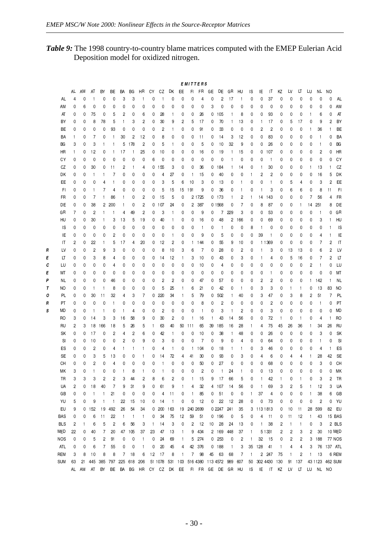$\overline{R}$  $\overline{E}$  $\boldsymbol{c}$  $\epsilon$  $\overline{p}$  $\tau$  $\pmb{\mathcal{O}}$  $\pmb{\mathsf{R}}$  $\pmb{s}$ 

Table 9: The 1998 country-to-country blame matrices computed with the EMEP Eulerian Acid Deposition model for oxidized nitrogen.

|            |                         |              |                         |                |              |              |                |                         |              |                         |                 |              | <b>EMITTERS</b> |                |    |                   |              |              |              |              |              |     |              |              |              |                |                 |                        |
|------------|-------------------------|--------------|-------------------------|----------------|--------------|--------------|----------------|-------------------------|--------------|-------------------------|-----------------|--------------|-----------------|----------------|----|-------------------|--------------|--------------|--------------|--------------|--------------|-----|--------------|--------------|--------------|----------------|-----------------|------------------------|
|            | AL                      | AM           | AT                      | BY             | ВE           | BA           | ВG             | HR                      | СY           | CZ                      | DK              | EE           | FL.             | FR.            | GE | DE                | GR           | HU           | ΙS           | IE           | IT.          | ΚZ  | LV           | LT           | LU           | NL.            | NO              |                        |
| AL         | 4                       | 0            | $\mathbf{1}$            | 0              | 0            | 3            | 3              | 1                       | 0            | $\mathbf{1}$            | 0               | 0            | 0               | 4              | 0  | 2                 | 17           | 1            | 0            | 0            | 37           | 0   | 0            | 0            | 0            | 0              | 0               | AL                     |
| ΑM         | 0                       | 6            | 0                       | 0              | 0            | 0            | 0              | 0                       | 0            | 0                       | 0               | 0            | 0               | 0              | 3  | 0                 | 0            | 0            | 0            | 0            | 0            | 0   | 0            | 0            | 0            | 0              | 0               | AM                     |
| AT         | 0                       | 0            | 75                      | 0              | 5            | 2            | 0              | 6                       | 0            | 28                      | 1               | 0            | 0               | 26             | 0  | 105               | 1            | 8            | 0            | 0            | 93           | 0   | 0            | 0            | 1            | 6              | 0               | AT                     |
| BY         | 0                       | 0            | 8                       | 78             | 5            | 1            | 3              | 2                       | 0            | 30                      | 9               | 2            | 5               | 17             | 0  | 70                | 1            | 13           | 0            | 1            | 17           | 0   | 5            | 17           | 0            | 9              | 2               | BY                     |
| BE         | 0                       | 0            | 0                       | 0              | 93           | 0            | 0              | 0                       | 0            | $\overline{\mathbf{c}}$ | 1               | 0            | 0               | 91             | 0  | 33                | 0            | 0            | 0            | 2            | 2            | 0   | 0            | 0            | $\mathbf{1}$ | 36             | 1               | BE                     |
| BA         | 1                       | 0            | 7                       | 0              | 1            | 30           | $\overline{c}$ | 12                      | 0            | 8                       | 0               | 0            | 0               | 11             | 0  | 14                | 3            | 12           | 0            | 0            | 83           | 0   | 0            | 0            | 0            | $\mathbf{1}$   | 0               | BA                     |
| BG         | 3                       | 0            | 3                       | $\mathbf{1}$   | $\mathbf{1}$ | 5            | 178            | $\overline{\mathbf{c}}$ | 0            | 5                       | 1               | 0            | 0               | 5              | 0  | 10                | 32           | 9            | 0            | 0            | 26           | 0   | 0            | 0            | 0            | $\mathbf{1}$   | 0               | BG                     |
| HR         | $\mathbf{1}$            | 0            | 12                      | 0              | $\mathbf{1}$ | 17           | 1              | 25                      | 0            | 10                      | 0               | 0            | 0               | 16             | 0  | 19                | 1            | 15           | 0            | 0            | 107          | 0   | 0            | 0            | 0            | 2              | 0               | HR                     |
| СY         | 0                       | 0            | 0                       | 0              | 0            | 0            | 0              | 0                       | 6            | 0                       | 0               | 0            | 0               | 0              | 0  | 0                 | 1            | 0            | 0            | 0            | $\mathbf{1}$ | 0   | 0            | 0            | 0            | 0              | 0               | CY                     |
| CZ         | 0                       | 0            | 30                      | 0              | 11           | 2            | $\mathbf{1}$   | 4                       | 0            | 155                     | 3               | 0            | 0               | 36             | 0  | 184               | 1            | 14           | 0            | 1            | 30           | 0   | 0            | 0            | 1            | 13             | 1               | CZ                     |
| DK         | 0                       | 0            | $\mathbf{1}$            | $\mathbf{1}$   | 7            | 0            | 0              | 0                       | 0            | 4                       | 27              | 0            | $\mathbf{1}$    | 15             | 0  | 40                | 0            | 0            | 1            | 2            | 2            | 0   | 0            | 0            | 0            | 16             | 5               | DK                     |
| EE         | 0                       | 0            | 0                       | 4              | $\mathbf{1}$ | 0            | 0              | 0                       | 0            | 3                       | 5               | 6            | 10              | 3              | 0  | 13                | 0            | 1            | 0            | 0            | $\mathbf{1}$ | 0   | 5            | 4            | 0            | 3              | 2               | EE                     |
| FI.        | 0                       | 0            | $\mathbf{1}$            | 7              | 4            | 0            | 0              | 0                       | 0            | 5                       | 15              | 15           | 191             | 9              | 0  | 36                | 0            | $\mathbf{1}$ | 0            | $\mathbf{1}$ | 3            | 0   | 6            | 6            | 0            | 8              | 11              | FI                     |
| FR         | 0                       | 0            | 7                       | 1              | 86           | 1            | 0              | 2                       | 0            | 15                      | 5               | 0            |                 | 2 1725         | 0  | 173               | 1            | 2            | 1            | 14           | 143          | 0   | 0            | 0            | 7            | 56             | 4               | FR                     |
| DE         | 0                       | 0            | 38                      | 2              | 200          | $\mathbf{1}$ | 0              | 2                       | 0            | 107                     | 24              | 0            |                 | 2 387          |    | 01568             | 0            | 7            | 0            | 8            | 87           | 0   | 0            | 1            | 14           | 251            | 8               | DE                     |
| GR         | 7                       | 0            | 2                       | $\mathbf{1}$   | $\mathbf{1}$ | 4            | 49             | $\overline{c}$          | 0            | 3                       | 1               | 0            | 0               | 9              | 0  | 7                 | 229          | 3            | 0            | 0            | 53           | 0   | 0            | 0            | 0            | $\mathbf{1}$   | 0               | GR                     |
| HU         | 0                       | 0            | 30                      | $\mathbf{1}$   | 3            | 13           | 5              | 19                      | 0            | 40                      | 1               | 0            | 0               | 16             | 0  | 48                | 2            | 166          | 0            | 0            | 69           | 0   | 0            | 0            | 0            | 3              |                 | HU                     |
| <b>IS</b>  | 0                       | 0            | 0                       | 0              | 0            | 0            | 0              | 0                       | 0            | 0                       | 0               | 0            | 0               | 1              | 0  | 1                 | 0            | 0            | 8            | 1            | 0            | 0   | 0            | 0            | 0            | 0              |                 | IS                     |
| IE         | 0                       | 0            | 0                       | 0              | 2            | 0            | 0              | 0                       | 0            | 0                       | 1               | 0            | 0               | 9              | 0  | 5                 | 0            | 0            | 0            | 39           | $\mathbf{1}$ | 0   | 0            | 0            | 0            | 4              | 1               | IE                     |
| IT         | 2                       | 0            | 22                      | $\mathbf{1}$   | 5            | 17           | 4              | 20                      | 0            | 12                      | 2               | 0            | $\mathbf{1}$    | 144            | 0  | 55                | 9            | 10           | 0            |              | 1 1369       | 0   | 0            | 0            | 0            | 7              | 2               | $\mathsf{I}\mathsf{T}$ |
| LV         | 0                       | 0            | 2                       | 9              | 3            | 0            | 0              | 0                       | 0            | 8                       | 10              | 3            | 6               | 7              | 0  | 28                | 0            | 2            | 0            | 1            | 3            | 0   | 13           | 13           | 0            | 6              | 2               | LV                     |
| LT         | 0                       | 0            | 3                       | 8              | 4            | 0            | 0              | 0                       | 0            | 14                      | 12              | $\mathbf{1}$ | 3               | 10             | 0  | 43                | 0            | 3            | 0            | 1            | 4            | 0   | 5            | 16           | 0            | 7              | $\overline{c}$  | LT                     |
| LU         | 0                       | 0            | 0                       | 0              | 4            | 0            | 0              | 0                       | 0            | 0                       | 0               | 0            | 0               | 10             | 0  | 4                 | 0            | 0            | 0            | 0            | 0            | 0   | 0            | 0            | 2            | $\mathbf{1}$   | 0               | LU                     |
| МT         | 0                       | 0            | 0                       | 0              | 0            | 0            | 0              | 0                       | 0            | 0                       | 0               | 0            | 0               | 0              | 0  | 0                 | 0            | 0            | 0            | 0            | 1            | 0   | 0            | 0            | 0            | 0              | 0               | MT                     |
| NL         | 0                       | 0            | 0                       | 0              | 46           | 0            | 0              | 0                       | 0            | $\overline{c}$          | 2               | 0            | 0               | 47             | 0  | 57                | 0            | 0            | 0            | 2            | 2            | 0   | 0            | 0            | $\mathbf{1}$ | 142            | $\mathbf{1}$    | <b>NL</b>              |
| NO         | 0                       | 0            | $\mathbf{1}$            | $\mathbf{1}$   | 8            | 0            | 0              | 0                       | 0            | 5                       | 25              | $\mathbf{1}$ | 6               | 21             | 0  | 42                | 0            | 1            | 0            | 3            | 3            | 0   | $\mathbf{1}$ | $\mathbf{1}$ | 0            | 13             | 83              | NO                     |
| PL         | 0                       | 0            | 30                      | 11             | 32           | 4            | 3              | 7                       | 0            | 220                     | 34              | $\mathbf{1}$ | 5               | 79             | 0  | 502               | $\mathbf{1}$ | 40           | 0            | 3            | 47           | 0   | 3            | 8            | 2            | 51             | 7               | PL                     |
| PT         | 0                       | 0            | 0                       | 0              | $\mathbf{1}$ | 0            | 0              | 0                       | 0            | 0                       | 0               | 0            | 0               | 8              | 0  | 2                 | 0            | 0            | 0            | 0            | 2            | 0   | 0            | 0            | 0            | $\mathbf{1}$   | 0               | PT                     |
| MD         | 0                       | 0            | $\mathbf{1}$            | $\mathbf{1}$   | 0            | $\mathbf{1}$ | 4              | 0                       | 0            | $\overline{c}$          | 0               | 0            | 0               | $\mathbf{1}$   | 0  | 3                 | 1            | 2            | 0            | 0            | 3            | 0   | 0            | 0            | 0            | 0              | 0               | <b>MD</b>              |
| RO         | 3                       | 0            | 14                      | 3              | 3            | 16           | 58             | 9                       | 0            | 30                      | 2               | 0            | $\mathbf{1}$    | 16             | 1  | 43                | 14           | 56           | 0            | 0            | 72           | 1   | 0            | $\mathbf{1}$ | 0            | 4              | $\mathbf{1}$    | R <sub>O</sub>         |
| RU         | 2                       | 3            | 18                      | 166            | 18           | 5            | 26             | 5                       | $\mathbf{1}$ | 63                      | 40              | 50           | 111             | 65             | 39 | 185               | 16           | 28           | 1            | 4            | 75           | 45  | 26           | 36           | 1            | 34             | 26              | <b>RU</b>              |
| SK         | 0                       | 0            | 17                      | 0              | 2            | 4            | 2              | 6                       | 0            | 42                      | $\mathbf{1}$    | 0            | 0               | 10             | 0  | 38                | 1            | 48           | 0            | 0            | 26           | 0   | 0            | 0            | 0            | 3              | 0               | SK                     |
| SI         | 0                       | 0            | 10                      | 0              | 0            | 2            | 0              | 9                       | 0            | 3                       | 0               | 0            | 0               | $\overline{7}$ | 0  | 9                 | 0            | 4            | 0            | 0            | 64           | 0   | 0            | 0            | 0            | 1              | 0               | <b>SI</b>              |
| ES         | 0                       | 0            | 2                       | 0              | 4            | 1            | 1              | 1                       | 0            | 4                       | 1               | 0            | $\mathbf{1}$    | 104            | 0  | 18                | 1            | 1            | 0            | 3            | 46           | 0   | 0            | 0            | 0            | 4              | 1               | ES                     |
| SE         | 0                       | 0            | 3                       | 5              | 13           | 0            | 0              | 1                       | 0            | 14                      | 72              | 4            | 41              | 30             | 0  | 93                | 0            | 3            | 0            | 4            | 6            | 0   | 4            | 4            | 1            | 28             | 42              | SE                     |
| CН         | 0                       | 0            | $\overline{\mathbf{c}}$ | 0              | 4            | 0            | 0              | 0                       | 0            | $\mathbf{1}$            | 0               | 0            | 0               | 50             | 0  | 27                | 0            | 0            | 0            | 0            | 68           | 0   | 0            | 0            | 0            | 3              | 0               | CH                     |
| МK         | 3                       | 0            | $\mathbf{1}$            | 0              | 0            | 1            | 8              | 1                       | 0            | $\mathbf{1}$            | 0               | 0            | 0               | $\overline{2}$ | 0  | $\mathbf{1}$      | 24           | $\mathbf{1}$ | 0            | 0            | 13           | 0   | 0            | 0            | 0            | 0              | 0               | МK                     |
| TR         | 3                       | 3            | 3                       | $\overline{c}$ | 2            | 3            | 44             | 2                       | 8            | 6                       | $\overline{c}$  | 0            | $\mathbf{1}$    | 15             | 9  | 17                | 66           | 5            | 0            | 1            | 42           | 1   | 0            |              | 0            | 3              | 2               | TR                     |
| UA         | $\overline{\mathbf{c}}$ | 0            | 18                      | 40             | 7            | 9            | 31             | 9                       | 0            | 61                      | 9               | -1           | 4               | 32             | 4  | 107               | 14           | 56           | 0            | 1            | 69           | 3   | 2            | 5            | $\mathbf{1}$ | 12             | 3               | UA                     |
| GB         | 0                       | 0            | $\vert$                 | $\mathbf{1}$   | 21           | 0            | 0              | 0                       | 0            | 4                       | 11              | 0            | $\mathbf{1}$    | 85             | 0  | 51                | 0            | 0            | 1            | 37           | 4            | 0   | 0            | 0            | 1            | 38             | 6               | GB                     |
| YU         | 5                       | 0            | 9                       | $\mathbf{1}$   | $\mathbf{1}$ | 22           | 15             | 10                      | 0            | 14                      | $\mathbf{1}$    | 0            | 0               | 12             | 0  | 22                | 12           | 28           | 0            | 0            | 73           | 0   | 0            | 0            | 0            | $\overline{c}$ | 0               | YU                     |
| EU         | 9                       | 0            | 152                     | 19             | 492          | 26           | 54             | 34                      | 0            | 200                     | 163             | 19           | 240 2699        |                |    | 0 2247 241        |              | 35           | 3            |              | 113 1813     | 0   | 10           | 11           | 28           | 599            | 82              | EU                     |
| <b>BAS</b> | 0                       | 0            | 6                       | 11             | 22           | $\mathbf{1}$ | $\mathbf{1}$   | $\mathbf{1}$            | 0            | 34                      | 75              | 12           | 59              | 51             |    | 0 196             | 0            | 5            | 0            | 4            | 11           | 0   | 11           | 12           | $\mathbf{1}$ | 43             |                 | 15 BAS                 |
| <b>BLS</b> | 2                       | $\mathbf{1}$ | 6                       | 5              | 2            | 6            | 56             | 3                       | $\mathbf{1}$ | 14                      | 3               | 0            | 2               | 12             | 10 | 28                | 24           | 13           | 0            | $\mathbf{1}$ | 38           | 2   | $\mathbf{1}$ | 1            | 0            | 3              |                 | 2 BLS                  |
| MED        | 22                      | 0            | 40                      | 7              | 20           | 47           | 105            | 37                      | 23           | 47                      | 13              | 1            | 9               | 434            |    | 2 169             | 448          | 37           | 1            |              | 5 1331       | 2   | 2            | 3            | 2            | 30             |                 | 10 MED                 |
| <b>NOS</b> | 0                       | 0            | 5                       | 2              | 91           | 0            | 0              | $\mathbf{1}$            | 0            | 24                      | 69              | $\mathbf{1}$ |                 | 5 274          |    | 0253              | 0            | 2            | 1            | 32           | -15          | 0   | 2            | 2            |              | 3 188          |                 | 77 NOS                 |
| ATL        | 0                       | 0            | 6                       | 7              | 55           | 0            | 0              | $\mathbf{1}$            | 0            | 20                      | 45              | 4            |                 | 42 376         |    | 0 188             | 1            | 3            | 35           | 128          | 41           | 1   | 4            | 4            | 3            |                | 76 137 ATL      |                        |
| REM        | 3                       | 8            | 10                      | 8              | 8            | 7            | 18             | 6                       | 12           | 17                      | 8               | 1            | 7               | 98             | 45 | 63                | 68           | 7            | $\mathbf{1}$ |              | 2 247        | 75  | 1            | 2            | $\mathbf{1}$ | 13             |                 | 6 REM                  |
| SUM        | 63                      | 21           | 445                     | 385            |              | 797 225      | 618 206        |                         |              |                         | 51 1078 531 103 |              | 516 4380        |                |    | 113 4572          | 989          | 607          | 50           |              | 302 4430     | 130 | 91           | 137          |              |                | 43 1123 462 SUM |                        |
|            | AL                      | AM           | AT                      | BY             |              | BE BA BG HR  |                |                         |              |                         | CY CZ DK EE     |              |                 |                |    | FI FR GE DE GR HU |              |              | IS           | IE.          | IT KZ        |     | LV           | LT           |              | LU NL          | <b>NO</b>       |                        |
|            |                         |              |                         |                |              |              |                |                         |              |                         |                 |              |                 |                |    |                   |              |              |              |              |              |     |              |              |              |                |                 |                        |

 $-30-$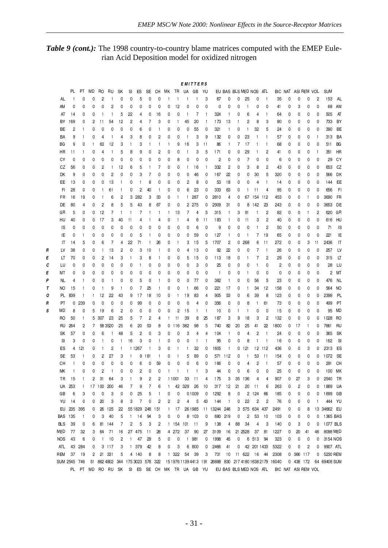#### Table 9 (cont.): The 1998 country-to-country blame matrices computed with the EMEP Eulerian Acid Deposition model for oxidized nitrogen

|   |              |              |              |              |              |                |                                  |              |                |              |              |                         |                         |              | EMITTERS     |                |                                                          |                          |                    |              |                |                |                                                                                     |         |         |             |                |                      |           |
|---|--------------|--------------|--------------|--------------|--------------|----------------|----------------------------------|--------------|----------------|--------------|--------------|-------------------------|-------------------------|--------------|--------------|----------------|----------------------------------------------------------|--------------------------|--------------------|--------------|----------------|----------------|-------------------------------------------------------------------------------------|---------|---------|-------------|----------------|----------------------|-----------|
|   |              | PL.          | РT           | MD           | RO           | RU             | SΚ                               | SI           | ES             | SE           | CН           | MК                      | TR                      | UA           | GB           | YU             |                                                          |                          | EU BAS BLS MED NOS |              |                | ATL            |                                                                                     | BIC NAT |         | ASI REM VOL |                | <b>SUM</b>           |           |
|   | AL           | $\mathbf{1}$ | 0            | 0            | 2            | 1              | 0                                | 0            | 5              | 0            | 0            | -1                      |                         | 1            | 1            | 3              | 67                                                       | 0                        | 0                  | 25           | 0              | $\mathbf{1}$   | 35                                                                                  | 0       | 0       | 0           | $\overline{c}$ | 153                  | AL        |
|   | ΑM           | 0            | 0            | 0            | 0            | 2              | 0                                | 0            | 0              | 0            | 0            | 0                       | 12                      | 0            | 0            | 0              | 0                                                        | 0                        | 0                  | 1            | 0              | 0              | 41                                                                                  | 0       | 3       | 0           | 0              | 68                   | AM        |
|   | AT           | 14           | 0            | 0            | 1            | 1              | 5                                | 22           | 4              | 0            | 16           | 0                       | 0                       | 1            | 7            | -1             | 324                                                      | $\mathbf{1}$             | 0                  | 6            | 4              | -1             | 64                                                                                  | 0       | 0       | 0           | 0              | 505                  | AT        |
|   | ΒY           | 169          | 0            | 2            | 11           | 54             | 12                               | 2            | 4              | 7            | 3            | 0                       | 1                       | 45           | 20           | -1             | 173                                                      | 13                       | 1                  | 2            | 8              | 3              | 80                                                                                  | 0       | 0       | 0           | 0              | 733                  | BY        |
|   | ВE           | 2            | $\mathbf{1}$ | 0            | 0            | 0              | 0                                | 0            | 6              | 0            | $\mathbf{1}$ | 0                       | 0                       | 0            | 55           | 0              | 321                                                      | $\mathbf{1}$             | 0                  | 1            | 32             | 5              | 24                                                                                  | 0       | 0       | 0           | 0              | 390                  | BE        |
|   | ΒA           | 9            | $\mathbf{1}$ | 0            | 4            |                | 4                                | 3            | 8              | 0            | 2            | 0                       | 0                       | 1            | 3            | 9              | 132                                                      | 0                        | 0                  | 23           | $\mathbf{1}$   |                | 57                                                                                  | 0       | 0       | 0           | -1             | 313                  | BA        |
|   | ВG           | 9            | 0            | $\mathbf{1}$ | 63           | 12             | 3                                |              | 3              | 1            | $\mathbf{1}$ | 1                       | 9                       | 16           | 3            | 11             | 86                                                       | 1                        | 7                  | 17           | $\mathbf{1}$   |                | 68                                                                                  | 0       | 0       | 0           | 0              | 511                  | ВG        |
|   | HR           | 11           | $\mathbf{1}$ | 0            | 4            | $\mathbf{1}$   | 5                                | 8            | 9              | 0            | 2            | 0                       | 0                       | 1            | 3            | 5              | 171                                                      | 0                        | 0                  | 29           | $\mathbf{1}$   | 2              | 41                                                                                  | 0       | 0       | 0           | -1             | 351                  | HR        |
|   | СY           | 0            | 0            | 0            | 0            | 0              | 0                                | 0            | 0              | 0            | 0            | 0                       | 8                       | 0            | 0            | 0              | $\overline{c}$                                           | 0                        | 0                  | 7            | 0              | 0              | 6                                                                                   | 0       | 0       | 0           | 0              | 29                   | CY        |
|   | СZ           | 56           | 0            | 0            | 2            | $\mathbf{1}$   | 12                               | 6            | 5              | 1            | 7            | 0                       | 0                       | $\mathbf{1}$ | 16           | $\mathbf{1}$   | 332                                                      | 2                        | 0                  | 3            | 8              | 2              | 43                                                                                  | 0       | 0       | 0           | 0              | 653                  | CZ        |
|   | DK           | 9            | 0            | 0            | 0            | $\overline{c}$ | 0                                | 0            | 3              | 7            | 0            | 0                       | 0                       | 0            | 46           | 0              | 167                                                      | 22                       | 0                  | 0            | 30             | 5              | 320                                                                                 | 0       | 0       | 0           | 0              | 566                  | DK        |
|   | ЕE           | 13           | 0            | 0            | 0            | 13             | $\mathbf{1}$                     | 0            |                | 8            | 0            | 0                       | 0                       | 2            | 8            | 0              | 53                                                       | 18                       | 0                  | 0            | 4              | -1             | 14                                                                                  | 0       | 0       | 0           | 0              | 144                  | EE        |
|   | FI           | 28           | 0            | 0            | 1            | 61             | 1                                | 0            | $\overline{c}$ | 40           | -1           | 0                       | 0                       | 6            | 23           | 0              | 333                                                      | 63                       | 0                  | 1            | 11             | 4              | 95                                                                                  | 0       | 0       | 0           | 0              | 656                  | FI.       |
|   | FR           | 16           | 19           | 0            | 1            | 6              | 2                                | 3            | 282            | 3            | 33           | 0                       | -1                      | 1            | 287          | 0              | 2810                                                     | 4                        | 0                  | 67           | -154           | 112            | 453                                                                                 | 0       | 0       | 1           | 0              | 3690                 | FR        |
|   | DE           | 80           | 4            | 0            | 2            | 8              | 5                                | 5            | 43             | 8            | 67           | 0                       | 0                       | 2            | 275          | 0              | 2909                                                     | 31                       | 0                  | 8            | 142            | 23             | 243                                                                                 | 0       | 0       | 0           | 0              | 3653                 | DE        |
|   | GR           | 5            | 0            | 0            | 12           | 7              | $\mathbf{1}$                     | -1           | 7              | $\mathbf{1}$ | $\mathbf{1}$ | $\mathbf{1}$            | 13                      | 7            | 4            | 5              | 315                                                      | $\mathbf{1}$             | 3                  | 91           | -1             | $\overline{c}$ | 82                                                                                  | 0       | 0       | 1           | $\overline{c}$ | 620                  | GR        |
|   | HU           | 40           | 0            | 0            | 17           | 3              | 40                               | 11           | 4              | 1            | 4            | 0                       | -1                      | 4            | 6            | 11             | 183                                                      | $\mathbf{1}$             | 0                  | 11           | 3              | $\overline{c}$ | 40                                                                                  | 0       | 0       | 0           | 0              | 616                  | HU        |
|   | IS           | 0            | 0            | 0            | 0            | 0              | 0                                | 0            | 0              | 0            | 0            | 0                       | 0                       | 0            | 6            | 0              | 9                                                        | 0                        | 0                  | 0            | $\mathbf{1}$   | 2              | 50                                                                                  | 0       | 0       | 0           | 0              | 71                   | <b>IS</b> |
|   | IE           | 0            | -1           | 0            | 0            | 0              | 0                                | 0            | 5              | 1            | 0            | 0                       | 0                       | 0            | 59           | 0              | 127                                                      | $\mathbf{1}$             | 0                  | 1            | 7              | 19             | 65                                                                                  | 0       | 0       | 0           | 0              | 221                  | IE        |
|   | IT           | 14           | 5            | 0            | 6            | 7              | 4                                | 22           | 71             | 1            | 26           | 0                       | 1                       | 3            | 15           | 5              | 1707                                                     | 2                        | 0                  | 268          | 6              | 11             | 272                                                                                 | 0       | 0       | 3           | 11             | 2436                 | IT        |
| R | LV           | 38           | 0            | 0            | $\mathbf{1}$ | 13             | 2                                | 0            | 3              | 10           | 1            | 0                       | 0                       | 4            | 13           | 0              | 92                                                       | 22                       | 0                  | 0            | 7              |                | 26                                                                                  | 0       | 0       | 0           | 0              | 257                  | LV        |
| E | LT           | 70           | 0            | 0            | 2            | 14             | 3                                |              | 3              | 8            | 1            | 0                       | 0                       | 5            | 15           | 0              | 113                                                      | 18                       | 0                  | 1            | 7              | 2              | 29                                                                                  | 0       | 0       | 0           | 0              | 315                  | LT        |
| с | LU           | 0            | 0            | 0            | 0            | 0              | 0                                | 0            |                | 0            | 0            | 0                       | 0                       | 0            | 3            | 0              | 25                                                       | 0                        | 0                  | 0            | -1             | 0              | 2                                                                                   | 0       | 0       | 0           | 0              | 28                   | LU        |
| Ε | МΤ           | 0            | 0            | 0            | 0            | 0              | 0                                | 0            | 0              | 0            | 0            | 0                       | 0                       | 0            | 0            | 0              | $\mathbf{1}$                                             | 0                        | 0                  | $\mathbf{1}$ | 0              | 0              | 0                                                                                   | 0       | 0       | 0           | 0              | $\overline{2}$       | МT        |
| Ρ | NL           | 4            | $\mathbf{1}$ | 0            | 0            | 1              | 0                                | 0            | 5              | 0            | -1           | 0                       | 0                       | 0            | 77           | 0              | 382                                                      | $\mathbf{1}$             | 0                  | 0            | 56             | 5              | 23                                                                                  | 0       | 0       | 0           | 0              | 476                  | NL        |
| Т | NO           | 15           | -1           | 0            | $\mathbf{1}$ | 9              | $\mathbf{1}$                     | 0            | 7              | 25           | -1           | 0                       | 0                       | $\mathbf{1}$ | 66           | 0              | 221                                                      | 17                       | 0                  | 1            | 34             | 12             | 158                                                                                 | 0       | 0       | 0           | 0              | 564                  | <b>NO</b> |
| ο | PL.          | 839          | $\mathbf{1}$ | 1            | 12           | 22             | 43                               | 9            | 17             | 18           | 10           | 0                       | 1                       | 19           | 83           | 4              | 905                                                      | 53                       | 0                  | 6            | 39             | 8              | 123                                                                                 | 0       | 0       | 0           | 0              | 2398                 | PL        |
| R | PT           | 0            | 239          | 0            | 0            | 0              | 0                                | 0            | 99             | 0            | 0            | 0                       | 0                       | 0            | 4            | 0              | 356                                                      | 0                        | 0                  | 8            | $\mathbf{1}$   | 61             | 73                                                                                  | 0       | 0       | 0           | 0              | 499                  | PT        |
| s | MD           | 8            | 0            | 5            | 19           | 6              | 2                                | 0            | 0              | 0            | 0            | 0                       | 2                       | 15           | 1            | $\overline{1}$ | 10                                                       | 0                        | 1                  | $\mathbf{1}$ | 0              | 0              | 15                                                                                  | 0       | 0       | 0           | 0              | 95                   | <b>MD</b> |
|   | RO           | 50           | $\mathbf{1}$ | 5            | 307          | 23             | 25                               | 5            | 7              | 2            | 4            | $\mathbf{1}$            | 11                      | 39           | 8            | 25             | 187                                                      | 3                        | 9                  | 18           | 3              | $\overline{c}$ | 132                                                                                 | 0       | 0       | 0           | 0              | 1028                 | RO        |
|   | RU           | 264          | 2            | 7            |              | 58 35 20       | 25                               | 6            | 20             | 53           | 8            | 0                       | 116                     | 382          | 98           | 5              | 740                                                      | 82                       | 20                 | 25           | 41             | 22             | 1800                                                                                | 0       | 17      | 1           | 0              | 7661                 | RU        |
|   | SΚ           | 57           | 0            | 0            | 6            | 1              | 48                               | 5            | 2              | 0            | 3            | 0                       | 0                       | 3            | 4            | 4              | 104                                                      | $\mathbf{1}$             | 0                  | 4            | 2              | -1             | 24                                                                                  | 0       | 0       | 0           | 0              | 365                  | SK        |
|   | SI           | 3            | 0            | 0            | 1            | 0              | $\mathbf{1}$                     | 16           | 3              | 0            |              | 0                       | 0                       | 0            | 1            | -1             | 95                                                       | 0                        | 0                  | 8            | -1             | $\mathbf{1}$   | 16                                                                                  | 0       | 0       | 0           | 0              | 162                  | <b>SI</b> |
|   | ES           | 4            | 121          | 0            | 1            | 2              | $\mathbf{1}$                     |              | 1 1 2 6 7      | $\mathbf{1}$ | 3            | 0                       | 1                       | $\mathbf{1}$ | 32           | 0              | 1605                                                     | $\mathbf{1}$             | 0                  | 121          | 12             | 112            | 436                                                                                 | 0       | 0       | 3           | 0              | 2313                 | ES        |
|   | SE           | 53           | -1           | 0            | 2            | 27             | 3                                | 1            | 9              | 181          | -1           | 0                       |                         | 5            | 89           | 0              | 571                                                      | -112                     | 0                  | 1            | 53             | 11             | 154                                                                                 | 0       | 0       | 0           | 0              | 1072                 | SE        |
|   | CН           | $\mathbf{1}$ | 0            | 0            | 0            | 0              | 0                                | 0            | 6              | 0            | 59           | 0                       | 0                       | 0            | 6            | 0              | 166                                                      | 0                        | 0                  | 4            | 2              | -1             | 57                                                                                  | 0       | 0       | 0           | 0              | 291                  | CH        |
|   | МK           | 1            | O            | 0            | 2            | 1              | 0                                | $\Omega$     | 2              | 0            | 0            | -1                      |                         | 1            | $\mathbf{1}$ | 3              | 44                                                       | 0                        | 0                  | 6            | 0              | 0              | 25                                                                                  | 0       | 0       | 0           | 0              | 100                  | МK        |
|   | TR           | 15           |              | 2            | 31           | 64             | 3                                |              | 9              | 2            | 2            |                         | 1 1 0 0 1               | 33           | 11           | 4              | 175                                                      | 3                        | 35                 | 136          | 4              |                | 907                                                                                 | 0       | 27      | 3           | 0              | 2540                 | TR        |
|   |              | UA 253       | $\mathbf{1}$ |              | 17 100       | 200            | 46                               | 7            | 9              | 7            | 6            | $\mathbf{1}$            |                         | 42 329       | 26           | 10             | 317                                                      | 12                       | 21                 | 20           | 11             | 6              | 263                                                                                 | 0       | 2       | 0           | 0              | 1889                 | <b>UA</b> |
|   | GB           | 6            | 3            | 0            | 0            | 3              | 0                                | 0            | 25             | 5            | $\mathbf{1}$ | 0                       | 0                       |              | 0 1009       | 0              | 1292                                                     | 8                        | 0                  |              | 2 124          | 66             | 185                                                                                 | 0       | 0       | 0           | 0              | 1699                 | GB        |
|   | YU           | 14           | 0            | 0            | 20           | 3              | 8                                | 3            | $\overline{7}$ | 0            | 2            | $\overline{\mathbf{c}}$ | $\overline{\mathbf{c}}$ | 4            | 5            | 43             | 144                                                      | $\overline{\phantom{0}}$ | 0                  | 22           | $\overline{2}$ | $\overline{c}$ | 76                                                                                  | 0       | 0       | 0           |                | 444 YU               |           |
|   |              | EU 235       | 395          | 0            | 26           | 125            | 22                               |              | 55 1829        | 248          | 151          | $\mathbf{1}$            | 17                      |              | 26 1985      |                | 11 13244 248                                             |                          |                    |              | 3 575 634      | 437            | 2491                                                                                | 0       | 0       | 8           |                | 13 34662 EU          |           |
|   | BAS 135      |              | $\mathbf{1}$ | 0            | 3            | 40             | 5                                | $\mathbf{1}$ | 14             | 94           | 3            | 0                       | 0                       | 8            | 103          | 0              |                                                          | 680 219                  | 0                  | 2            | 53             | 10             | 103                                                                                 | 0       | 0       | 0           | 0              | 1365 BAS             |           |
|   | <b>BLS</b>   | 39           | 0            | 6            | 81           | 144            | 7                                | 2            | 5              | 3            | 2            |                         | 1 154 101               |              | 11           | 9              | 138                                                      | 4                        | 88                 | 34           | 4              | 3              | 140                                                                                 | 0       | 3       | 0           | 0              | 1077 BLS             |           |
|   | MED          | 77           |              | 3            | 64           | 71             | 16                               |              | 27 475         | 11           | 28           |                         | 4 272                   | 37           | 90           | 27             | 3109                                                     | 16                       |                    | 21 25 28     | 37             | 81             | 1227                                                                                | 0       |         |             | 46             | 8098 MED             |           |
|   | <b>NOS</b>   | 43           | 32<br>6      | 0            | $\mathbf{1}$ | 10             | 2                                | 1            | 47             | 29           | 5            | 0                       | 0                       |              | 1 981        | 0              | 1998                                                     | 45                       | 0                  |              | 6 513          | 94             | 323                                                                                 | 0       | 20<br>0 | 41          |                | 3154 NOS             |           |
|   |              | 43           | 284          | 0            |              | 3 117          | 3                                |              | 1 379          | 42           | 8            | 0                       | 3                       | 6            | 800          |                | 2466                                                     | 41                       |                    |              | 42 201 1433    |                | 5322                                                                                | 0       | 0       | 0           | 0              |                      |           |
|   | ATL<br>REM   | 37           | 19           | 2            |              | 21 331         | 5                                |              | 4 140          | 8            | 8            | $\mathbf{1}$            | 322                     | 54           | 39           | 0              | 731                                                      | 10                       | 0                  | 11 622       |                | - 44           |                                                                                     | 0       | 366 117 | 2           | 0<br>0         | 9907 ATL<br>5230 REM |           |
|   | SUM 2545 746 |              |              |              |              |                |                                  |              |                |              |              |                         |                         |              |              | 3              | 15 1976 1139 4413 191 26888 830 217 4180 1638 2179 16040 |                          |                    |              | 16             |                | 2308                                                                                |         |         | 0 438 172   |                | 64 69408 SUM         |           |
|   |              |              |              |              |              |                | 51 862 4802 344 175 3023 578 322 |              |                |              |              |                         |                         |              |              |                |                                                          |                          |                    |              |                |                | PL PT MD RO RU SK SI ES SE CH MK TR UA GB YU EUBAS BLSMEDNOS ATL BIC NAT ASIREM VOL |         |         |             |                |                      |           |
|   |              |              |              |              |              |                |                                  |              |                |              |              |                         |                         |              |              |                |                                                          |                          |                    |              |                |                |                                                                                     |         |         |             |                |                      |           |

 $-31-$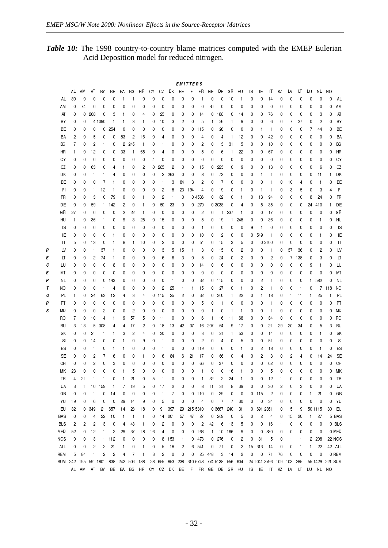$\overline{R}$  $\pmb{\mathcal{E}}$  $\boldsymbol{c}$  $\epsilon$  $\overline{p}$  $\tau$  $\pmb{\mathcal{O}}$  $\pmb{\mathsf{R}}$  $\pmb{s}$ 

Table 10: The 1998 country-to-country blame matrices computed with the EMEP Eulerian Acid Deposition model for reduced nitrogen.

|            |                         |              |                         |                         |                         |                |                |              |    |                         |                |              | <b>EMITTERS</b> |                         |              |                       |              |              |    |                         |                |              |              |              |              |              |                 |                |
|------------|-------------------------|--------------|-------------------------|-------------------------|-------------------------|----------------|----------------|--------------|----|-------------------------|----------------|--------------|-----------------|-------------------------|--------------|-----------------------|--------------|--------------|----|-------------------------|----------------|--------------|--------------|--------------|--------------|--------------|-----------------|----------------|
|            | AL                      | AM           | AT                      | BY                      | ВE                      | BA             | ВG             | HR           | СY | CZ                      | DK             | EE           | FL.             | FR                      | GE           | DE                    | GR           | HU           | ΙS | ΙE                      | IT             | ΚZ           | LV           | LT           | LU           | NL           | NO              |                |
| AL         | 80                      | 0            | 0                       | 0                       | 0                       | $\mathbf{1}$   | $\mathbf{1}$   | 0            | 0  | 0                       | 0              | 0            | 0               | $\mathbf{1}$            | 0            | 0                     | 10           | 1            | 0  | 0                       | 14             | 0            | 0            | 0            | 0            | 0            | 0               | AL             |
| AM         | 0                       | 74           | 0                       | 0                       | 0                       | 0              | 0              | 0            | 0  | 0                       | 0              | 0            | 0               | 0                       | 30           | 0                     | 0            | 0            | 0  | 0                       | 0              | 0            | 0            | 0            | 0            | 0            | 0               | AM             |
| AT         | 0                       | 0            | 268                     | 0                       | 3                       | $\mathbf{1}$   | 0              | 4            | 0  | 25                      | 0              | 0            | 0               | 14                      | 0            | 188                   | 0            | 14           | 0  | 0                       | 76             | 0            | 0            | 0            | 0            | 3            | 0               | AT             |
| BY         | 0                       | 0            |                         | 4 1090                  | 1                       | $\mathbf{1}$   | 3              | 1            | 0  | 10                      | 3              | 2            | 0               | 5                       | 1            | 26                    | 1            | 9            | 0  | 0                       | 6              | 0            | 7            | 27           | 0            | 2            | 0               | BY             |
| BE         | 0                       | 0            | 0                       | 0                       | 254                     | 0              | 0              | 0            | 0  | 0                       | 0              | 0            | 0               | 115                     | 0            | 26                    | 0            | 0            | 0  | $\mathbf{1}$            | $\mathbf{1}$   | 0            | 0            | 0            | 7            | 44           | 0               | BE             |
| BA         | 2                       | 0            | 5                       | 0                       | 0                       | 83             | 2              | 16           | 0  | 4                       | 0              | 0            | 0               | 4                       | 0            | 4                     | 1            | 12           | 0  | 0                       | 42             | 0            | 0            | 0            | 0            | 0            | 0               | BA             |
| BG         | 7                       | 0            | $\overline{\mathbf{c}}$ | $\mathbf{1}$            | 0                       | $\overline{c}$ | 245            | $\mathbf{1}$ | 0  | $\mathbf{1}$            | 0              | 0            | 0               | 2                       | 0            | 3                     | 31           | 5            | 0  | 0                       | 10             | 0            | 0            | 0            | 0            | 0            | 0               | BG             |
| HR         | 1                       | 0            | 12                      | 0                       | 0                       | 33             | 1              | 65           | 0  | 4                       | 0              | 0            | 0               | 5                       | 0            | 6                     | 1            | 22           | 0  | 0                       | 67             | 0            | 0            | 0            | 0            | 0            | 0               | HR             |
| СY         | 0                       | 0            | 0                       | 0                       | 0                       | 0              | 0              | 0            | 4  | 0                       | 0              | 0            | 0               | 0                       | 0            | 0                     | 0            | 0            | 0  | 0                       | 0              | 0            | 0            | 0            | 0            | 0            | 0               | CY             |
| CZ         | 0                       | 0            | 63                      | 0                       | 4                       | $\mathbf{1}$   | 0              | 2            | 0  | 285                     | $\overline{c}$ | 0            | 0               | 15                      | 0            | 223                   | 0            | 9            | 0  | 0                       | 13             | 0            | 0            | 0            | 0            | 6            | 0               | CZ             |
| DK         | 0                       | 0            | $\mathbf{1}$            | $\mathbf{1}$            | 4                       | 0              | 0              | 0            | 0  | 2                       | 263            | 0            | 0               | 8                       | 0            | 73                    | 0            | 0            | 0  | 1                       | $\mathbf{1}$   | 0            | 0            | 0            | 0            | 11           | 1               | DK             |
| EE         | 0                       | 0            | 0                       | 7                       | 1                       | 0              | 0              | 0            | 0  | $\mathbf{1}$            | 3              | 84           | 3               | 2                       | 0            | 7                     | 0            | 0            | 0  | 0                       | $\mathbf{1}$   | 0            | 10           | 4            | 0            | $\mathbf{1}$ | 0               | EE             |
| FI.        | 0                       | 0            | $\mathbf{1}$            | 12                      | $\mathbf{1}$            | 0              | 0              | 0            | 0  | 2                       | 8              | 23           | 194             | 4                       | 0            | 19                    | 0            | 1            | 0  | 1                       | 1              | 0            | 3            | 5            | 0            | 3            | 4               | F <sub>1</sub> |
| FR         | 0                       | 0            | 3                       | 0                       | 79                      | 0              | 0              | 1            | 0  | 2                       | 1              | 0            |                 | 0 4536                  | 0            | 82                    | 0            | 1            | 0  | 13                      | 94             | 0            | 0            | 0            | 8            | 24           | 0               | FR             |
| DE         | 0                       | 0            | 59                      | $\mathbf{1}$            | 142                     | 2              | 0              | 1            | 0  | 50                      | 33             | 0            |                 | 0.270                   |              | 0 3038                | 0            | 4            | 0  | 5                       | 35             | 0            | 0            | 0            | 24           | 410          | 1               | DE             |
| GR         | 27                      | 0            | 0                       | 0                       | 0                       | 2              | 22             | $\mathbf{1}$ | 0  | 0                       | 0              | 0            | 0               | 2                       | 0            | $\mathbf{1}$          | 237          | 1            | 0  | 0                       | 17             | 0            | 0            | 0            | 0            | 0            | 0               | GR             |
| HU         |                         | 0            | 36                      | $\mathbf{1}$            | 0                       | 9              | 3              | 25           | 0  | 15                      | 0              | 0            | 0               | 5                       | 0            | 19                    | $\mathbf{1}$ | 248          | 0  | 0                       | 36             | 0            | 0            | 0            | 0            | $\mathbf{1}$ | 0               | HU             |
| IS         | 0                       | 0            | 0                       | 0                       | 0                       | 0              | 0              | 0            | 0  | 0                       | 0              | 0            | 0               | $\mathbf{1}$            | 0            | 0                     | 0            | 0            | 9  | 1                       | 0              | 0            | 0            | 0            | 0            | 0            | 0               | IS             |
| IE         | 0                       | 0            | 0                       | 0                       | 1                       | 0              | 0              | 0            | 0  | 0                       | 0              | 0            | 0               | 10                      | 0            | 2                     | 0            | 0            | 0  | 549                     | 1              | 0            | 0            | 0            | 0            | 1            | 0               | IE             |
| IT         | 5                       | 0            | 13                      | 0                       | 1                       | 8              | $\mathbf{1}$   | 10           | 0  | 2                       | 0              | 0            | 0               | 54                      | 0            | 15                    | 3            | 5            | 0  |                         | 0 2100         | 0            | 0            | 0            | 0            | 0            | 0               | IT             |
| LV         | 0                       | 0            | $\mathbf{1}$            | 37                      | $\mathbf{1}$            | 0              | 0              | 0            | 0  | 3                       | 5              | 15           | 1               | 3                       | 0            | 15                    | 0            | 2            | 0  | 0                       | $\mathbf{1}$   | 0            | 37           | 36           | 0            | 2            | 0               | LV             |
| LT         | 0                       | 0            | 2                       | 74                      | $\mathbf{1}$            | 0              | 0              | 0            | 0  | 6                       | 6              | 3            | 0               | 5                       | 0            | 24                    | 0            | 2            | 0  | 0                       | 2              | 0            | 7            | 138          | 0            | 3            | 0               | LT             |
| LU         | 0                       | 0            | 0                       | 0                       | 8                       | 0              | 0              | 0            | 0  | 0                       | 0              | 0            | 0               | 14                      | 0            | 6                     | 0            | 0            | 0  | 0                       | 0              | 0            | 0            | 0            | 9            | $\mathbf{1}$ | 0               | LU             |
| МT         | 0                       | 0            | 0                       | 0                       | 0                       | 0              | 0              | 0            | 0  | 0                       | 0              | 0            | 0               | 0                       | 0            | 0                     | 0            | 0            | 0  | 0                       | 0              | 0            | 0            | 0            | 0            | 0            | 0               | МT             |
| NL         | 0                       | 0            | 0                       | 0                       | 143                     | 0              | 0              | 0            | 0  | 0                       | 1              | 0            | 0               | 32                      | 0            | 115                   | 0            | 0            | 0  | 2                       | $\mathbf{1}$   | 0            | 0            | 0            | $\mathbf{1}$ | 582          | 0               | <b>NL</b>      |
| NO         | 0                       | 0            | 0                       | $\mathbf{1}$            | 4                       | 0              | 0              | 0            | 0  | $\overline{c}$          | 25             | $\mathbf{1}$ | $\mathbf{1}$    | 15                      | 0            | 27                    | 0            | 1            | 0  | 2                       | 1              | 0            | 0            | 1            | 0            |              | 7 118           | NO             |
| PL         | 1                       | 0            | 24                      | 63                      | 12                      | 4              | 3              | 4            | 0  | 115                     | 25             | 2            | 0               | 32                      | 0            | 300                   | $\mathbf{1}$ | 22           | 0  | 1                       | 18             | 0            | $\mathbf{1}$ | 11           | 1            | 25           | 1               | PL             |
| PT         | 0                       | 0            | 0                       | 0                       | 0                       | 0              | 0              | 0            | 0  | 0                       | 0              | 0            | 0               | 5                       | 0            | $\mathbf{1}$          | 0            | 0            | 0  | 0                       | $\mathbf{1}$   | 0            | 0            | 0            | 0            | 0            | 0               | PT             |
| MD         | 0                       | 0            | 0                       | $\overline{\mathbf{c}}$ | 0                       | 0              | $\overline{c}$ | 0            | 0  | 0                       | 0              | 0            | 0               | 0                       | $\mathbf{1}$ | 0                     | 1            | $\mathbf{1}$ | 0  | 0                       | 1              | 0            | 0            | 0            | 0            | 0            | 0               | MD             |
| RO         | 7                       | 0            | 10                      | 4                       | 1                       | 9              | 57             | 5            | 0  | 11                      | 0              | 0            | 0               | 6                       | $\mathbf{1}$ | 16                    | 11           | 68           | 0  | 0                       | 34             | 0            | 0            | 0            | 0            | 0            | 0               | R <sub>O</sub> |
| RU         | 3                       | 13           | 5                       | 308                     | 4                       | 4              | 17             | 2            | 0  | 18                      | 13             | 42           | 37              | 16                      | 207          | 64                    | 9            | 17           | 0  | 0                       | 21             | 29           | 20           | 34           | 0            | 5            | 3               | <b>RU</b>      |
| SK         | 0                       | 0            | 21                      | $\mathbf{1}$            | $\mathbf{1}$            | 3              | 2              | 4            | 0  | 30                      | 0              | 0            | 0               | 3                       | 0            | 21                    | 1            | 53           | 0  | 0                       | 14             | 0            | 0            | 0            | 0            | $\mathbf{1}$ | 0               | SK             |
| SI         | 0                       | 0            | 14                      | 0                       | 0                       | 1              | 0              | 9            | 0  | $\mathbf{1}$            | 0              | 0            | 0               | $\overline{\mathbf{c}}$ | 0            | 4                     | 0            | 5            | 0  | 0                       | 51             | 0            | 0            | 0            | 0            | 0            | 0               | SI             |
| ES         | 0                       | 0            | $\mathbf{1}$            | 0                       | 1                       | $\mathbf{1}$   | 0              | 0            | 0  | 1                       | 0              | 0            | 0               | 119                     | 0            | 6                     | 0            | 1            | 0  | 2                       | 18             | 0            | 0            | 0            | 0            | $\mathbf{1}$ | 0               | ES             |
| SE         | 0                       | 0            | 2                       | 7                       | 6                       | 0              | 0              | 1            | 0  | 6                       | 84             | 6            | 21              | 17                      | 0            | 66                    | 0            | 4            | 0  | 2                       | 3              | 0            | 2            | 4            | 0            | 14           | 24              | SE             |
| CН         | 0                       | 0            | 2                       | 0                       | 3                       | 0              | 0              | 0            | 0  | 0                       | 0              | 0            | 0               | 66                      | 0            | 37                    | 0            | 0            | 0  | 0                       | 62             | 0            | 0            | 0            | 0            | 2            | 0               | CH             |
| МK         | 23                      | 0            | 0                       | 0                       | 0                       | 1              | 5              | 0            | 0  | 0                       | 0              | $\mathbf 0$  | 0               | $\mathbf{1}$            | 0            | 0                     | 16           | $\mathbf{1}$ | 0  | 0                       | 5              | 0            | 0            | 0            | 0            | 0            | 0               | МK             |
| TR         | 4                       | 21           | $\mathbf{1}$            | $\mathbf{1}$            | 0                       | 1              | 21             | 0            | 5  |                         | 0              | 0            | 0               | $\mathbf{1}$            | 32           | 2                     | 24           |              | 0  | 0                       | 12             | 1            | 0            | 0            | 0            | 0            | 0               | TR             |
| UA         | 3                       | $\mathbf{1}$ | 10                      | 159                     | 1                       | 7              | 19             | 5            | 0  | 17                      | $\overline{c}$ | 0            | 0               | 8                       | 11           | 31                    | 8            | 39           | 0  | 0                       | 30             | 2            | 0            | 3            | 0            | 2            | 0               | UA             |
| GB         | 0                       | 0            | $\overline{1}$          | 0                       | 14                      | 0              | 0              | 0            | 0  | $\mathbf{1}$            | 7              | 0            |                 | $0$ 110                 | 0            | 29                    | 0            | 0            | 0  | 115                     | 2              | 0            | 0            | 0            | $\mathbf{1}$ | 21           | 0               | GB             |
| YU         | 19                      | 0            | 6                       | 0                       | 0                       | 29             | 14             | 9            | 0  | 5                       | 0              | 0            | 0               | 4                       | 0            | 7                     | 7            | 30           | 0  | 0                       | 34             | 0            | 0            | 0            | 0            | 0            | 0               | YU             |
| EU         | 32                      | 0            | 349                     | 21                      | 657                     | 14             | 23             | 18           | 0  | 91                      | 397            | 29           | 215 5310        |                         |              | 0 3667                | 240          | 31           | 0  |                         | 691 2351       | 0            | 5            | 9            |              | 50 1115      | 30              | EU             |
| <b>BAS</b> | 0                       | 0            | 4                       | 22                      | 10                      | $\mathbf{1}$   | $\vert$        | $\mathbf{1}$ | 0  | 14                      | 201            | 57           | 47              | 27                      | 0            | 269                   | 0            | 5            | 0  | $\overline{\mathbf{c}}$ | 4              | 0            | 15           | 20           | $\mathbf{1}$ | 27           |                 | 5 BAS          |
| <b>BLS</b> | $\overline{\mathbf{c}}$ | 2            | $\overline{\mathbf{c}}$ | 3                       | 0                       | 4              | 43             | $\mathbf{1}$ | 0  | $\overline{\mathbf{c}}$ | $\mathbf 0$    | 0            | 0               | $\overline{\mathbf{c}}$ | 42           | 6                     | 13           | 5            | 0  | 0                       | 16             | $\mathbf{1}$ | 0            | 0            | 0            | 0            |                 | 0 BLS          |
| MED        | 52                      | 0            | 12                      | 1                       | 2                       | 29             | 37             | 18           | 16 | 4                       | 0              | 0            |                 | 0 168                   | $\mathbf{1}$ | 10                    | 166          | 9            | 0  | 0                       | 830            | 0            | 0            | 0            | 0            | 0            |                 | 0 MED          |
| <b>NOS</b> | 0                       | 0            | 3                       |                         | 1 112                   | 0              | 0              | 0            | 0  | 8                       | 153            | $\mathbf{1}$ |                 | 0473                    | 0            | 276                   | 0            | 2            | 0  | 31                      | 5              | 0            | 1            | $\mathbf{1}$ |              | 2 208        |                 | 22 NOS         |
| <b>ATL</b> | 0                       | 0            | 2                       | 2                       | 21                      | 1              | 0              | 1            | 0  | 5                       | 18             | 2            |                 | 6 541                   | 0            | 71                    | 0            | 2            | 15 | 313                     | 14             | 0            | 0            | 1            | 1            | 22           |                 | 42 ATL         |
| REM        | 5                       | 84           | $\mathbf{1}$            | $\overline{\mathbf{c}}$ | $\overline{\mathbf{c}}$ | 4              | 7              | $\mathbf{1}$ | 3  | $\overline{\mathbf{c}}$ | 0              | 0            | 0               | 25                      | 448          | 3                     | 14           | 2            | 0  | 0                       | 71             | 76           | 0            | 0            | 0            | 0            |                 | 0 REM          |
| SUM        | 242                     | 195          |                         | 591 1801                | 838 242                 |                | 506            | 188          |    |                         | 28 655 853 238 |              |                 |                         |              | 310 6748 774 5138 556 |              | 604          |    |                         | 24 1041 3766   | 109          | 103          | 285          |              |              | 55 1429 221 SUM |                |
|            |                         | AL AM        |                         | AT BY                   |                         | BE BA BG HR    |                |              |    |                         | CY CZ DK EE    |              |                 |                         |              | FI FR GE DE GR HU     |              |              |    |                         | IS IE IT KZ LV |              |              | LT .         |              | LU NL NO     |                 |                |
|            |                         |              |                         |                         |                         |                |                |              |    |                         |                |              |                 |                         |              |                       |              |              |    |                         |                |              |              |              |              |              |                 |                |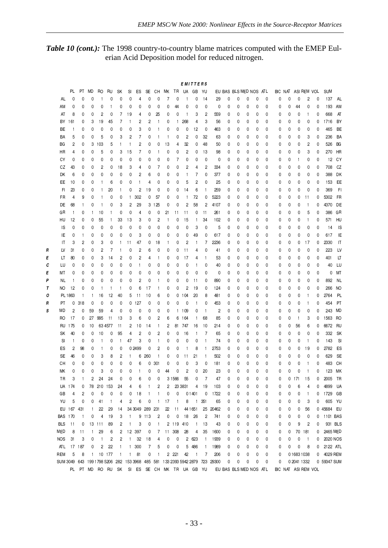Table 10 (cont.): The 1998 country-to-country blame matrices computed with the EMEP Eulerian Acid Deposition model for reduced nitrogen.

|   |                |              |              |              |                |                         |                |              |                |              |              |              |                |                | EMITTERS       |              |                                                                              |   |                        |   |             |   |   |                     |             |              |   |             |                |
|---|----------------|--------------|--------------|--------------|----------------|-------------------------|----------------|--------------|----------------|--------------|--------------|--------------|----------------|----------------|----------------|--------------|------------------------------------------------------------------------------|---|------------------------|---|-------------|---|---|---------------------|-------------|--------------|---|-------------|----------------|
|   |                | PL           | PT           | <b>MD</b>    | RO             | RU                      | SΚ             | SI           | ES             | SE           | CН           | MК           | TR             | UA             | GB             | YU           |                                                                              |   | EU BAS BLS MED NOS ATL |   |             |   |   | BIC NAT ASI REM VOL |             |              |   | <b>SUM</b>  |                |
|   | AL             | 0            | 0            | 0            | $\overline{1}$ | 0                       | 0              | 0            | 4              | 0            | 0            | 7            | 0              | -1             | 0              | 14           | 29                                                                           | 0 | 0                      | 0 | 0           | 0 | 0 | 0                   | 0           | 2            | 0 | 137         | AL             |
|   | ΑM             | 0            | 0            | 0            | 0              | 1                       | 0              | 0            | 0              | 0            | 0            | 0            | 44             | 0              | 0              | 0            | 0                                                                            | 0 | 0                      | 0 | 0           | 0 | 0 | 0                   | 44          | 0            | 0 | 193         | AM             |
|   | AT             | 8            | 0            | 0            | 2              | 0                       | 7              | 19           | 4              | 0            | 25           | 0            | 0              | J.             | 3              | 2            | 559                                                                          | 0 | 0                      | 0 | 0           | 0 | 0 | 0                   | 0           | 1            | 0 | 668         | AT             |
|   | BY             | 161          | 0            | 3            | 19             | 45                      | 7              |              | 2              | 2            | $\mathbf{1}$ | 0            | $\mathbf{1}$   | 268            | 4              | 3            | 56                                                                           | 0 | 0                      | 0 | 0           | 0 | 0 | 0                   | 0           | 0            | 0 | 1716        | BY             |
|   | BЕ             | $\mathbf{1}$ | 0            | 0            | 0              | 0                       | 0              | 0            | 3              | 0            | 1            | 0            | 0              | 0              | 12             | 0            | 463                                                                          | 0 | 0                      | 0 | 0           | 0 | 0 | 0                   | 0           | 0            | 0 | 465         | BE             |
|   |                |              |              |              |                |                         |                |              |                |              |              |              |                |                |                |              |                                                                              |   |                        |   |             |   |   |                     |             |              |   |             |                |
|   | BA             | 5            | 0            | 0            | 5              | 0                       | 3              | 2            | 7              | 0            | $\mathbf{1}$ |              | 0              | $\overline{c}$ | 0              | 32           | 63                                                                           | 0 | 0                      | 0 | 0           | 0 | 0 | 0                   | 0           | 3            | 0 | 236         | BA             |
|   | ВG             | 2            | 0            | 3            | 103            | 5                       | 1              | 1            | 2              | 0            | 0            | 13           | 4              | 32             | 0              | 48           | 50                                                                           | 0 | 0                      | 0 | 0           | 0 | 0 | 0                   | 0           | 2            | 0 | 526         | BG             |
|   | НR             | 4            | 0            | 0            | 5              | 0                       | 3              | 15           | 7              | 0            | $\mathbf{1}$ | 0            | 0              | $\overline{2}$ | 0              | 13           | 98                                                                           | 0 | 0                      | 0 | 0           | 0 | 0 | 0                   | 0           | 3            | 0 | 270         | HR             |
|   | СY             | 0            | 0            | 0            | 0              | 0                       | 0              | 0            | 0              | 0            | 0            | 0            | 7              | 0              | 0              | 0            | 0                                                                            | 0 | 0                      | 0 | 0           | 0 | 0 | 0                   | 1           | 0            | 0 | 12          | CY             |
|   | CZ             | 43           | 0            | 0            | 2              | 0                       | 18             | 3            | 4              | 0            | 7            | 0            | 0              | 2              | 4              | 2            | 334                                                                          | 0 | 0                      | 0 | 0           | 0 | 0 | 0                   | 0           | 0            | 0 | 708         | CZ             |
|   | DK             | 6            | 0            | 0            | 0              | 0                       | 0              | 0            | 2              | 6            | 0            | 0            | 0              | -1             | 7              | 0            | 377                                                                          | 0 | 0                      | 0 | 0           | 0 | 0 | 0                   | 0           | 0            | 0 | 388         | DK             |
|   | EЕ             | 10           | 0            | 0            | $\mathbf{1}$   | 6                       | 0              | 0            | $\mathbf{1}$   | 4            | 0            | 0            | 0              | 5              | 2              | 0            | 25                                                                           | 0 | 0                      | 0 | 0           | 0 | 0 | 0                   | 0           | 0            | 0 | 153         | EE             |
|   | FI             | 23           | 0            | 0            | $\mathbf{1}$   | 20                      | 1              | 0            | $\overline{c}$ | 19           | 0            | 0            | 0              | 14             | 6              | 1            | 259                                                                          | 0 | 0                      | 0 | 0           | 0 | 0 | 0                   | 0           | 0            | 0 | 369         | F <sub>1</sub> |
|   | FR             | 4            | 9            | 0            | $\mathbf{1}$   | 0                       | 0              | $\mathbf{1}$ | 302            | 0            | 57           | 0            | 0              | 1              | 72             | 0            | 5223                                                                         | 0 | 0                      | 0 | 0           | 0 | 0 | 0                   | 0           | 11           | 0 | 5302        | FR             |
|   | DE             | 68           | $\mathbf{1}$ | 0            | -1             | 0                       | 3              | 2            | 29             | 3            | 125          | 0            | 0              | $\overline{c}$ | 58             | 2            | 4107                                                                         | 0 | 0                      | 0 | 0           | 0 | 0 | 0                   | 0           | $\mathbf{1}$ | 0 | 4370        | DE             |
|   | GR             | $\mathbf{1}$ | 0            | -1           | 10             | 1                       | 0              | 0            | 4              | 0            | 0            | 21           | 11             | 11             | 0              | 11           | 261                                                                          | 0 | 0                      | 0 | 0           | 0 | 0 | 0                   | 0           | 5            | 0 | 386         | GR             |
|   | HU             | 12           | 0            | 0            | 55             | -1                      | 33             | 13           | 3              | 0            | 2            |              | 0              | 15             | 1              | 34           | 102                                                                          | 0 | 0                      | 0 | 0           | 0 | 0 | 0                   | 0           | 1            | 0 | 571         | HU             |
|   | ΙS             | 0            | 0            | 0            | 0              | 0                       | 0              | 0            | 0              | 0            | 0            | 0            | 0              | 0              | 3              | 0            | 5                                                                            | 0 | 0                      | 0 | 0           | 0 | 0 | 0                   | 0           | 0            | 0 | 14          | <b>IS</b>      |
|   | IE             | 0            | 1            | 0            | 0              | 0                       | 0              | 0            | 3              | 0            | 0            | 0            | 0              | 0              | 49             | 0            | 617                                                                          | 0 | 0                      | 0 | 0           | 0 | 0 | 0                   | 0           | 0            | 0 | 617         | IE             |
|   |                |              |              |              |                |                         |                |              |                |              |              |              |                |                |                |              |                                                                              |   |                        |   |             | 0 |   |                     |             |              |   | 2330        |                |
|   | IT             | 3            | 2            | 0            | 3              | 0                       | 1              | 11           | 47             | 0            | 18           |              | 0              | $\overline{c}$ | 1              | 7            | 2236                                                                         | 0 | 0                      | 0 | 0           |   | 0 | 0                   | 0           | 17           | 0 |             | IT             |
| R | LV             | 31           | 0            | 0            | 2              | 7                       | 1              | 0            | 2              | 6            | 0            | 0            | 0              | 11             | 4              | 0            | 41                                                                           | 0 | 0                      | 0 | 0           | 0 | 0 | 0                   | 0           | 0            | 0 | 223         | LV             |
| Ε | LT             | 80           | 0            | 0            | 3              | 14                      | 2              | 0            | 2              | 4            | 1            | 0            | 0              | 17             | 4              | 1            | 53                                                                           | 0 | 0                      | 0 | 0           | 0 | 0 | 0                   | 0           | 0            | 0 | 401         | LT             |
| с | LU             | 0            | 0            | 0            | 0              | 0                       | 0              | 0            | -1             | 0            | 0            | 0            | 0              | 0              | 1              | 0            | 40                                                                           | 0 | 0                      | 0 | 0           | 0 | 0 | 0                   | 0           | 0            | 0 | 40          | LU             |
| Ε | МT             | 0            | 0            | 0            | 0              | 0                       | 0              | 0            | 0              | 0            | 0            | 0            | 0              | 0              | 0              | 0            | 0                                                                            | 0 | 0                      | 0 | 0           | 0 | 0 | 0                   | 0           | 0            | 0 | 0           | МT             |
| Ρ | NL.            | $\mathbf{1}$ | 0            | 0            | 0              | 0                       | 0              | 0            | 2              | 0            | 1            | 0            | 0              | 0              | 11             | 0            | 890                                                                          | 0 | 0                      | 0 | 0           | 0 | 0 | 0                   | 0           | 0            | 0 | 892         | NL             |
| T | NO             | 12           | 0            | 0            | $\mathbf{1}$   | $\mathbf{1}$            | $\mathbf{1}$   | 0            | 6              | 17           | $\mathbf{1}$ | 0            | 0              | $\overline{c}$ | 19             | 0            | 124                                                                          | 0 | 0                      | 0 | 0           | 0 | 0 | 0                   | 0           | 0            | 0 | 266         | <b>NO</b>      |
| ο |                | PL 1863      | $\mathbf{1}$ | -1           | 16             | 12                      | 40             | 5            | 11             | 10           | 6            | 0            | 0              | 104            | 20             | 8            | 481                                                                          | 0 | 0                      | 0 | 0           | 0 | 0 | 0                   | 0           | $\mathbf{1}$ | 0 | 2764        | PL             |
| R | PT             | 0            | 318          | 0            | 0              | 0                       | 0              | 0            | 127            | 0            | 0            | 0            | 0              | 0              | 1              | 0            | 453                                                                          | 0 | 0                      | 0 | 0           | 0 | 0 | 0                   | 0           | 1            | 0 | 454         | PT             |
| s | MD             | 2            | 0            | 59           | 59             | 4                       | 0              | 0            | 0              | 0            | 0            | 0            | 1              | 109            | 0              | $\mathbf{1}$ | $\overline{c}$                                                               | 0 | 0                      | 0 | 0           | 0 | 0 | 0                   | 0           | 0            | 0 | 243         | MD             |
|   | RO             | 17           | 0            | 27           | 995            | 11                      | 13             | 3            | 6              | 0            | 2            | 6            | 6              | 164            | $\mathbf{1}$   | 68           | 85                                                                           | 0 | 0                      | 0 | 0           | 0 | 0 | 0                   | 1           | 3            | 0 | 1563        | RO             |
|   | RU             | 175          | 0            | 10           |                | 63 4577                 | 11             | 2            | 10             | 14           | 1            | 2            | 81             | 747            | 16             | 10           | 214                                                                          | 0 | 0                      | 0 | 0           | 0 | 0 | 0                   | 56          | 6            | 0 | 6672        | RU             |
|   | SΚ             | 40           | 0            | 0            | 10             | 0                       | 95             | 4            | 2              | 0            | 2            | 0            | 0              | 16             | 1              | 7            | 65                                                                           | 0 | 0                      | 0 | 0           | 0 | 0 | 0                   | 0           | 0            | 0 | 332         | <b>SK</b>      |
|   | <b>SI</b>      | $\mathbf{1}$ | 0            | 0            | $\overline{1}$ | 0                       | 1              | 47           | 3              | 0            | 1            | 0            | 0              | 0              | 0              | 1            | 74                                                                           | 0 | 0                      | 0 | 0           | 0 | 0 | 0                   | 0           | 1            | 0 | 143         | <b>SI</b>      |
|   | ES             | 2            | 98           | 0            | $\mathbf{1}$   | 0                       | 0              |              | 0 2 4 9 9      | 0            | 2            | 0            | 0              | 1              | 8              | 1            | 2753                                                                         | 0 | 0                      | 0 | 0           | 0 | 0 | 0                   | 0           | 19           | 0 | 2782        | ES             |
|   | SE             | 46           | 0            | 0            | 3              | 8                       | 2              |              | 6              | 260          | 1            | 0            | 0              | 11             | 21             | 1            | 502                                                                          | 0 | 0                      | 0 | 0           | 0 | 0 | 0                   | 0           | 0            | 0 | 629         | SE             |
|   | CН             | 0            | 0            | 0            | 0              | 0                       | 0              | 0            | 6              | 0            | 301          | 0            | 0              | 0              | 3              | 0            | 181                                                                          | 0 | 0                      | 0 | 0           | 0 | 0 | 0                   | 0           |              | 0 | 483         | CH             |
|   | MК             | 0            | 0            | 0            | 3              | 0                       | 0              |              | -1             | 0            | 0            | 44           | 0              | $\overline{2}$ | 0              | 20           | 23                                                                           | 0 | 0                      | 0 | 0           | 0 | 0 | 0                   | 0           |              | 0 |             |                |
|   |                |              |              |              |                |                         |                | 0            |                |              |              |              |                |                |                |              |                                                                              |   |                        |   |             |   |   |                     |             |              |   | 123         | МK             |
|   | TR             | 3            | 1            | 2            | 24             | 24                      | 0              | 0            | 6              | 0            | 0            |              | 3 1 5 6 6      | 55             | 0              | 7            | 47                                                                           | 0 | 0                      | 0 | $\mathbf 0$ | 0 | 0 | 0                   | 171         | 15           | 0 | 2005        | TR             |
|   |                | UA 174       | 0            |              | 78 210         | 153                     | 24             | 4            | 6              |              | 2            | $\mathbf{2}$ | 23 3831        |                | 4              | 19           | 103                                                                          | 0 | 0                      | 0 | 0           | 0 | 0 | 0                   | 6           | 4            | 0 | 4899        | UA             |
|   | GB             | 4            | 2            | 0            | 0              | 0                       | 0              | 0            | 18             | $\mathbf{1}$ | $\mathbf{1}$ | 0            | 0              |                | 01401          | 0            | 1722                                                                         | 0 | 0                      | 0 | $\mathbf 0$ | 0 | 0 | 0                   | 0           | $\mathbf{1}$ | 0 | 1729        | GB             |
|   | YU             | 5            | 0            | 0            | 41             | $\mathbf{1}$            | 4              | 2            | 6              | 0            | $\mathbf{1}$ | 17           | $\overline{1}$ | 8              | $\blacksquare$ | 351          | 65                                                                           | 0 | 0                      | 0 | 0           | 0 | 0 | 0                   | 0           | 3            | 0 | 605         | YU             |
|   |                | EU 167 431   |              | $\mathbf{1}$ | 22             | 29                      | 14             |              | 34 3049        | 289          | 231          | 22           | 11             |                | 44 1651        |              | 25 20462                                                                     | 0 | 0                      | 0 | 0           | 0 | 0 | 0                   | 0           | 56           |   | 0 45684 EU  |                |
|   | <b>BAS 170</b> |              | $\mathbf{1}$ | 0            | $\overline{4}$ | 19                      | 3              | 1            | 9              | 113          | 2            | 0            | 0              | 18             | 26             | 2            | 741                                                                          | 0 | 0                      | 0 | 0           | 0 | 0 | 0                   | 0           | 0            | 0 | 1101 BAS    |                |
|   | <b>BLS</b>     | 11           | 0            |              | 13 111         | 89                      | 2              | 1            | 3              | 0            | $\mathbf{1}$ |              | 2 119          | 410            | $\mathbf{1}$   | 13           | 43                                                                           | 0 | 0                      | 0 | 0           | 0 | 0 | 0                   | 9           | 2            | 0 | 931 BLS     |                |
|   | MED            | 8            | 11           | $\mathbf{1}$ | 29             | 6                       | $\overline{c}$ |              | 12 397         | 0            | 7            |              | 11 308         | 28             | 4              | 35           | 1600                                                                         | 0 | 0                      | 0 | 0           | 0 | 0 | 0                   | 70          | 181          | 0 | 2465 MED    |                |
|   | <b>NOS</b>     | 31           | 3            | 0            | $\overline{1}$ | $\overline{\mathbf{c}}$ | 2              | 1            | 32             | 18           | 4            | 0            | 0              |                | 2 623          | $\mathbf{1}$ | 1939                                                                         | 0 | 0                      | 0 | 0           | 0 | 0 | 0                   | 0           | $\mathbf{1}$ | 0 | 2020 NOS    |                |
|   | ATL            |              | 17 187       | 0            | 2              | 22                      | $\mathbf{1}$   | $\mathbf{1}$ | 300            | 7            | 5            | 0            | 0              | 5              | 486            | $\mathbf{1}$ | 1989                                                                         | 0 | 0                      | 0 | 0           | 0 | 0 | 0                   | 0           | 8            | 0 | 2122 ATL    |                |
|   | REM            | 5            | 8            | $\mathbf{1}$ |                | 10 177                  | $\mathbf{1}$   | $\mathbf{1}$ | 81             | 0            | 1            |              | 2 2 2 1        | 42             | $\overline{1}$ | 7            | 206                                                                          | 0 | 0                      | 0 | 0           | 0 | 0 |                     | 0 1683 1038 |              | 0 | 4029 REM    |                |
|   |                |              |              |              |                |                         |                |              |                |              |              |              |                |                |                |              | SUM 3049 643 199 1798 5206 282 153 3968 485 581 133 2393 5942 2879 723 29300 | 0 | 0                      | 0 | 0           | 0 | 0 |                     | 0 2041 1332 |              |   | 0 59347 SUM |                |
|   |                |              |              |              |                |                         |                |              |                |              |              |              |                |                |                |              | PL PT MD RO RU SK SI ES SE CH MK TR UA GB YU EU BAS BLSMED NOS ATL           |   |                        |   |             |   |   | BIC NAT ASI REM VOL |             |              |   |             |                |
|   |                |              |              |              |                |                         |                |              |                |              |              |              |                |                |                |              |                                                                              |   |                        |   |             |   |   |                     |             |              |   |             |                |

 $-33-$